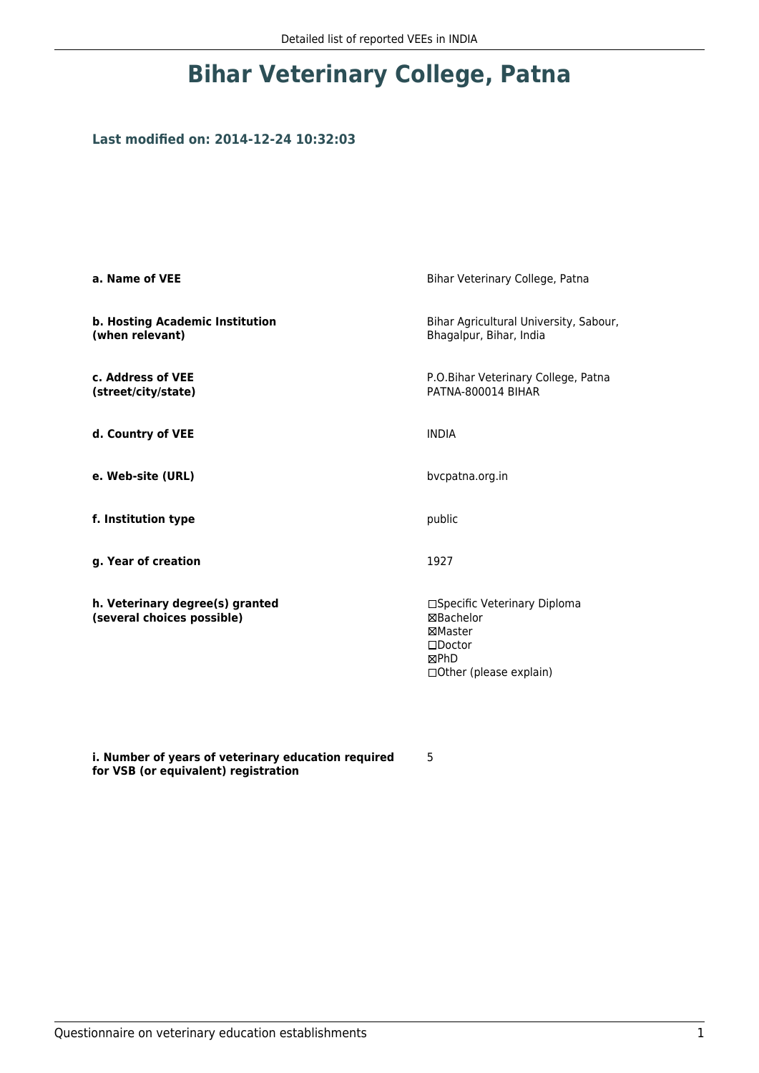### **Bihar Veterinary College, Patna**

### **Last modified on: 2014-12-24 10:32:03**

| a. Name of VEE                                                | Bihar Veterinary College, Patna                                                                                     |
|---------------------------------------------------------------|---------------------------------------------------------------------------------------------------------------------|
| b. Hosting Academic Institution<br>(when relevant)            | Bihar Agricultural University, Sabour,<br>Bhagalpur, Bihar, India                                                   |
| c. Address of VEE<br>(street/city/state)                      | P.O.Bihar Veterinary College, Patna<br>PATNA-800014 BIHAR                                                           |
| d. Country of VEE                                             | <b>INDIA</b>                                                                                                        |
| e. Web-site (URL)                                             | bycpatna.org.in                                                                                                     |
| f. Institution type                                           | public                                                                                                              |
| g. Year of creation                                           | 1927                                                                                                                |
| h. Veterinary degree(s) granted<br>(several choices possible) | □Specific Veterinary Diploma<br><b>⊠Bachelor</b><br>⊠Master<br>$\square$ Doctor<br>⊠PhD<br>□ Other (please explain) |

**i. Number of years of veterinary education required for VSB (or equivalent) registration**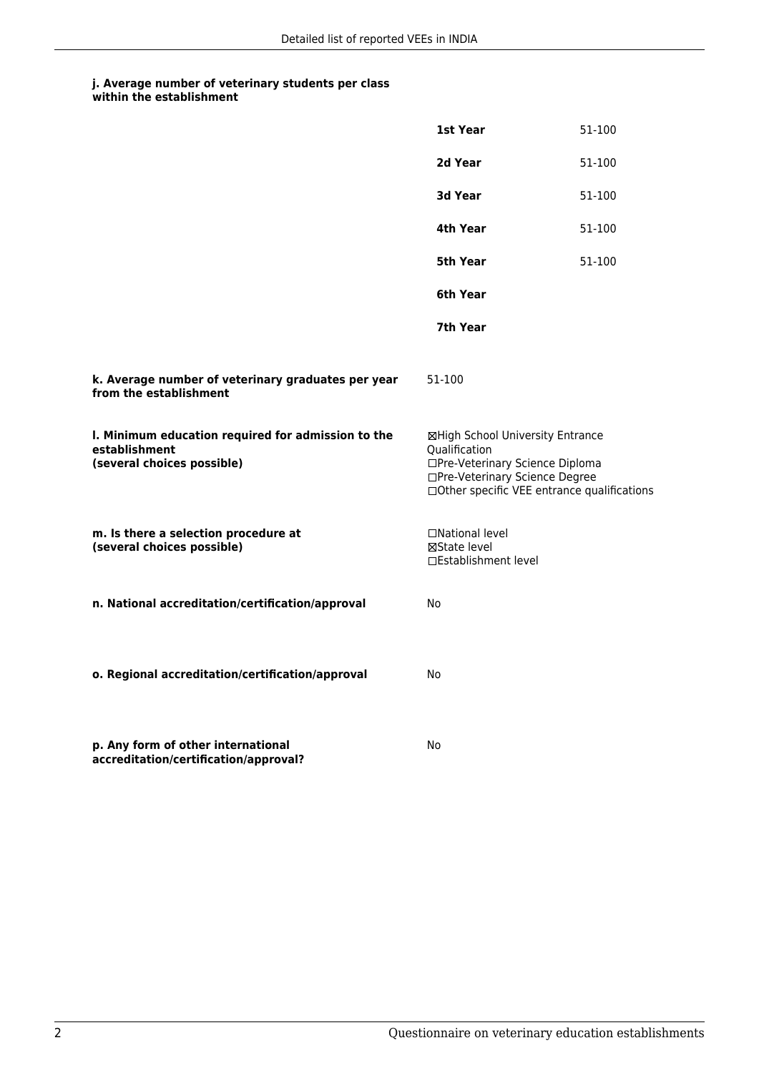|                                                                                                   | 1st Year                                                                                                               | 51-100                                      |
|---------------------------------------------------------------------------------------------------|------------------------------------------------------------------------------------------------------------------------|---------------------------------------------|
|                                                                                                   | 2d Year                                                                                                                | 51-100                                      |
|                                                                                                   | 3d Year                                                                                                                | 51-100                                      |
|                                                                                                   | 4th Year                                                                                                               | 51-100                                      |
|                                                                                                   | 5th Year                                                                                                               | 51-100                                      |
|                                                                                                   | 6th Year                                                                                                               |                                             |
|                                                                                                   | 7th Year                                                                                                               |                                             |
| k. Average number of veterinary graduates per year<br>from the establishment                      | 51-100                                                                                                                 |                                             |
| I. Minimum education required for admission to the<br>establishment<br>(several choices possible) | ⊠High School University Entrance<br>Qualification<br>□Pre-Veterinary Science Diploma<br>□Pre-Veterinary Science Degree | □Other specific VEE entrance qualifications |
| m. Is there a selection procedure at<br>(several choices possible)                                | □National level<br>⊠State level<br>□Establishment level                                                                |                                             |
| n. National accreditation/certification/approval                                                  | No                                                                                                                     |                                             |
| o. Regional accreditation/certification/approval                                                  | No                                                                                                                     |                                             |
| p. Any form of other international<br>accreditation/certification/approval?                       | No                                                                                                                     |                                             |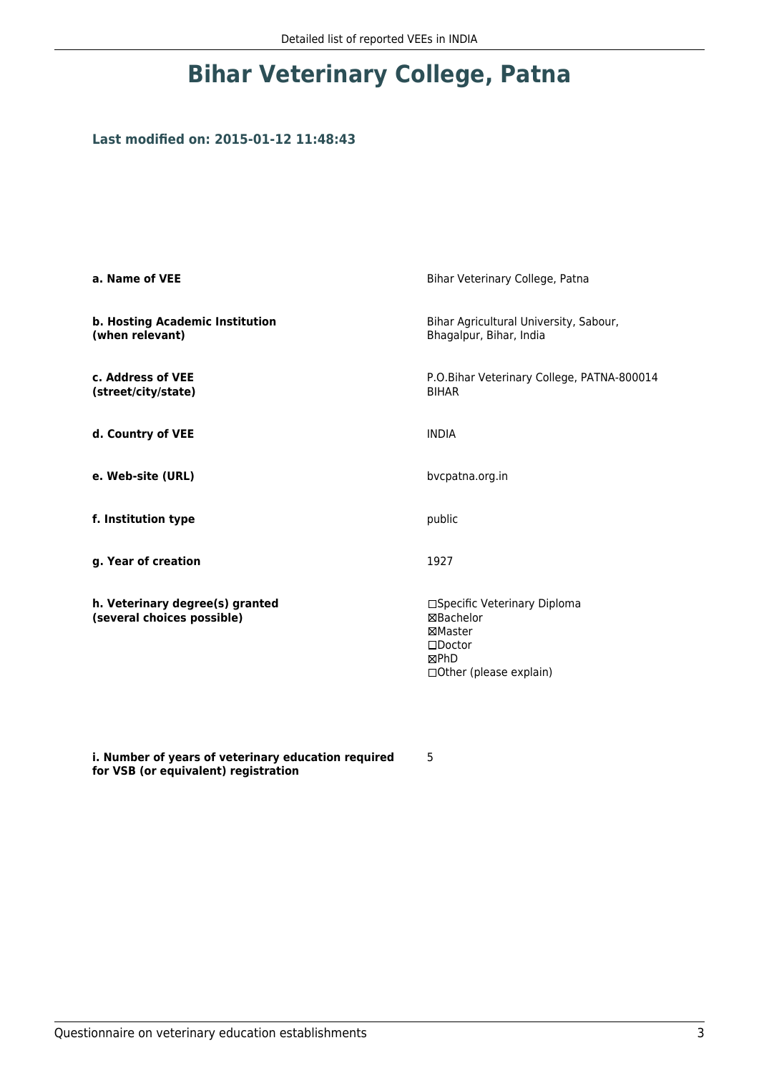### **Bihar Veterinary College, Patna**

### **Last modified on: 2015-01-12 11:48:43**

| a. Name of VEE                                                | Bihar Veterinary College, Patna                                                                              |
|---------------------------------------------------------------|--------------------------------------------------------------------------------------------------------------|
| b. Hosting Academic Institution<br>(when relevant)            | Bihar Agricultural University, Sabour,<br>Bhagalpur, Bihar, India                                            |
| c. Address of VEE<br>(street/city/state)                      | P.O.Bihar Veterinary College, PATNA-800014<br><b>BIHAR</b>                                                   |
| d. Country of VEE                                             | <b>INDIA</b>                                                                                                 |
| e. Web-site (URL)                                             | bvcpatna.org.in                                                                                              |
| f. Institution type                                           | public                                                                                                       |
| g. Year of creation                                           | 1927                                                                                                         |
| h. Veterinary degree(s) granted<br>(several choices possible) | □Specific Veterinary Diploma<br>⊠Bachelor<br>⊠Master<br>$\square$ Doctor<br>⊠PhD<br>□ Other (please explain) |

**i. Number of years of veterinary education required for VSB (or equivalent) registration**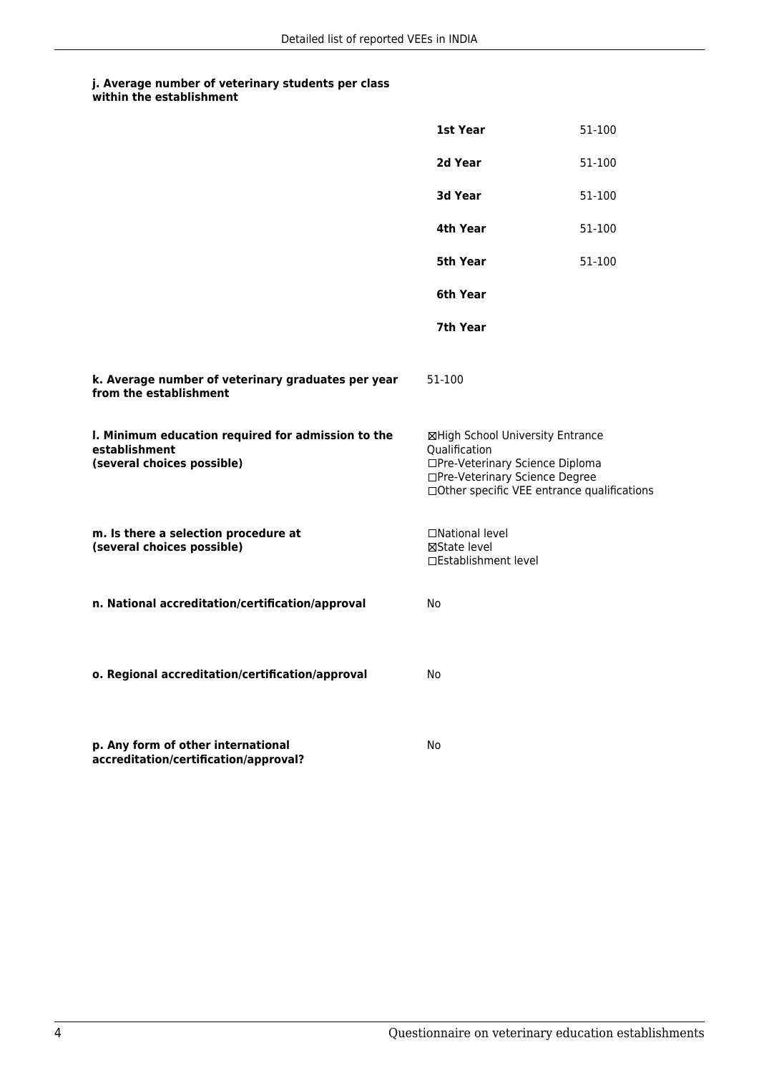|                                                                                                   | 1st Year                                                                                                               | 51-100                                       |
|---------------------------------------------------------------------------------------------------|------------------------------------------------------------------------------------------------------------------------|----------------------------------------------|
|                                                                                                   | 2d Year                                                                                                                | 51-100                                       |
|                                                                                                   | 3d Year                                                                                                                | 51-100                                       |
|                                                                                                   | 4th Year                                                                                                               | 51-100                                       |
|                                                                                                   | 5th Year                                                                                                               | 51-100                                       |
|                                                                                                   | 6th Year                                                                                                               |                                              |
|                                                                                                   | 7th Year                                                                                                               |                                              |
| k. Average number of veterinary graduates per year<br>from the establishment                      | 51-100                                                                                                                 |                                              |
| I. Minimum education required for admission to the<br>establishment<br>(several choices possible) | ⊠High School University Entrance<br>Qualification<br>□Pre-Veterinary Science Diploma<br>□Pre-Veterinary Science Degree | □ Other specific VEE entrance qualifications |
| m. Is there a selection procedure at<br>(several choices possible)                                | □National level<br>⊠State level<br>□Establishment level                                                                |                                              |
| n. National accreditation/certification/approval                                                  | No                                                                                                                     |                                              |
| o. Regional accreditation/certification/approval                                                  | No                                                                                                                     |                                              |
| p. Any form of other international<br>accreditation/certification/approval?                       | No                                                                                                                     |                                              |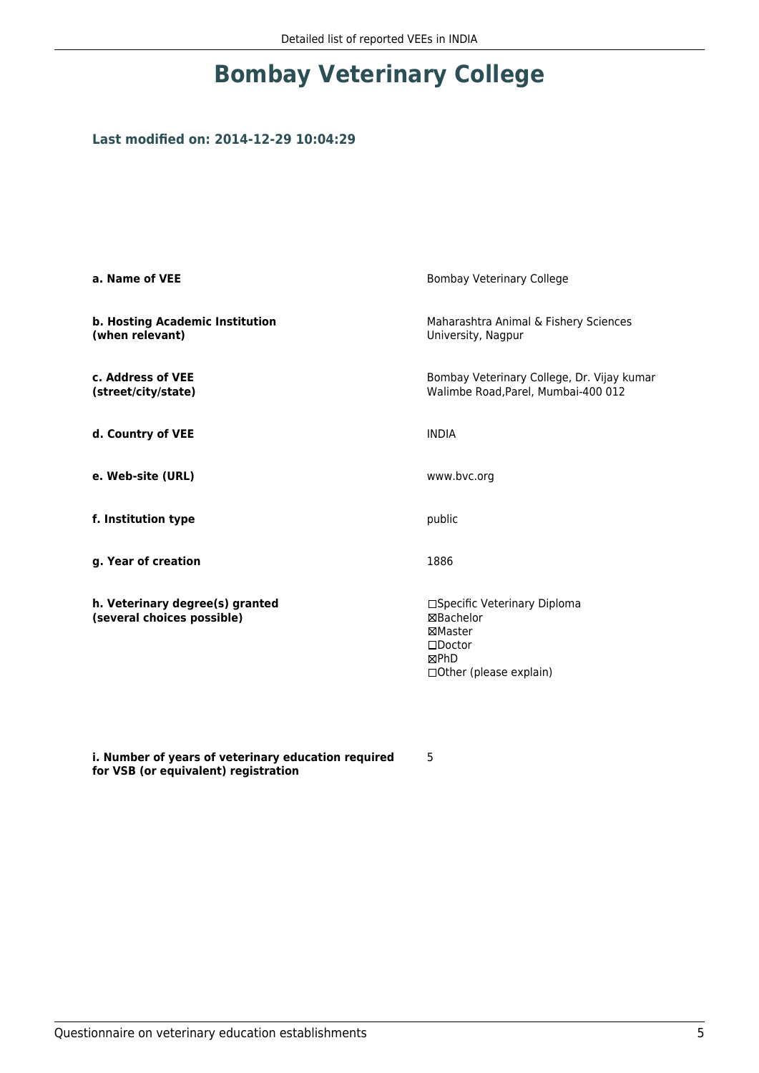### **Bombay Veterinary College**

### **Last modified on: 2014-12-29 10:04:29**

| a. Name of VEE                                                | <b>Bombay Veterinary College</b>                                                                                    |
|---------------------------------------------------------------|---------------------------------------------------------------------------------------------------------------------|
| b. Hosting Academic Institution<br>(when relevant)            | Maharashtra Animal & Fishery Sciences<br>University, Nagpur                                                         |
| c. Address of VEE<br>(street/city/state)                      | Bombay Veterinary College, Dr. Vijay kumar<br>Walimbe Road, Parel, Mumbai-400 012                                   |
| d. Country of VEE                                             | <b>INDIA</b>                                                                                                        |
| e. Web-site (URL)                                             | www.bvc.org                                                                                                         |
| f. Institution type                                           | public                                                                                                              |
| g. Year of creation                                           | 1886                                                                                                                |
| h. Veterinary degree(s) granted<br>(several choices possible) | □Specific Veterinary Diploma<br><b>⊠Bachelor</b><br>⊠Master<br>$\square$ Doctor<br>⊠PhD<br>□ Other (please explain) |

**i. Number of years of veterinary education required for VSB (or equivalent) registration**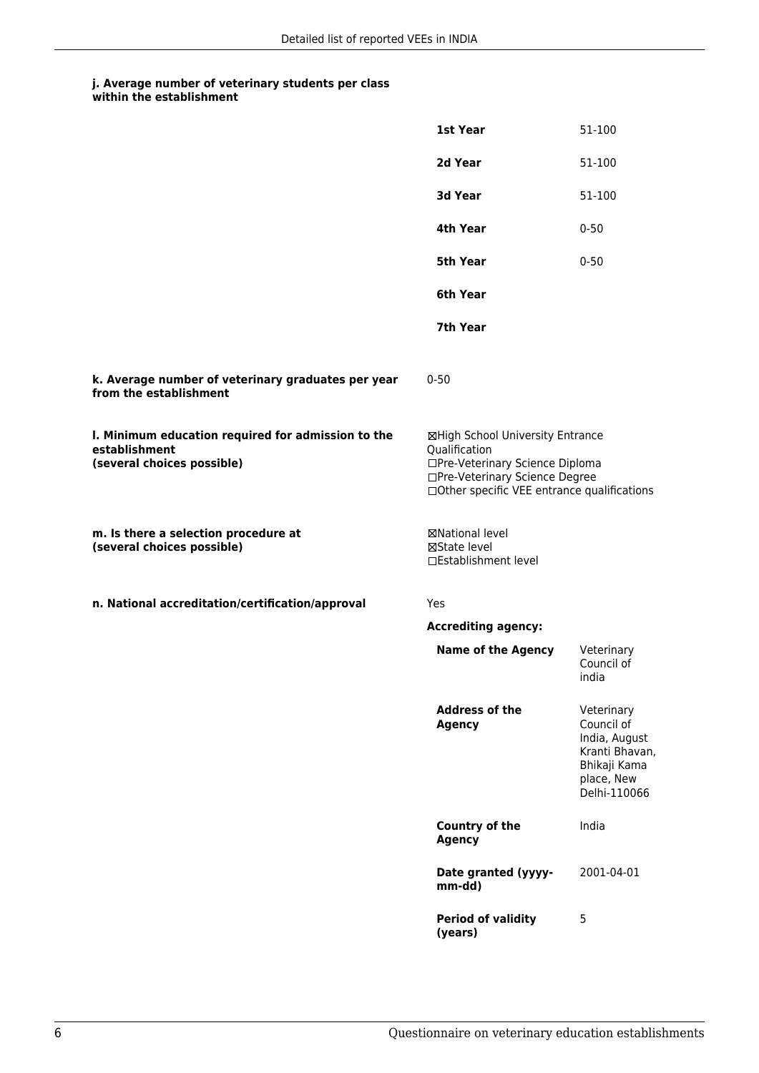|                                                                                                   | 1st Year                                                                                                                                                              | 51-100                                                                                                    |
|---------------------------------------------------------------------------------------------------|-----------------------------------------------------------------------------------------------------------------------------------------------------------------------|-----------------------------------------------------------------------------------------------------------|
|                                                                                                   | 2d Year                                                                                                                                                               | 51-100                                                                                                    |
|                                                                                                   | 3d Year                                                                                                                                                               | 51-100                                                                                                    |
|                                                                                                   | 4th Year                                                                                                                                                              | $0 - 50$                                                                                                  |
|                                                                                                   | 5th Year                                                                                                                                                              | $0 - 50$                                                                                                  |
|                                                                                                   | 6th Year                                                                                                                                                              |                                                                                                           |
|                                                                                                   | 7th Year                                                                                                                                                              |                                                                                                           |
| k. Average number of veterinary graduates per year<br>from the establishment                      | $0 - 50$                                                                                                                                                              |                                                                                                           |
| I. Minimum education required for admission to the<br>establishment<br>(several choices possible) | ⊠High School University Entrance<br>Qualification<br>□Pre-Veterinary Science Diploma<br>□Pre-Veterinary Science Degree<br>□Other specific VEE entrance qualifications |                                                                                                           |
| m. Is there a selection procedure at<br>(several choices possible)                                | <b>⊠National level</b><br>⊠State level<br>□Establishment level                                                                                                        |                                                                                                           |
| n. National accreditation/certification/approval                                                  | Yes                                                                                                                                                                   |                                                                                                           |
|                                                                                                   | <b>Accrediting agency:</b>                                                                                                                                            |                                                                                                           |
|                                                                                                   | <b>Name of the Agency</b>                                                                                                                                             | Veterinary<br>Council of<br>india                                                                         |
|                                                                                                   | <b>Address of the</b><br><b>Agency</b>                                                                                                                                | Veterinary<br>Council of<br>India, August<br>Kranti Bhavan,<br>Bhikaji Kama<br>place, New<br>Delhi-110066 |
|                                                                                                   | Country of the<br><b>Agency</b>                                                                                                                                       | India                                                                                                     |
|                                                                                                   | Date granted (yyyy-<br>mm-dd)                                                                                                                                         | 2001-04-01                                                                                                |
|                                                                                                   | <b>Period of validity</b><br>(years)                                                                                                                                  | 5                                                                                                         |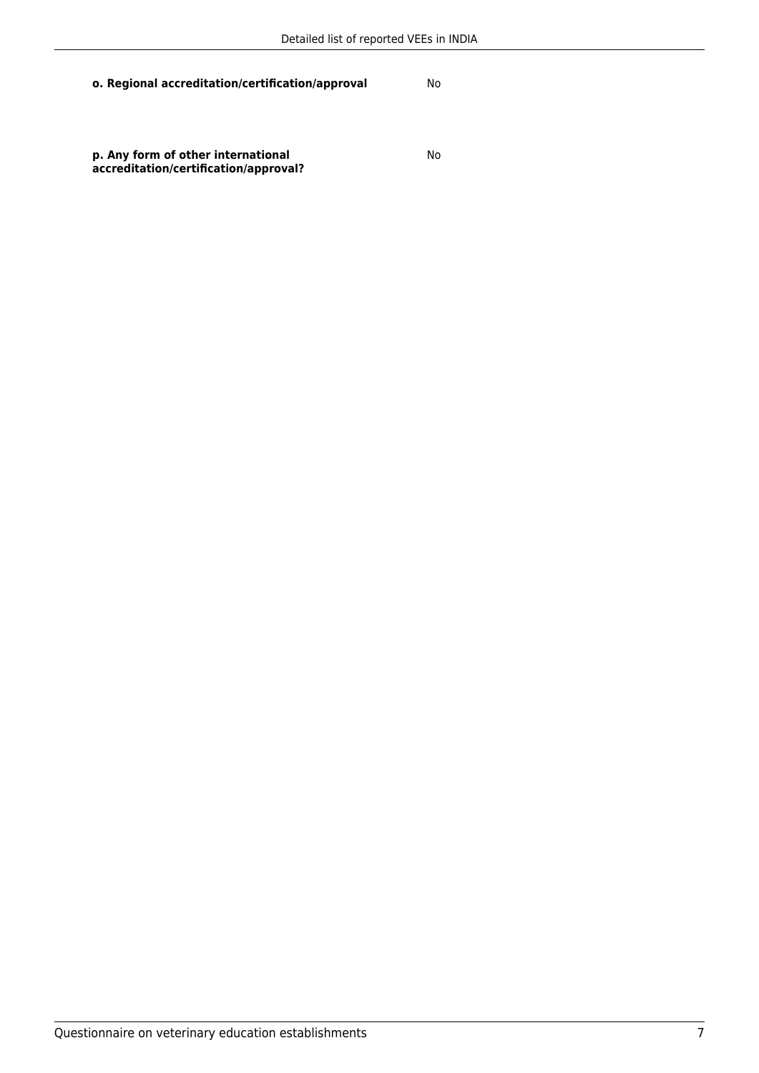**o. Regional accreditation/certification/approval** No

**p. Any form of other international accreditation/certification/approval?**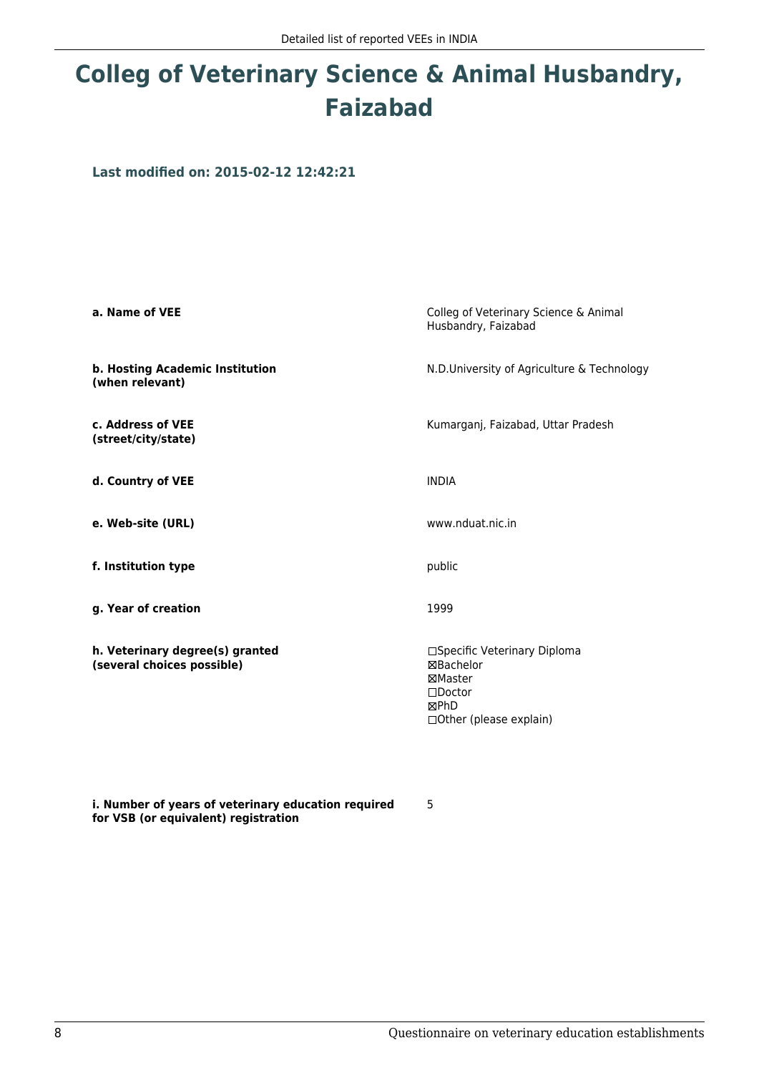# **Colleg of Veterinary Science & Animal Husbandry, Faizabad**

**Last modified on: 2015-02-12 12:42:21**

| a. Name of VEE                                                | Colleg of Veterinary Science & Animal<br>Husbandry, Faizabad                                                     |
|---------------------------------------------------------------|------------------------------------------------------------------------------------------------------------------|
| b. Hosting Academic Institution<br>(when relevant)            | N.D.University of Agriculture & Technology                                                                       |
| c. Address of VEE<br>(street/city/state)                      | Kumarganj, Faizabad, Uttar Pradesh                                                                               |
| d. Country of VEE                                             | <b>INDIA</b>                                                                                                     |
| e. Web-site (URL)                                             | www.nduat.nic.in                                                                                                 |
| f. Institution type                                           | public                                                                                                           |
| g. Year of creation                                           | 1999                                                                                                             |
| h. Veterinary degree(s) granted<br>(several choices possible) | □Specific Veterinary Diploma<br><b>⊠Bachelor</b><br>⊠Master<br>$\Box$ Doctor<br>⊠PhD<br>□ Other (please explain) |

5

**i. Number of years of veterinary education required for VSB (or equivalent) registration**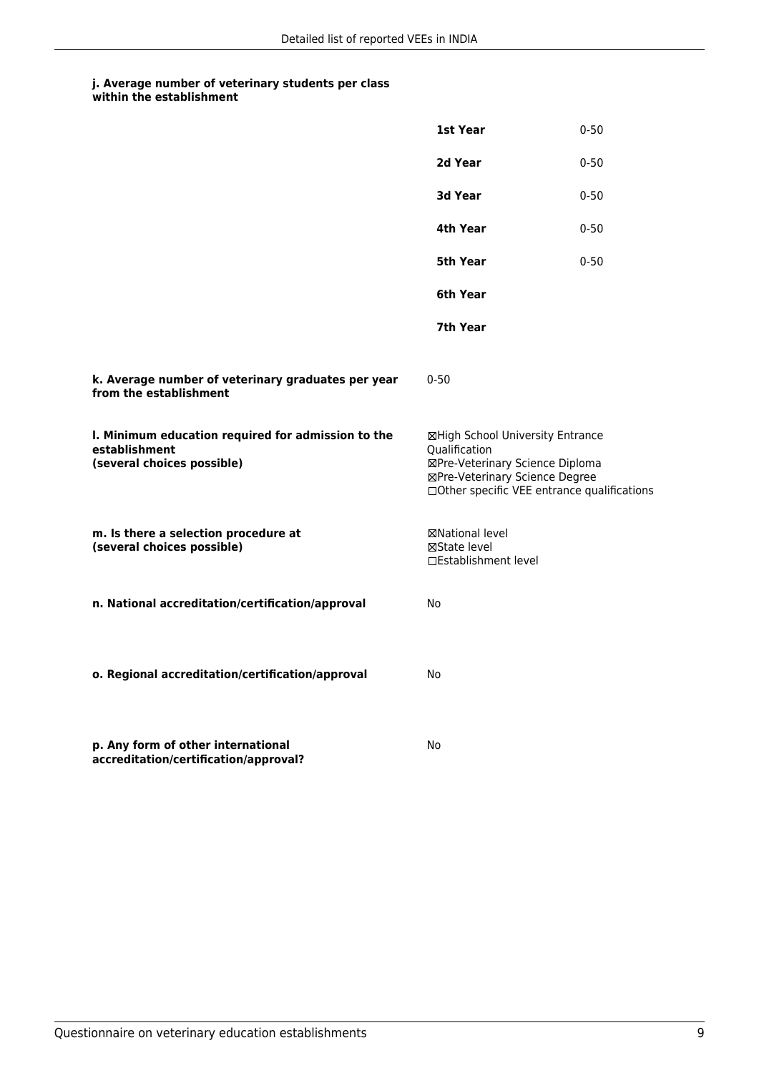|                                                                                                   | 1st Year                                                                                                               | $0 - 50$                                    |
|---------------------------------------------------------------------------------------------------|------------------------------------------------------------------------------------------------------------------------|---------------------------------------------|
|                                                                                                   | 2d Year                                                                                                                | $0 - 50$                                    |
|                                                                                                   | 3d Year                                                                                                                | $0 - 50$                                    |
|                                                                                                   | 4th Year                                                                                                               | $0 - 50$                                    |
|                                                                                                   | 5th Year                                                                                                               | $0 - 50$                                    |
|                                                                                                   | 6th Year                                                                                                               |                                             |
|                                                                                                   | 7th Year                                                                                                               |                                             |
| k. Average number of veterinary graduates per year<br>from the establishment                      | $0 - 50$                                                                                                               |                                             |
| I. Minimum education required for admission to the<br>establishment<br>(several choices possible) | ⊠High School University Entrance<br>Qualification<br>⊠Pre-Veterinary Science Diploma<br>⊠Pre-Veterinary Science Degree | □Other specific VEE entrance qualifications |
| m. Is there a selection procedure at<br>(several choices possible)                                | ⊠National level<br>⊠State level<br>□Establishment level                                                                |                                             |
| n. National accreditation/certification/approval                                                  | No                                                                                                                     |                                             |
| o. Regional accreditation/certification/approval                                                  | No                                                                                                                     |                                             |
| p. Any form of other international<br>accreditation/certification/approval?                       | No                                                                                                                     |                                             |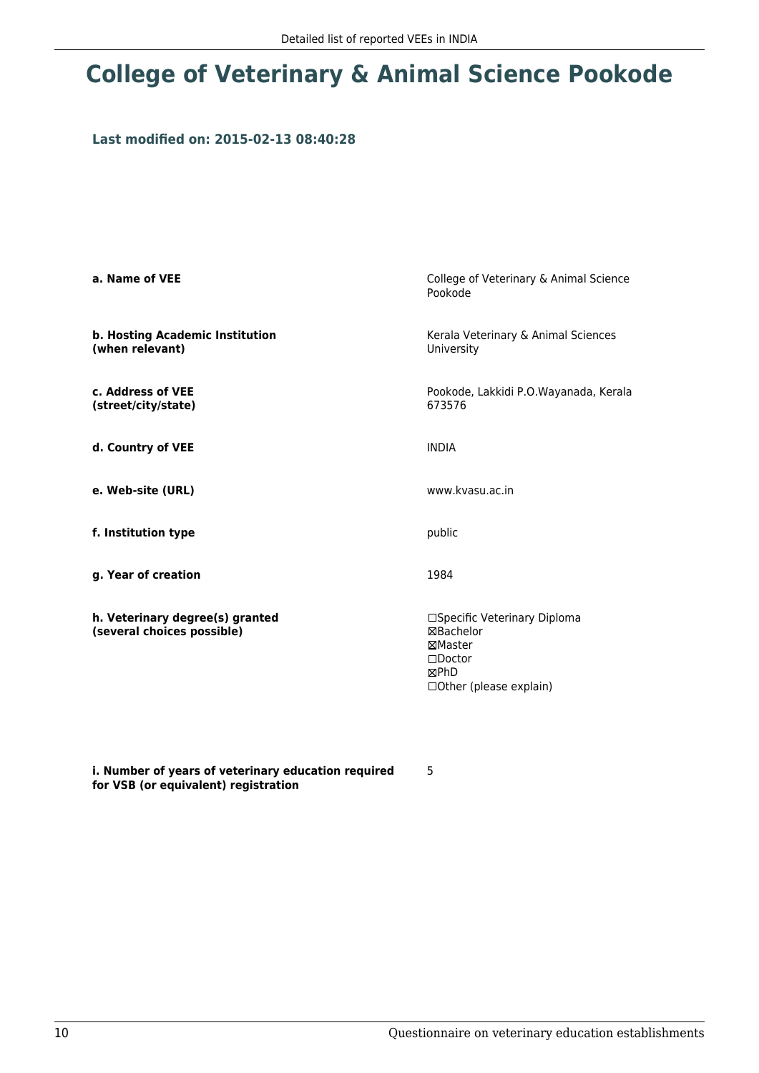### **College of Veterinary & Animal Science Pookode**

### **Last modified on: 2015-02-13 08:40:28**

| a. Name of VEE                                                | College of Veterinary & Animal Science<br>Pookode                                                           |
|---------------------------------------------------------------|-------------------------------------------------------------------------------------------------------------|
| b. Hosting Academic Institution<br>(when relevant)            | Kerala Veterinary & Animal Sciences<br>University                                                           |
| c. Address of VEE<br>(street/city/state)                      | Pookode, Lakkidi P.O.Wayanada, Kerala<br>673576                                                             |
| d. Country of VEE                                             | <b>INDIA</b>                                                                                                |
| e. Web-site (URL)                                             | www.kvasu.ac.in                                                                                             |
| f. Institution type                                           | public                                                                                                      |
| g. Year of creation                                           | 1984                                                                                                        |
| h. Veterinary degree(s) granted<br>(several choices possible) | □Specific Veterinary Diploma<br>⊠Bachelor<br>⊠Master<br>$\square$ Doctor<br>⊠PhD<br>□Other (please explain) |

**i. Number of years of veterinary education required for VSB (or equivalent) registration**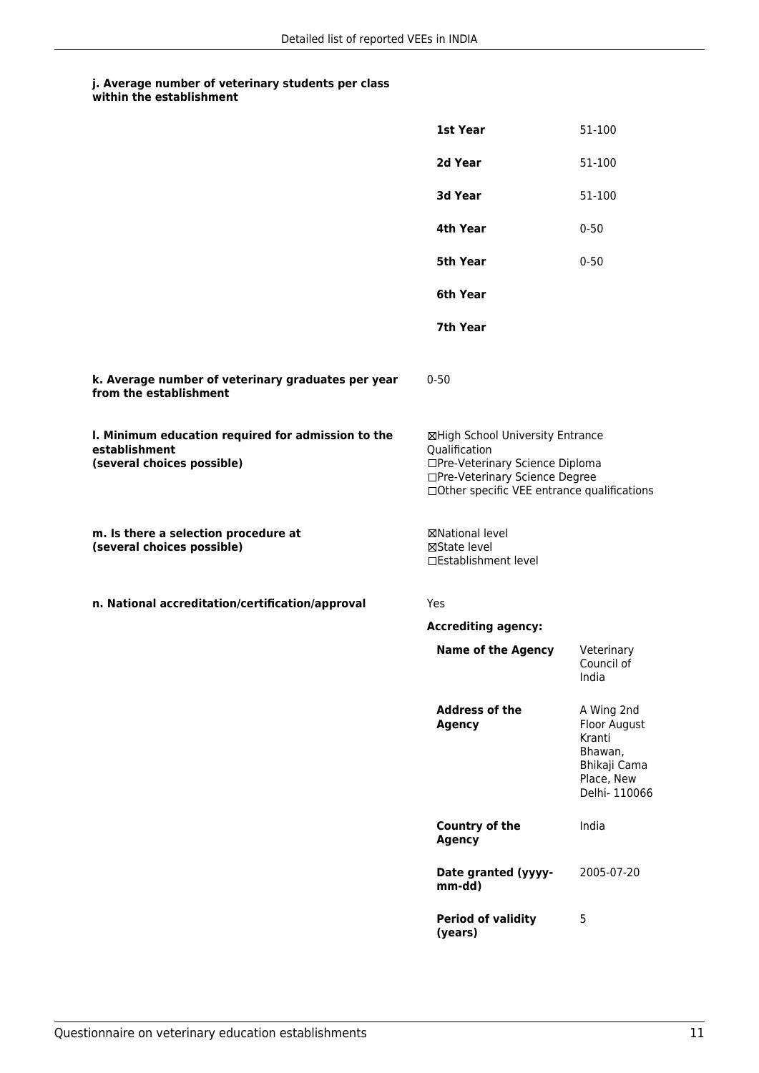|                                                                                                   | 1st Year                                                                                                                                                              | 51-100                                                                                         |
|---------------------------------------------------------------------------------------------------|-----------------------------------------------------------------------------------------------------------------------------------------------------------------------|------------------------------------------------------------------------------------------------|
|                                                                                                   | 2d Year                                                                                                                                                               | 51-100                                                                                         |
|                                                                                                   | 3d Year                                                                                                                                                               | 51-100                                                                                         |
|                                                                                                   | 4th Year                                                                                                                                                              | $0 - 50$                                                                                       |
|                                                                                                   | 5th Year                                                                                                                                                              | $0 - 50$                                                                                       |
|                                                                                                   | 6th Year                                                                                                                                                              |                                                                                                |
|                                                                                                   | 7th Year                                                                                                                                                              |                                                                                                |
| k. Average number of veterinary graduates per year<br>from the establishment                      | $0 - 50$                                                                                                                                                              |                                                                                                |
| I. Minimum education required for admission to the<br>establishment<br>(several choices possible) | ⊠High School University Entrance<br>Qualification<br>□Pre-Veterinary Science Diploma<br>□Pre-Veterinary Science Degree<br>□Other specific VEE entrance qualifications |                                                                                                |
| m. Is there a selection procedure at<br>(several choices possible)                                | ⊠National level<br>⊠State level<br>□Establishment level                                                                                                               |                                                                                                |
| n. National accreditation/certification/approval                                                  | Yes                                                                                                                                                                   |                                                                                                |
|                                                                                                   | <b>Accrediting agency:</b>                                                                                                                                            |                                                                                                |
|                                                                                                   | <b>Name of the Agency</b>                                                                                                                                             | Veterinary<br>Council of<br>India                                                              |
|                                                                                                   | <b>Address of the</b><br><b>Agency</b>                                                                                                                                | A Wing 2nd<br>Floor August<br>Kranti<br>Bhawan,<br>Bhikaji Cama<br>Place, New<br>Delhi- 110066 |
|                                                                                                   | Country of the<br><b>Agency</b>                                                                                                                                       | India                                                                                          |
|                                                                                                   | Date granted (yyyy-<br>mm-dd)                                                                                                                                         | 2005-07-20                                                                                     |
|                                                                                                   | <b>Period of validity</b><br>(years)                                                                                                                                  | 5                                                                                              |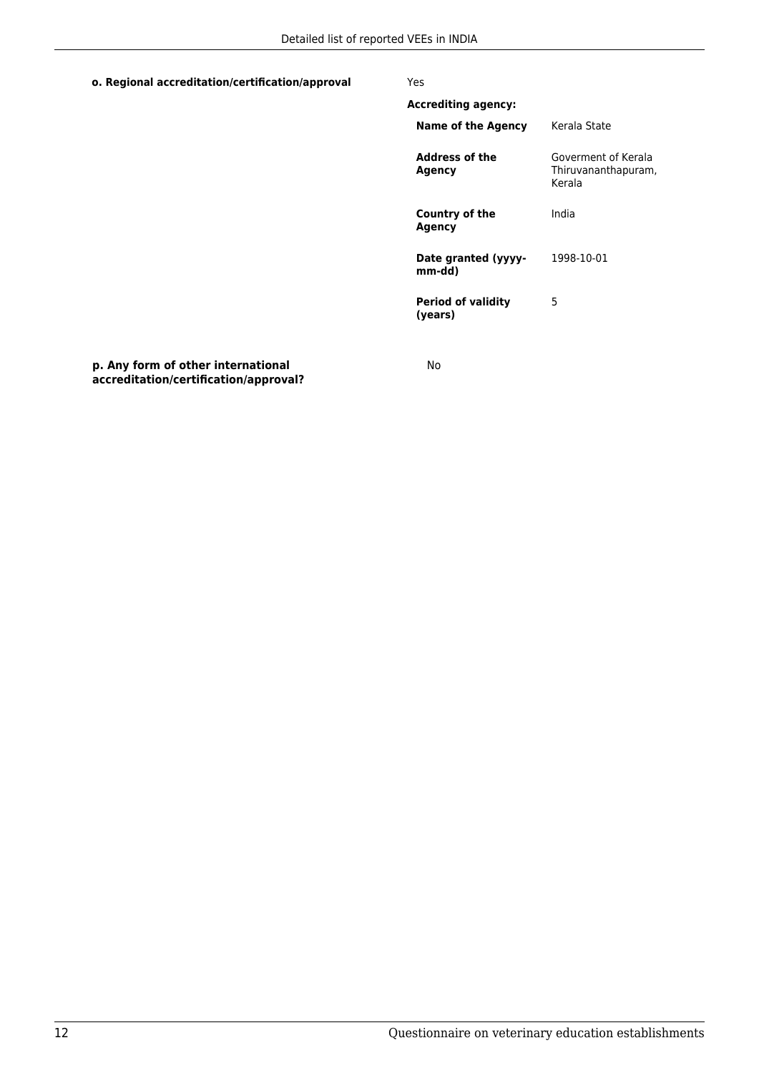### **o. Regional accreditation/certification/approval** Yes

| <b>Accrediting agency:</b>           |                                                      |
|--------------------------------------|------------------------------------------------------|
| Name of the Agency                   | Kerala State                                         |
| <b>Address of the</b><br>Agency      | Goverment of Kerala<br>Thiruvananthapuram,<br>Kerala |
| Country of the<br>Agency             | India                                                |
| Date granted (yyyy-<br>mm-dd)        | 1998-10-01                                           |
| <b>Period of validity</b><br>(vears) | 5                                                    |
|                                      |                                                      |

**p. Any form of other international accreditation/certification/approval?**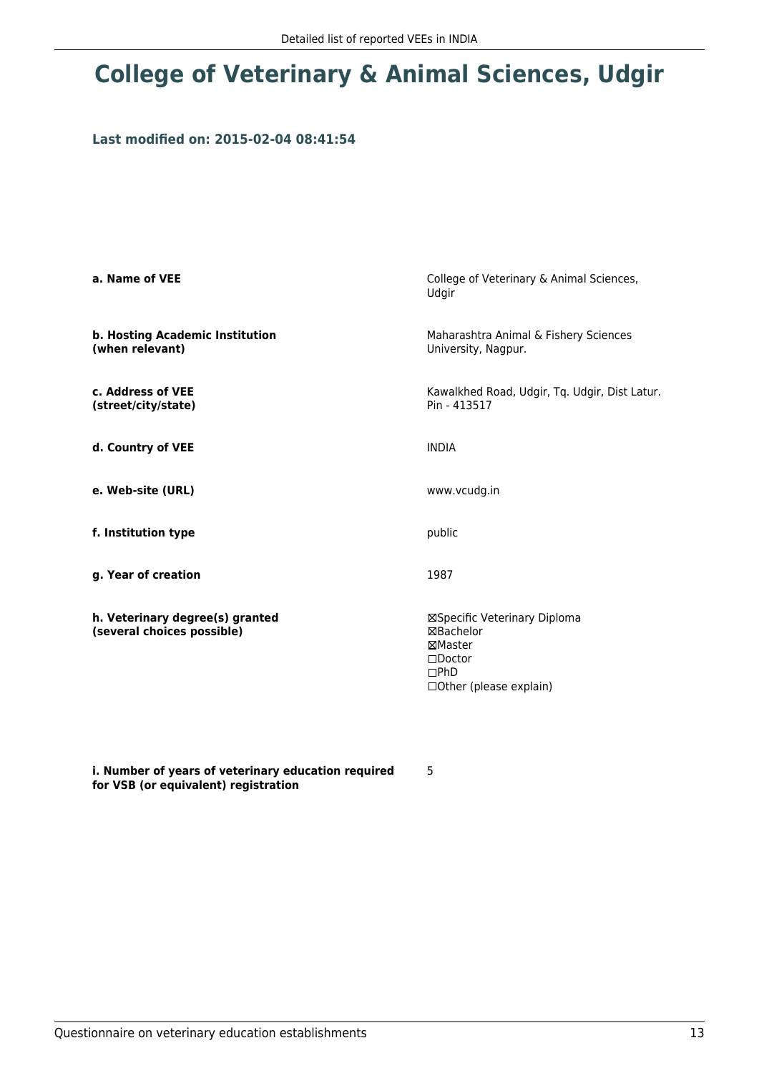### **College of Veterinary & Animal Sciences, Udgir**

### **Last modified on: 2015-02-04 08:41:54**

| a. Name of VEE                                                | College of Veterinary & Animal Sciences,<br>Udgir                                                                  |
|---------------------------------------------------------------|--------------------------------------------------------------------------------------------------------------------|
| b. Hosting Academic Institution<br>(when relevant)            | Maharashtra Animal & Fishery Sciences<br>University, Nagpur.                                                       |
| c. Address of VEE<br>(street/city/state)                      | Kawalkhed Road, Udgir, Tq. Udgir, Dist Latur.<br>Pin - 413517                                                      |
| d. Country of VEE                                             | <b>INDIA</b>                                                                                                       |
| e. Web-site (URL)                                             | www.vcudg.in                                                                                                       |
| f. Institution type                                           | public                                                                                                             |
| g. Year of creation                                           | 1987                                                                                                               |
| h. Veterinary degree(s) granted<br>(several choices possible) | ⊠Specific Veterinary Diploma<br>⊠Bachelor<br>⊠Master<br>$\square$ Doctor<br>$\Box$ PhD<br>□ Other (please explain) |

**i. Number of years of veterinary education required for VSB (or equivalent) registration**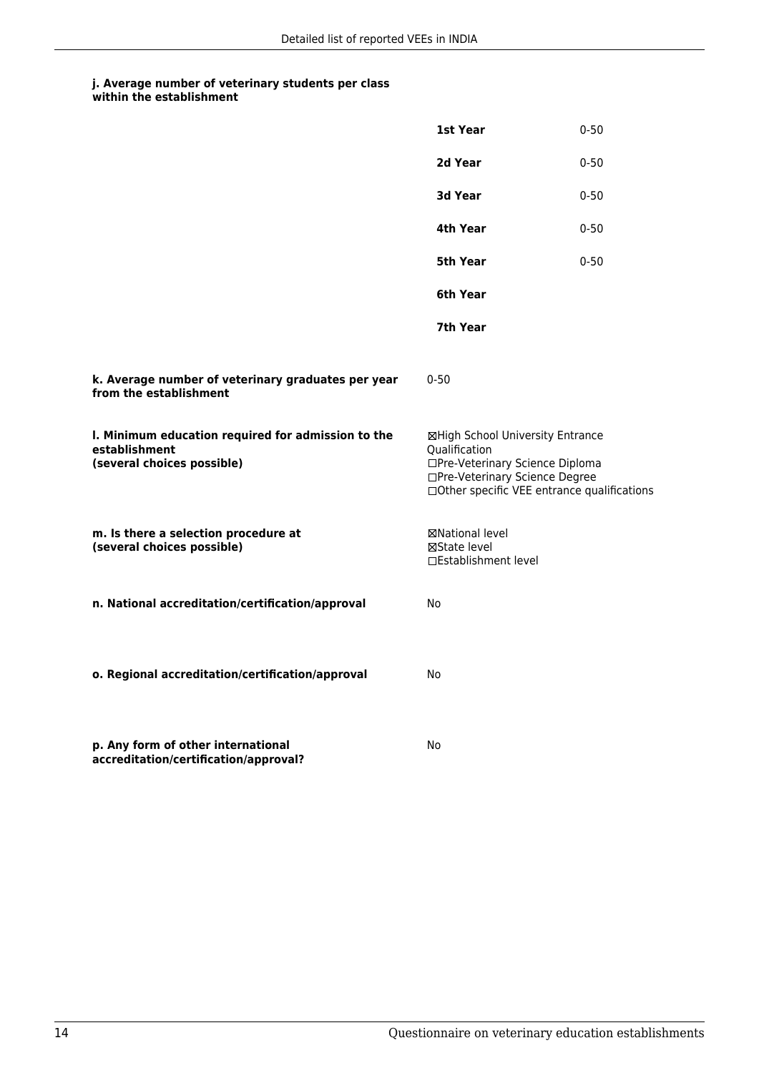|                                                                                                   | 1st Year                                                                                                               | $0 - 50$                                    |
|---------------------------------------------------------------------------------------------------|------------------------------------------------------------------------------------------------------------------------|---------------------------------------------|
|                                                                                                   | 2d Year                                                                                                                | $0 - 50$                                    |
|                                                                                                   | 3d Year                                                                                                                | $0 - 50$                                    |
|                                                                                                   | 4th Year                                                                                                               | $0 - 50$                                    |
|                                                                                                   | 5th Year                                                                                                               | $0 - 50$                                    |
|                                                                                                   | 6th Year                                                                                                               |                                             |
|                                                                                                   | 7th Year                                                                                                               |                                             |
| k. Average number of veterinary graduates per year<br>from the establishment                      | $0 - 50$                                                                                                               |                                             |
| I. Minimum education required for admission to the<br>establishment<br>(several choices possible) | ⊠High School University Entrance<br>Qualification<br>□Pre-Veterinary Science Diploma<br>□Pre-Veterinary Science Degree | □Other specific VEE entrance qualifications |
| m. Is there a selection procedure at<br>(several choices possible)                                | ⊠National level<br>⊠State level<br>□Establishment level                                                                |                                             |
| n. National accreditation/certification/approval                                                  | No                                                                                                                     |                                             |
| o. Regional accreditation/certification/approval                                                  | No                                                                                                                     |                                             |
| p. Any form of other international<br>accreditation/certification/approval?                       | No                                                                                                                     |                                             |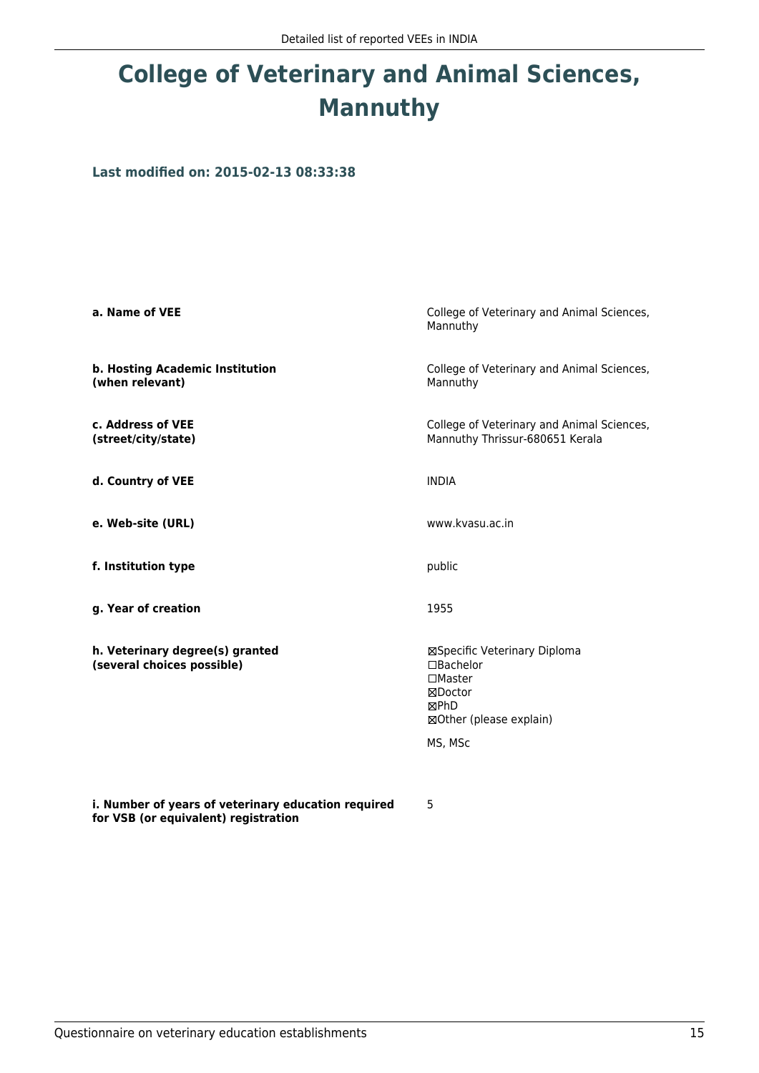# **College of Veterinary and Animal Sciences, Mannuthy**

**Last modified on: 2015-02-13 08:33:38**

| a. Name of VEE                                                | College of Veterinary and Animal Sciences,<br>Mannuthy                                                              |
|---------------------------------------------------------------|---------------------------------------------------------------------------------------------------------------------|
| b. Hosting Academic Institution<br>(when relevant)            | College of Veterinary and Animal Sciences,<br>Mannuthy                                                              |
| c. Address of VEE<br>(street/city/state)                      | College of Veterinary and Animal Sciences,<br>Mannuthy Thrissur-680651 Kerala                                       |
| d. Country of VEE                                             | <b>INDIA</b>                                                                                                        |
| e. Web-site (URL)                                             | www.kvasu.ac.in                                                                                                     |
| f. Institution type                                           | public                                                                                                              |
| g. Year of creation                                           | 1955                                                                                                                |
| h. Veterinary degree(s) granted<br>(several choices possible) | ⊠Specific Veterinary Diploma<br>□Bachelor<br>$\Box$ Master<br>⊠Doctor<br>⊠PhD<br>⊠Other (please explain)<br>MS, MSc |
| i. Number of vears of veterinary education required           | 5                                                                                                                   |

**i. Number of years of veterinary education required for VSB (or equivalent) registration**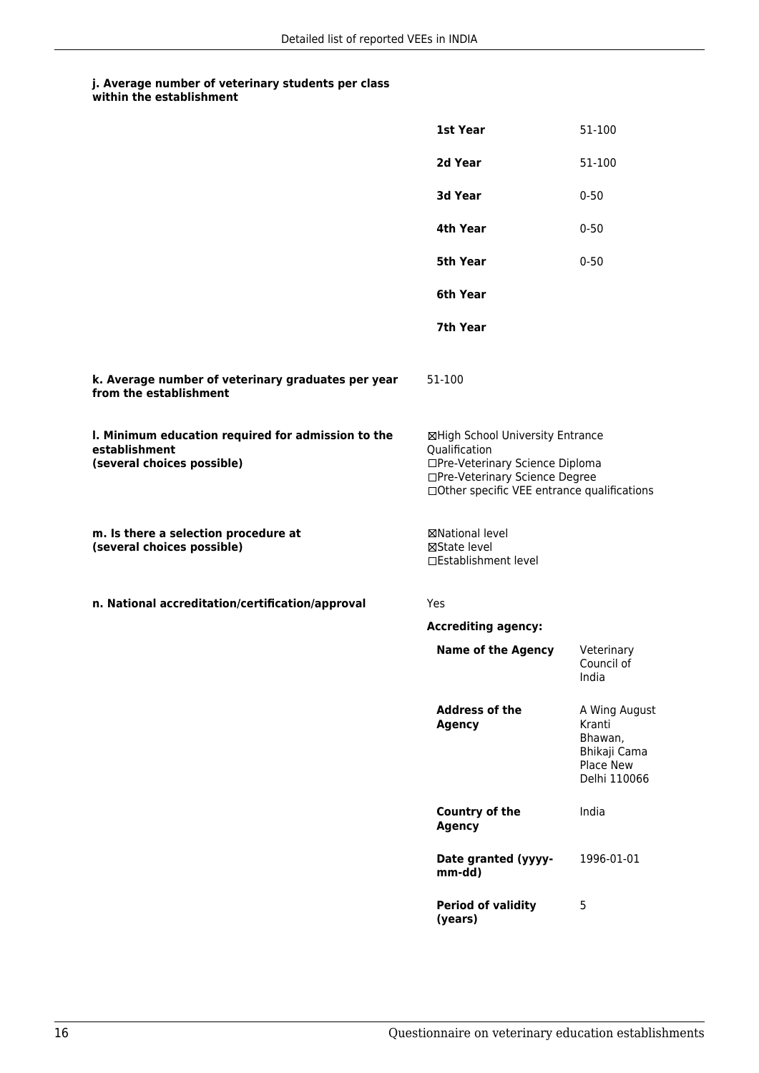|                                                                                                   | 1st Year                                                                                                                                                              | 51-100                                                                          |
|---------------------------------------------------------------------------------------------------|-----------------------------------------------------------------------------------------------------------------------------------------------------------------------|---------------------------------------------------------------------------------|
|                                                                                                   | 2d Year                                                                                                                                                               | 51-100                                                                          |
|                                                                                                   | 3d Year                                                                                                                                                               | $0 - 50$                                                                        |
|                                                                                                   | 4th Year                                                                                                                                                              | $0 - 50$                                                                        |
|                                                                                                   | 5th Year                                                                                                                                                              | $0 - 50$                                                                        |
|                                                                                                   | 6th Year                                                                                                                                                              |                                                                                 |
|                                                                                                   | 7th Year                                                                                                                                                              |                                                                                 |
| k. Average number of veterinary graduates per year<br>from the establishment                      | 51-100                                                                                                                                                                |                                                                                 |
| I. Minimum education required for admission to the<br>establishment<br>(several choices possible) | ⊠High School University Entrance<br>Qualification<br>□Pre-Veterinary Science Diploma<br>□Pre-Veterinary Science Degree<br>□Other specific VEE entrance qualifications |                                                                                 |
| m. Is there a selection procedure at<br>(several choices possible)                                | ⊠National level<br>⊠State level<br>□Establishment level                                                                                                               |                                                                                 |
| n. National accreditation/certification/approval                                                  | Yes                                                                                                                                                                   |                                                                                 |
|                                                                                                   | <b>Accrediting agency:</b>                                                                                                                                            |                                                                                 |
|                                                                                                   | <b>Name of the Agency</b>                                                                                                                                             | Veterinary<br>Council of<br>India                                               |
|                                                                                                   | <b>Address of the</b><br><b>Agency</b>                                                                                                                                | A Wing August<br>Kranti<br>Bhawan,<br>Bhikaji Cama<br>Place New<br>Delhi 110066 |
|                                                                                                   | <b>Country of the</b><br><b>Agency</b>                                                                                                                                | India                                                                           |
|                                                                                                   | Date granted (yyyy-<br>mm-dd)                                                                                                                                         | 1996-01-01                                                                      |
|                                                                                                   | <b>Period of validity</b><br>(years)                                                                                                                                  | 5                                                                               |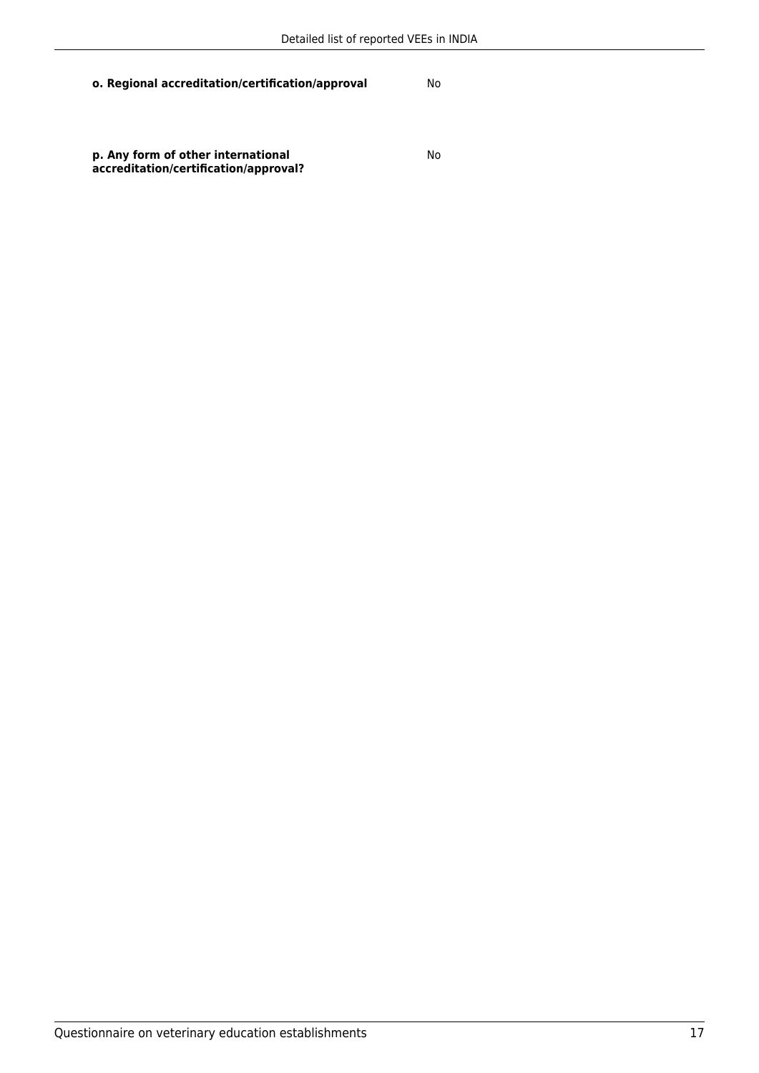**o. Regional accreditation/certification/approval** No

**p. Any form of other international accreditation/certification/approval?**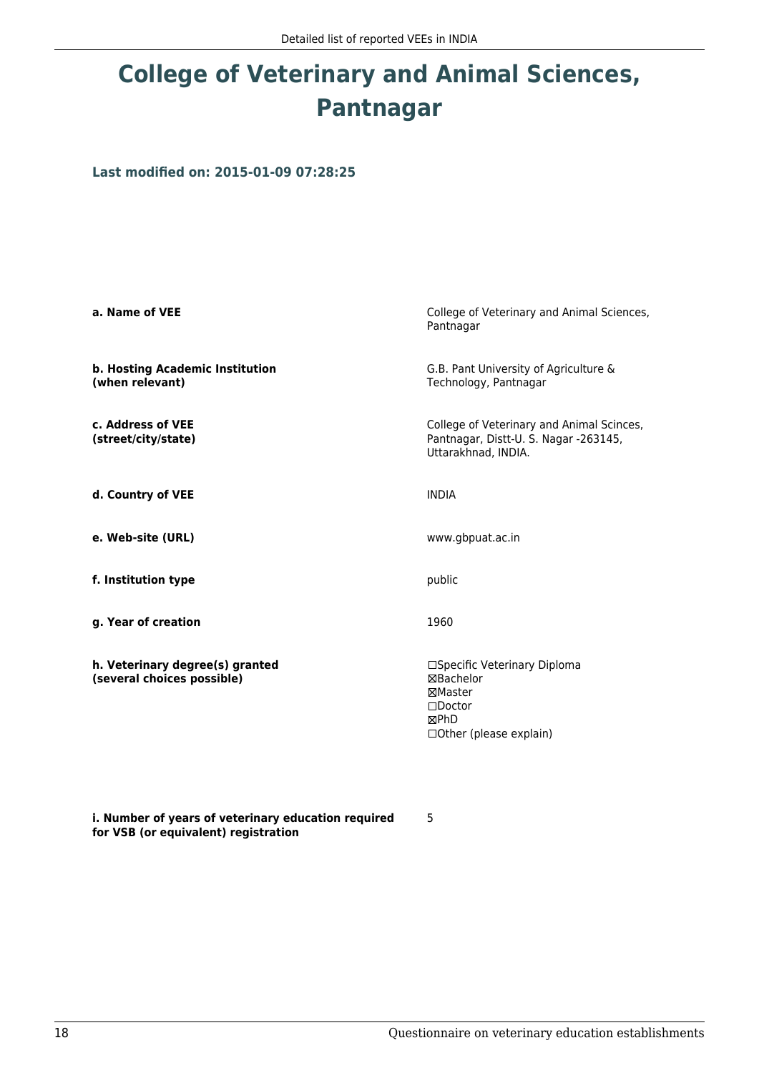# **College of Veterinary and Animal Sciences, Pantnagar**

**Last modified on: 2015-01-09 07:28:25**

| a. Name of VEE                                                | College of Veterinary and Animal Sciences,<br>Pantnagar                                                           |
|---------------------------------------------------------------|-------------------------------------------------------------------------------------------------------------------|
| b. Hosting Academic Institution<br>(when relevant)            | G.B. Pant University of Agriculture &<br>Technology, Pantnagar                                                    |
| c. Address of VEE<br>(street/city/state)                      | College of Veterinary and Animal Scinces,<br>Pantnagar, Distt-U. S. Nagar -263145,<br>Uttarakhnad, INDIA.         |
| d. Country of VEE                                             | <b>INDIA</b>                                                                                                      |
| e. Web-site (URL)                                             | www.gbpuat.ac.in                                                                                                  |
| f. Institution type                                           | public                                                                                                            |
| g. Year of creation                                           | 1960                                                                                                              |
| h. Veterinary degree(s) granted<br>(several choices possible) | □Specific Veterinary Diploma<br>⊠Bachelor<br>⊠Master<br>$\square$ Doctor<br>⊠PhD<br>$\Box$ Other (please explain) |

**i. Number of years of veterinary education required for VSB (or equivalent) registration**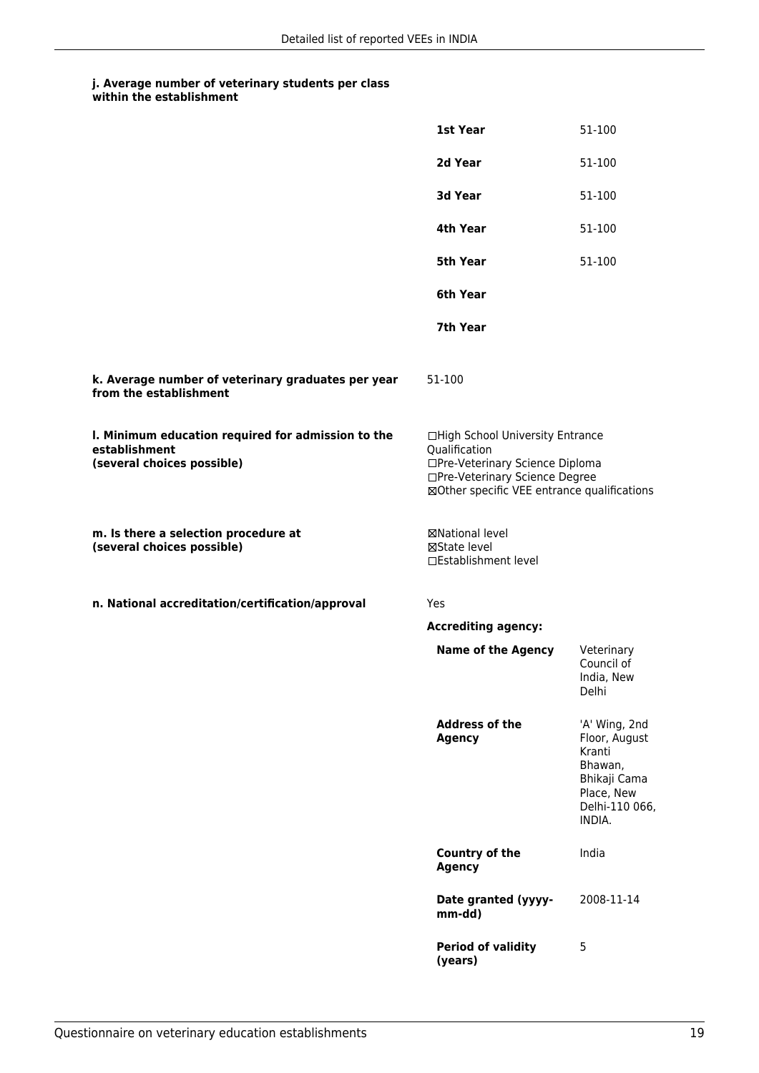|                                                                                                   | 1st Year                                                                                                                                                              | 51-100                                                                                                        |
|---------------------------------------------------------------------------------------------------|-----------------------------------------------------------------------------------------------------------------------------------------------------------------------|---------------------------------------------------------------------------------------------------------------|
|                                                                                                   | 2d Year                                                                                                                                                               | 51-100                                                                                                        |
|                                                                                                   | <b>3d Year</b>                                                                                                                                                        | 51-100                                                                                                        |
|                                                                                                   | 4th Year                                                                                                                                                              | 51-100                                                                                                        |
|                                                                                                   | <b>5th Year</b>                                                                                                                                                       | 51-100                                                                                                        |
|                                                                                                   | 6th Year                                                                                                                                                              |                                                                                                               |
|                                                                                                   | 7th Year                                                                                                                                                              |                                                                                                               |
| k. Average number of veterinary graduates per year<br>from the establishment                      | 51-100                                                                                                                                                                |                                                                                                               |
| I. Minimum education required for admission to the<br>establishment<br>(several choices possible) | □High School University Entrance<br>Qualification<br>□Pre-Veterinary Science Diploma<br>□Pre-Veterinary Science Degree<br>⊠Other specific VEE entrance qualifications |                                                                                                               |
| m. Is there a selection procedure at<br>(several choices possible)                                | ⊠National level<br>⊠State level<br>□Establishment level                                                                                                               |                                                                                                               |
| n. National accreditation/certification/approval                                                  | Yes                                                                                                                                                                   |                                                                                                               |
|                                                                                                   | <b>Accrediting agency:</b>                                                                                                                                            |                                                                                                               |
|                                                                                                   | <b>Name of the Agency</b>                                                                                                                                             | Veterinary<br>Council of<br>India, New<br><b>Delhi</b>                                                        |
|                                                                                                   | <b>Address of the</b><br><b>Agency</b>                                                                                                                                | 'A' Wing, 2nd<br>Floor, August<br>Kranti<br>Bhawan,<br>Bhikaji Cama<br>Place, New<br>Delhi-110 066,<br>INDIA. |
|                                                                                                   | <b>Country of the</b><br><b>Agency</b>                                                                                                                                | India                                                                                                         |
|                                                                                                   | Date granted (yyyy-<br>mm-dd)                                                                                                                                         | 2008-11-14                                                                                                    |
|                                                                                                   | <b>Period of validity</b><br>(years)                                                                                                                                  | 5                                                                                                             |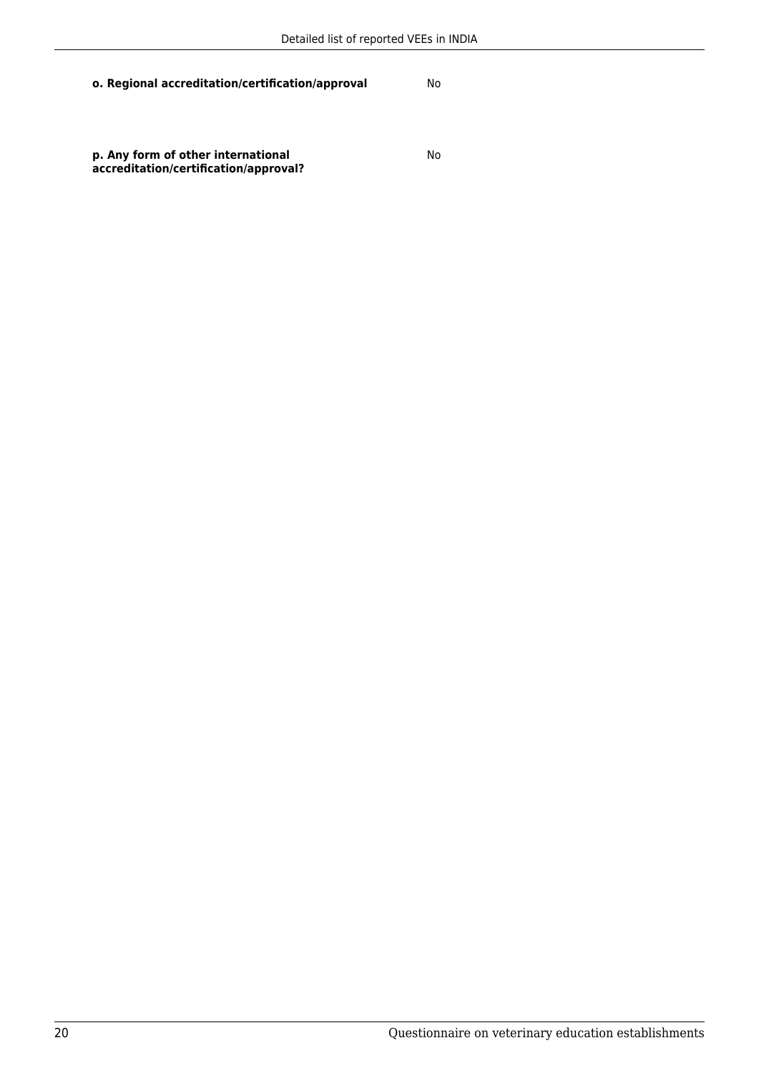**o. Regional accreditation/certification/approval** No

**p. Any form of other international accreditation/certification/approval?**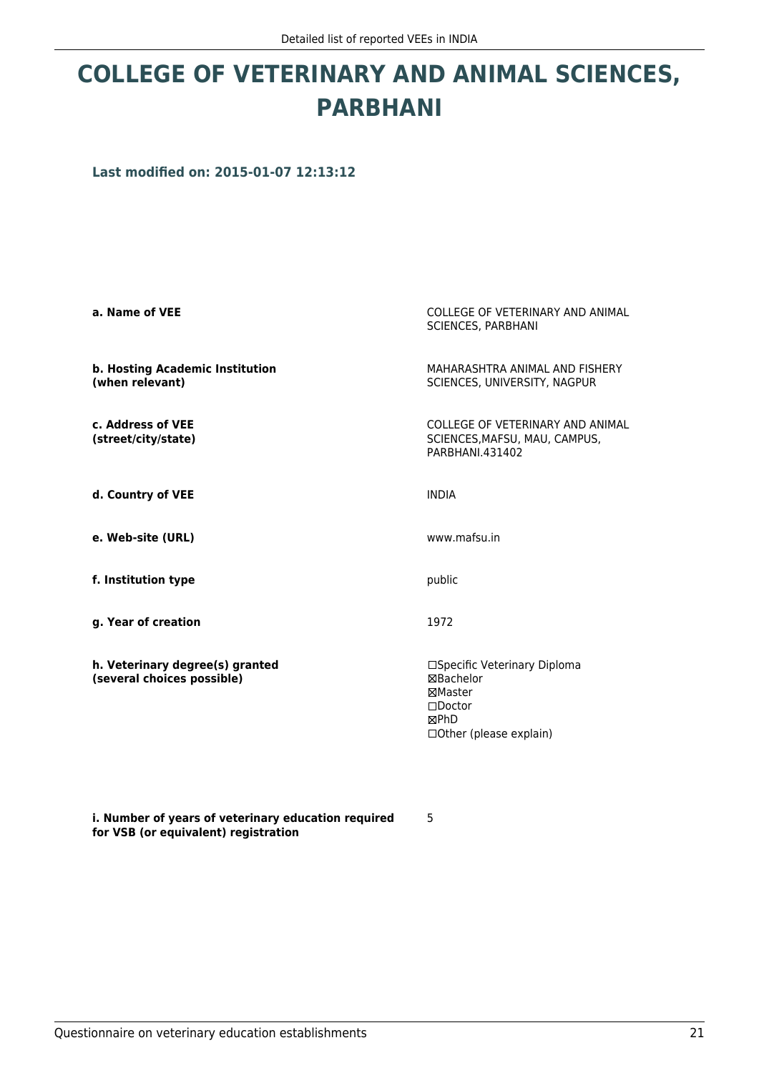### **COLLEGE OF VETERINARY AND ANIMAL SCIENCES, PARBHANI**

**Last modified on: 2015-01-07 12:13:12**

| a. Name of VEE                                                | COLLEGE OF VETERINARY AND ANIMAL<br><b>SCIENCES, PARBHANI</b>                                                                |
|---------------------------------------------------------------|------------------------------------------------------------------------------------------------------------------------------|
| b. Hosting Academic Institution<br>(when relevant)            | MAHARASHTRA ANIMAL AND FISHERY<br>SCIENCES, UNIVERSITY, NAGPUR                                                               |
| c. Address of VEE<br>(street/city/state)                      | COLLEGE OF VETERINARY AND ANIMAL<br>SCIENCES, MAFSU, MAU, CAMPUS,<br>PARBHANI 431402                                         |
| d. Country of VEE                                             | <b>INDIA</b>                                                                                                                 |
| e. Web-site (URL)                                             | www.mafsu.in                                                                                                                 |
| f. Institution type                                           | public                                                                                                                       |
| g. Year of creation                                           | 1972                                                                                                                         |
| h. Veterinary degree(s) granted<br>(several choices possible) | □Specific Veterinary Diploma<br><b>⊠Bachelor</b><br>⊠Master<br>$\Box$ Doctor<br><b>MPhD</b><br>$\Box$ Other (please explain) |

**i. Number of years of veterinary education required for VSB (or equivalent) registration**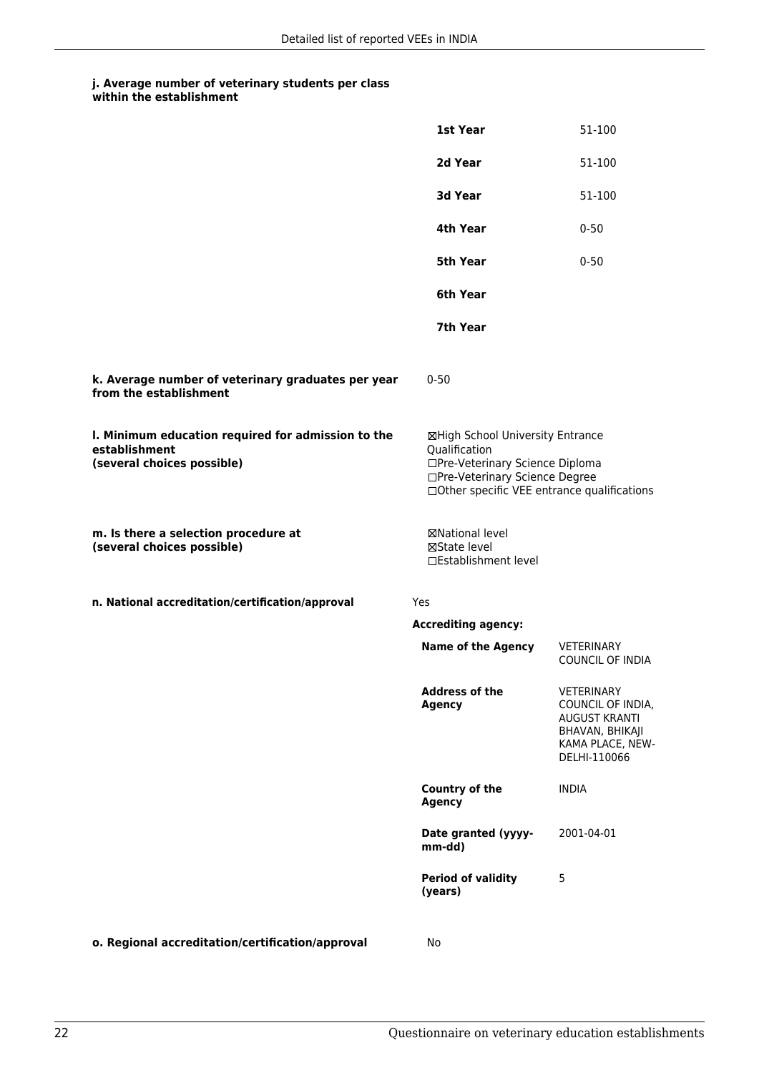|                                                                                                   | 1st Year                                                                                                               | 51-100                                                                                                                |
|---------------------------------------------------------------------------------------------------|------------------------------------------------------------------------------------------------------------------------|-----------------------------------------------------------------------------------------------------------------------|
|                                                                                                   | 2d Year                                                                                                                | 51-100                                                                                                                |
|                                                                                                   | 3d Year                                                                                                                | 51-100                                                                                                                |
|                                                                                                   | 4th Year                                                                                                               | $0 - 50$                                                                                                              |
|                                                                                                   | <b>5th Year</b>                                                                                                        | $0 - 50$                                                                                                              |
|                                                                                                   | 6th Year                                                                                                               |                                                                                                                       |
|                                                                                                   | 7th Year                                                                                                               |                                                                                                                       |
| k. Average number of veterinary graduates per year<br>from the establishment                      | $0 - 50$                                                                                                               |                                                                                                                       |
| I. Minimum education required for admission to the<br>establishment<br>(several choices possible) | ⊠High School University Entrance<br>Qualification<br>□Pre-Veterinary Science Diploma<br>□Pre-Veterinary Science Degree | □Other specific VEE entrance qualifications                                                                           |
| m. Is there a selection procedure at<br>(several choices possible)                                | ⊠National level<br>⊠State level<br>□Establishment level                                                                |                                                                                                                       |
| n. National accreditation/certification/approval                                                  | Yes                                                                                                                    |                                                                                                                       |
|                                                                                                   | <b>Accrediting agency:</b>                                                                                             |                                                                                                                       |
|                                                                                                   | <b>Name of the Agency</b>                                                                                              | VETERINARY<br><b>COUNCIL OF INDIA</b>                                                                                 |
|                                                                                                   | <b>Address of the</b><br><b>Agency</b>                                                                                 | <b>VETERINARY</b><br>COUNCIL OF INDIA,<br><b>AUGUST KRANTI</b><br>BHAVAN, BHIKAJI<br>KAMA PLACE, NEW-<br>DELHI-110066 |
|                                                                                                   | <b>Country of the</b><br><b>Agency</b>                                                                                 | <b>INDIA</b>                                                                                                          |
|                                                                                                   | Date granted (yyyy-<br>mm-dd)                                                                                          | 2001-04-01                                                                                                            |
|                                                                                                   | <b>Period of validity</b><br>(years)                                                                                   | 5                                                                                                                     |
|                                                                                                   |                                                                                                                        |                                                                                                                       |

**o. Regional accreditation/certification/approval** No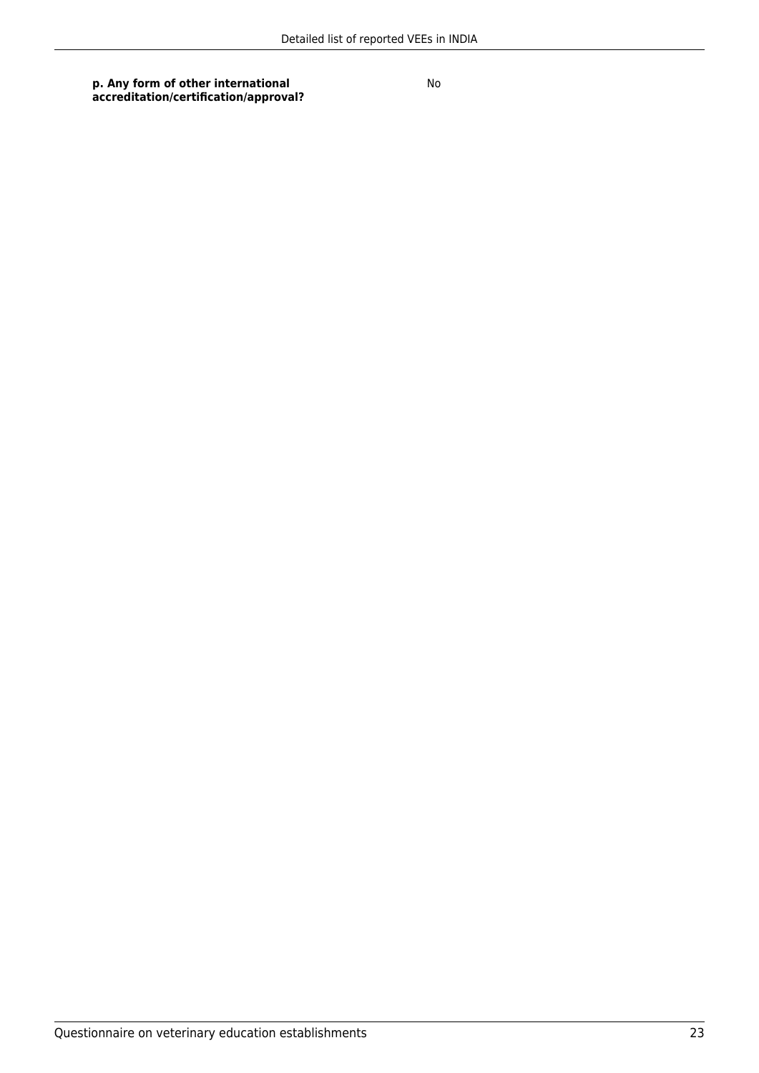**p. Any form of other international accreditation/certification/approval?**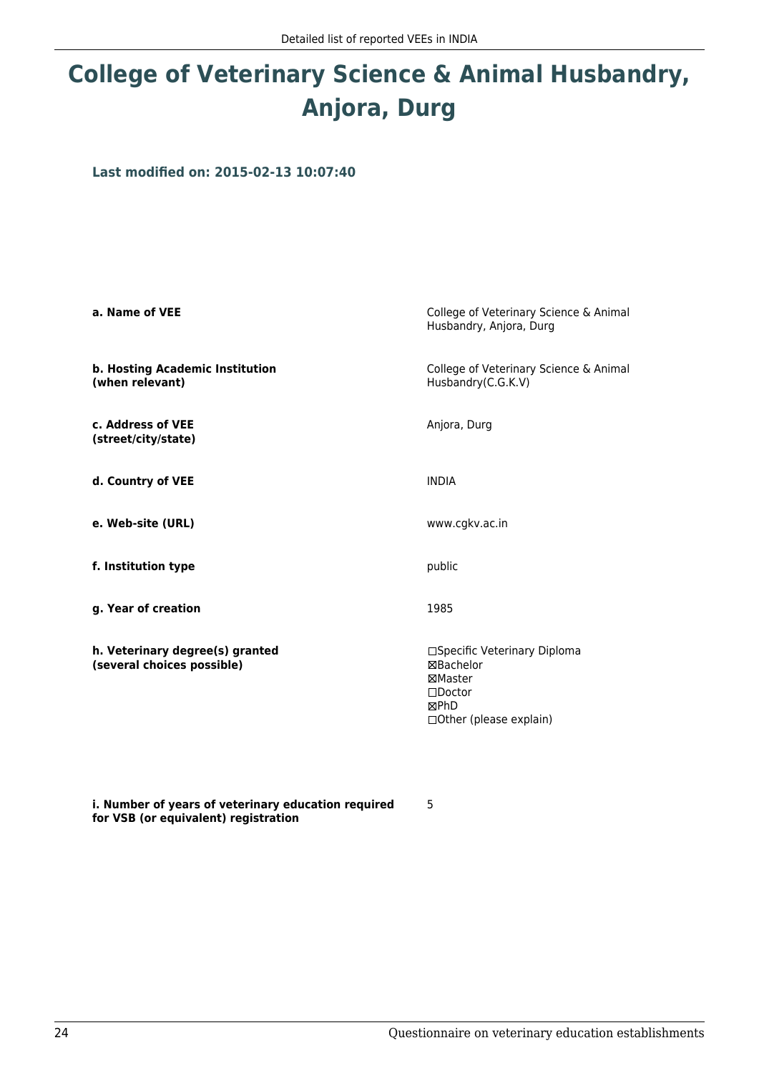# **College of Veterinary Science & Animal Husbandry, Anjora, Durg**

**Last modified on: 2015-02-13 10:07:40**

| a. Name of VEE                                                | College of Veterinary Science & Animal<br>Husbandry, Anjora, Durg                                            |
|---------------------------------------------------------------|--------------------------------------------------------------------------------------------------------------|
| b. Hosting Academic Institution<br>(when relevant)            | College of Veterinary Science & Animal<br>Husbandry(C.G.K.V)                                                 |
| c. Address of VEE<br>(street/city/state)                      | Anjora, Durg                                                                                                 |
| d. Country of VEE                                             | <b>INDIA</b>                                                                                                 |
| e. Web-site (URL)                                             | www.cgkv.ac.in                                                                                               |
| f. Institution type                                           | public                                                                                                       |
| g. Year of creation                                           | 1985                                                                                                         |
| h. Veterinary degree(s) granted<br>(several choices possible) | □Specific Veterinary Diploma<br>⊠Bachelor<br>⊠Master<br>$\square$ Doctor<br>⊠PhD<br>□ Other (please explain) |

**i. Number of years of veterinary education required for VSB (or equivalent) registration**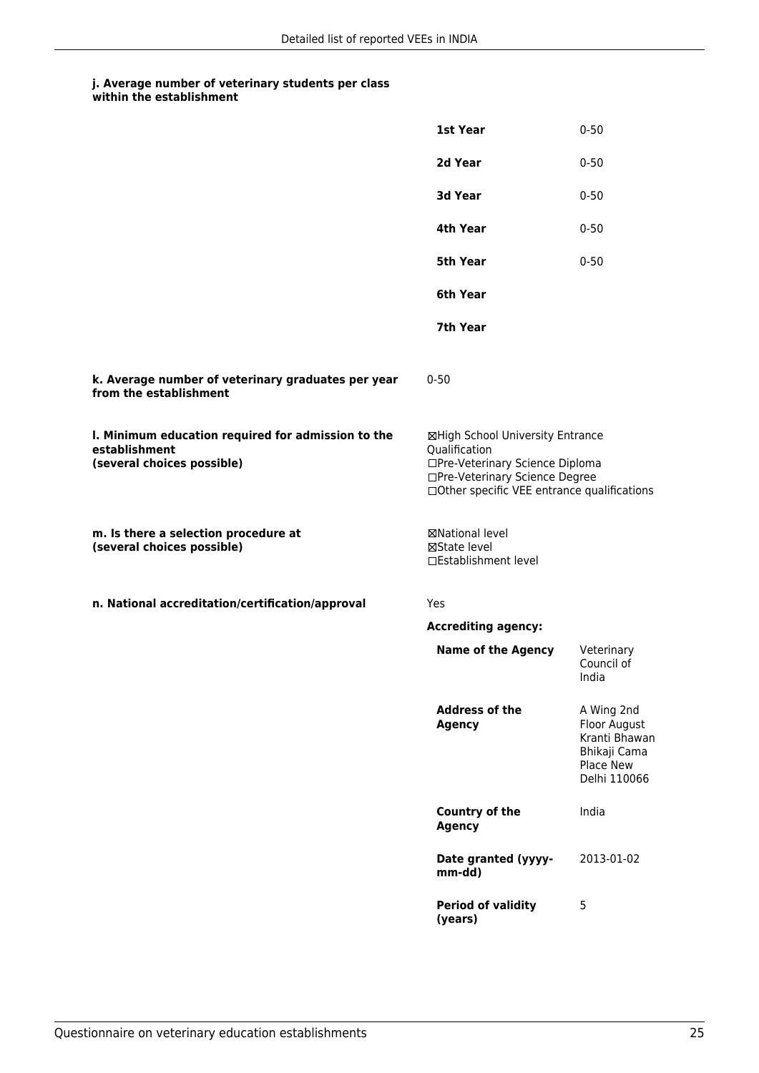|                                                                                                   | 1st Year                                                                                                                                                              | $0 - 50$                                                                                 |
|---------------------------------------------------------------------------------------------------|-----------------------------------------------------------------------------------------------------------------------------------------------------------------------|------------------------------------------------------------------------------------------|
|                                                                                                   | 2d Year                                                                                                                                                               | $0 - 50$                                                                                 |
|                                                                                                   | 3d Year                                                                                                                                                               | $0 - 50$                                                                                 |
|                                                                                                   | 4th Year                                                                                                                                                              | $0 - 50$                                                                                 |
|                                                                                                   | <b>5th Year</b>                                                                                                                                                       | $0 - 50$                                                                                 |
|                                                                                                   | 6th Year                                                                                                                                                              |                                                                                          |
|                                                                                                   | 7th Year                                                                                                                                                              |                                                                                          |
| k. Average number of veterinary graduates per year<br>from the establishment                      | $0 - 50$                                                                                                                                                              |                                                                                          |
| I. Minimum education required for admission to the<br>establishment<br>(several choices possible) | ⊠High School University Entrance<br>Qualification<br>□Pre-Veterinary Science Diploma<br>□Pre-Veterinary Science Degree<br>□Other specific VEE entrance qualifications |                                                                                          |
| m. Is there a selection procedure at<br>(several choices possible)                                | ⊠National level<br>⊠State level<br>□Establishment level                                                                                                               |                                                                                          |
| n. National accreditation/certification/approval                                                  | Yes                                                                                                                                                                   |                                                                                          |
|                                                                                                   | <b>Accrediting agency:</b>                                                                                                                                            |                                                                                          |
|                                                                                                   | <b>Name of the Agency</b>                                                                                                                                             | Veterinary<br>Council of<br>India                                                        |
|                                                                                                   | <b>Address of the</b><br><b>Agency</b>                                                                                                                                | A Wing 2nd<br>Floor August<br>Kranti Bhawan<br>Bhikaji Cama<br>Place New<br>Delhi 110066 |
|                                                                                                   | <b>Country of the</b><br><b>Agency</b>                                                                                                                                | India                                                                                    |
|                                                                                                   | Date granted (yyyy-<br>mm-dd)                                                                                                                                         | 2013-01-02                                                                               |
|                                                                                                   | <b>Period of validity</b><br>(years)                                                                                                                                  | 5                                                                                        |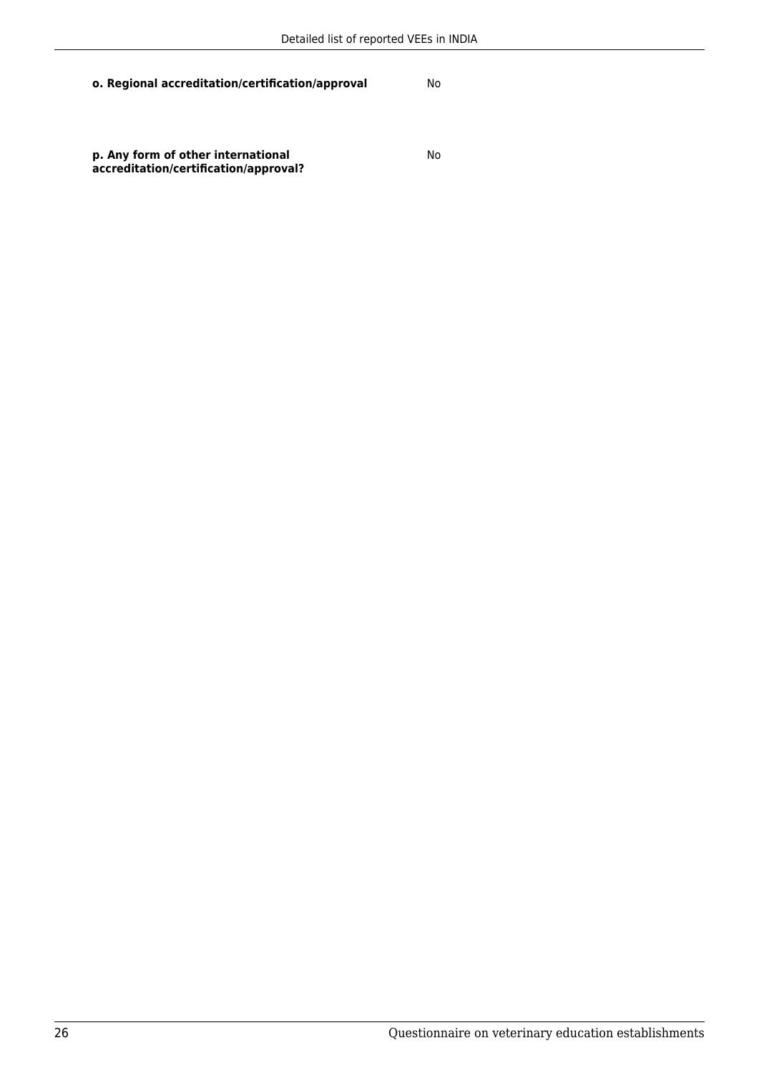**o. Regional accreditation/certification/approval** No

**p. Any form of other international accreditation/certification/approval?**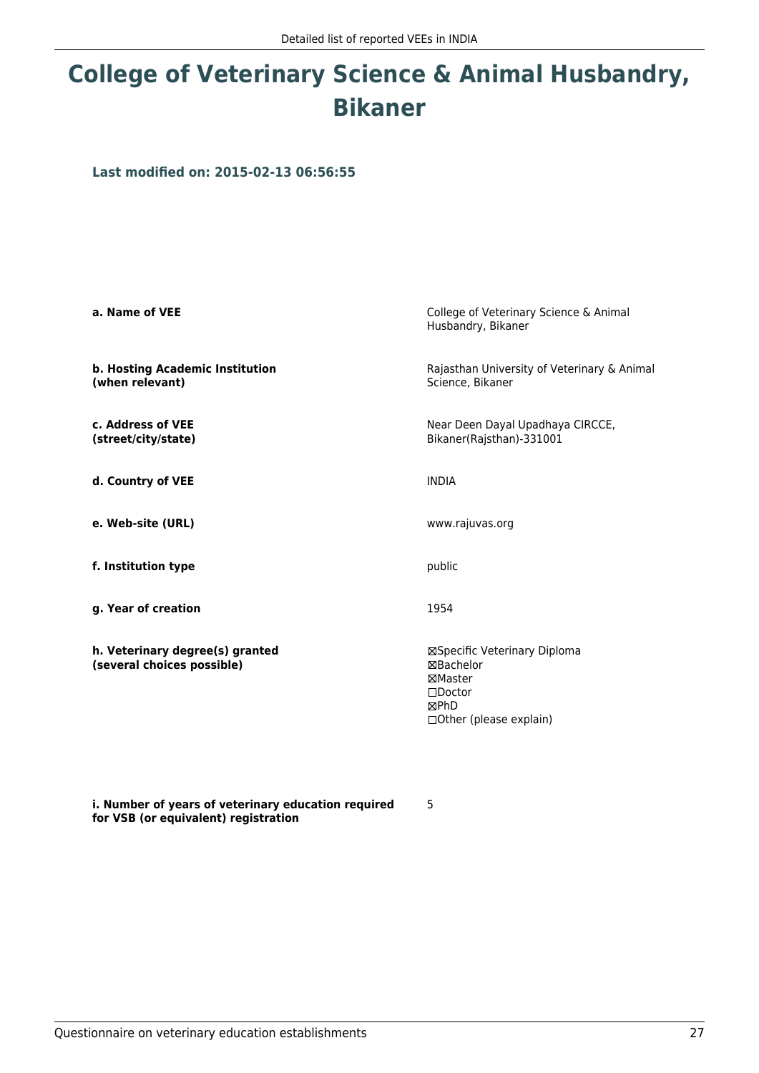# **College of Veterinary Science & Animal Husbandry, Bikaner**

**Last modified on: 2015-02-13 06:56:55**

| a. Name of VEE                                                | College of Veterinary Science & Animal<br>Husbandry, Bikaner                                                        |
|---------------------------------------------------------------|---------------------------------------------------------------------------------------------------------------------|
| b. Hosting Academic Institution<br>(when relevant)            | Rajasthan University of Veterinary & Animal<br>Science, Bikaner                                                     |
| c. Address of VEE<br>(street/city/state)                      | Near Deen Dayal Upadhaya CIRCCE,<br>Bikaner(Rajsthan)-331001                                                        |
| d. Country of VEE                                             | <b>INDIA</b>                                                                                                        |
| e. Web-site (URL)                                             | www.rajuvas.org                                                                                                     |
| f. Institution type                                           | public                                                                                                              |
| g. Year of creation                                           | 1954                                                                                                                |
| h. Veterinary degree(s) granted<br>(several choices possible) | ⊠Specific Veterinary Diploma<br>⊠Bachelor<br>⊠Master<br>$\square$ Doctor<br><b>MPhD</b><br>□ Other (please explain) |

**i. Number of years of veterinary education required for VSB (or equivalent) registration**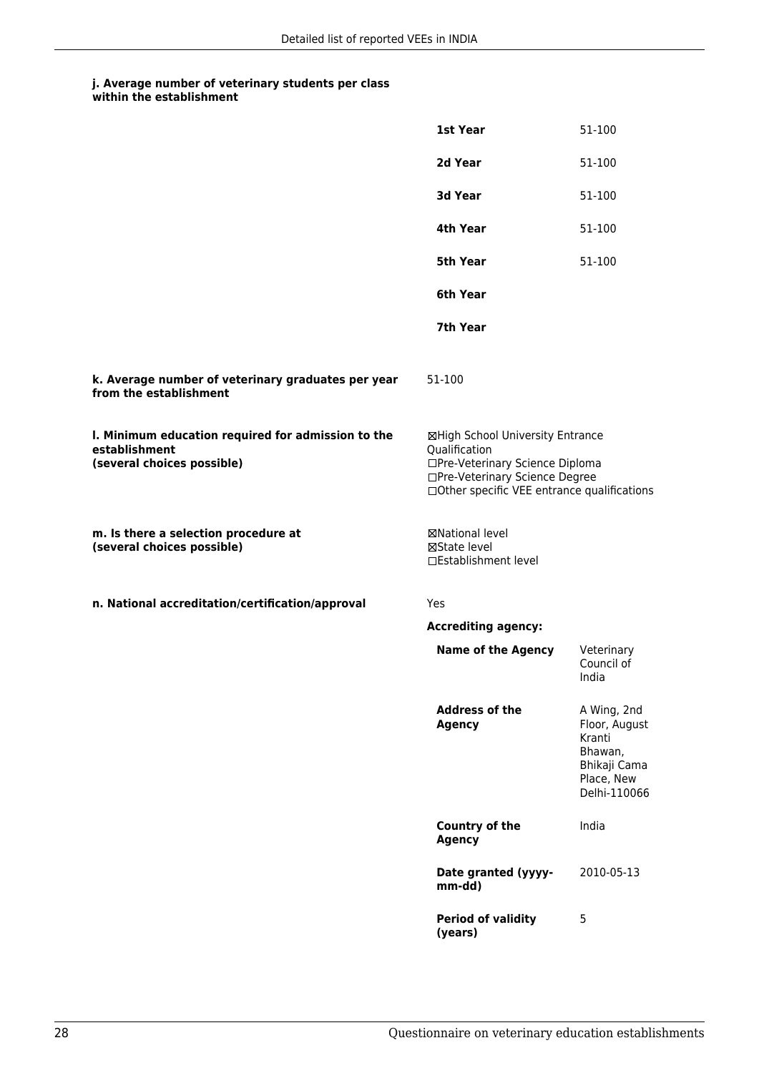|                                                                                                   | 1st Year                                                                                                                                                              | 51-100                                                                                          |
|---------------------------------------------------------------------------------------------------|-----------------------------------------------------------------------------------------------------------------------------------------------------------------------|-------------------------------------------------------------------------------------------------|
|                                                                                                   | 2d Year                                                                                                                                                               | 51-100                                                                                          |
|                                                                                                   | 3d Year                                                                                                                                                               | 51-100                                                                                          |
|                                                                                                   | 4th Year                                                                                                                                                              | 51-100                                                                                          |
|                                                                                                   | 5th Year                                                                                                                                                              | 51-100                                                                                          |
|                                                                                                   | 6th Year                                                                                                                                                              |                                                                                                 |
|                                                                                                   | 7th Year                                                                                                                                                              |                                                                                                 |
| k. Average number of veterinary graduates per year<br>from the establishment                      | 51-100                                                                                                                                                                |                                                                                                 |
| I. Minimum education required for admission to the<br>establishment<br>(several choices possible) | ⊠High School University Entrance<br>Qualification<br>□Pre-Veterinary Science Diploma<br>□Pre-Veterinary Science Degree<br>□Other specific VEE entrance qualifications |                                                                                                 |
| m. Is there a selection procedure at<br>(several choices possible)                                | ⊠National level<br>⊠State level<br>□Establishment level                                                                                                               |                                                                                                 |
| n. National accreditation/certification/approval                                                  | Yes                                                                                                                                                                   |                                                                                                 |
|                                                                                                   | <b>Accrediting agency:</b>                                                                                                                                            |                                                                                                 |
|                                                                                                   | <b>Name of the Agency</b>                                                                                                                                             | Veterinary<br>Council of<br>India                                                               |
|                                                                                                   | <b>Address of the</b><br><b>Agency</b>                                                                                                                                | A Wing, 2nd<br>Floor, August<br>Kranti<br>Bhawan,<br>Bhikaji Cama<br>Place, New<br>Delhi-110066 |
|                                                                                                   | Country of the<br><b>Agency</b>                                                                                                                                       | India                                                                                           |
|                                                                                                   | Date granted (yyyy-<br>mm-dd)                                                                                                                                         | 2010-05-13                                                                                      |
|                                                                                                   | <b>Period of validity</b><br>(years)                                                                                                                                  | 5                                                                                               |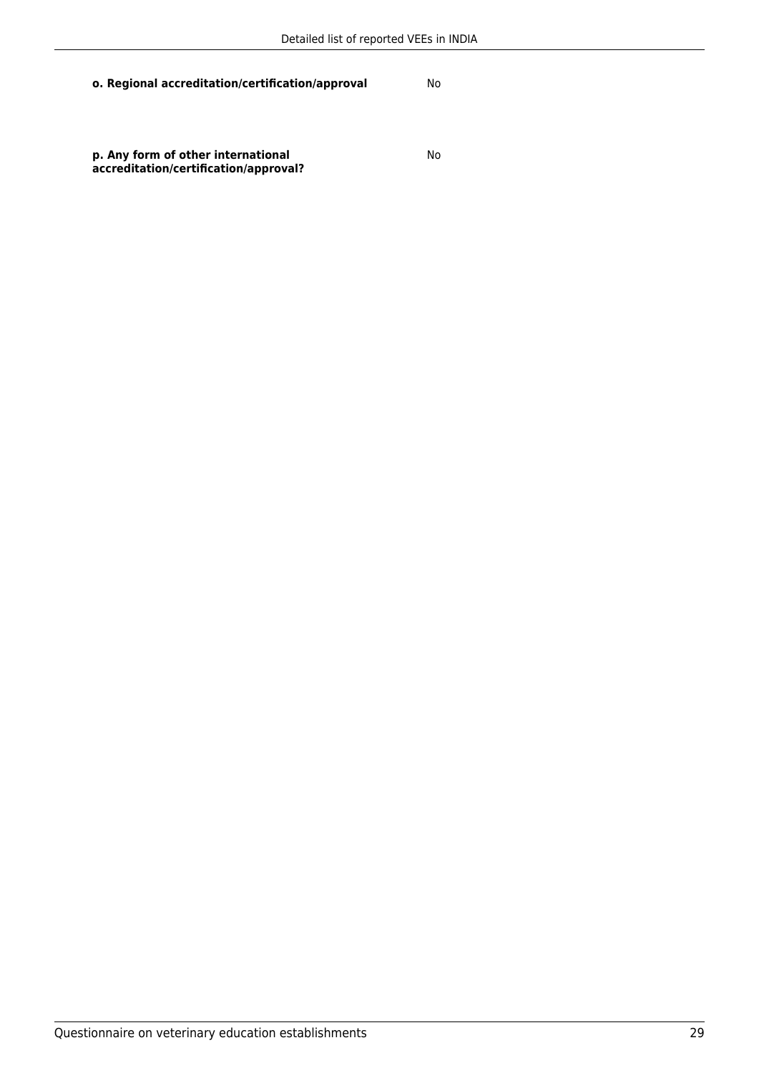**o. Regional accreditation/certification/approval** No

**p. Any form of other international accreditation/certification/approval?**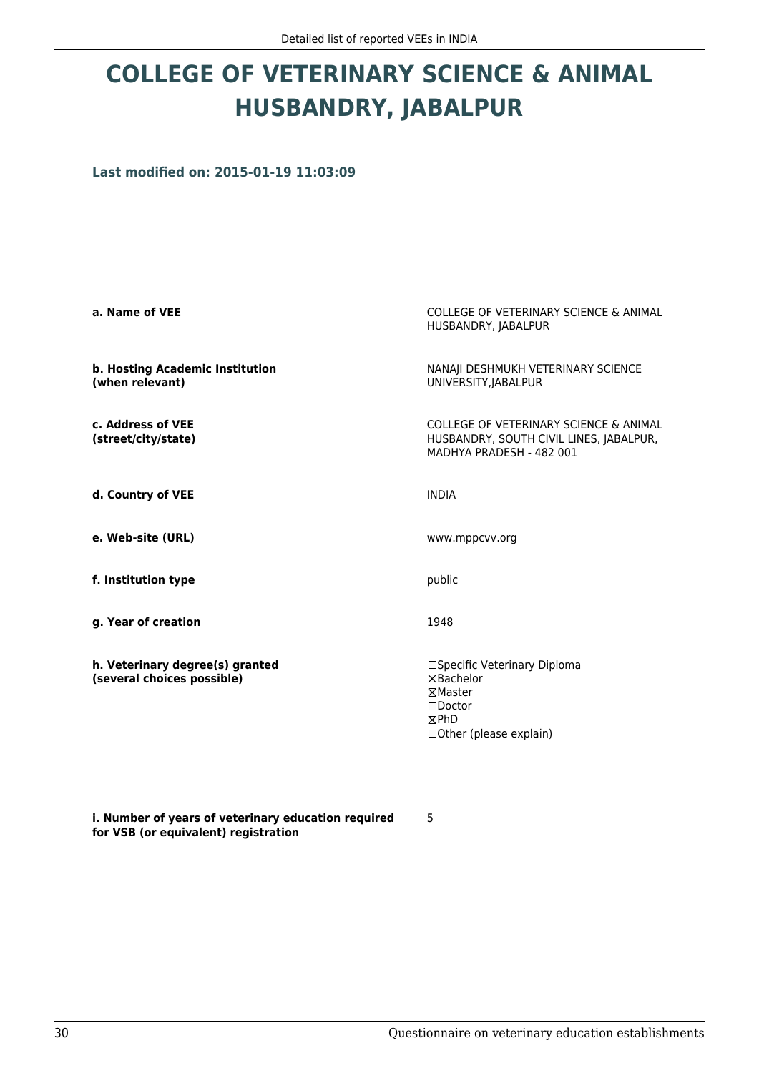# **COLLEGE OF VETERINARY SCIENCE & ANIMAL HUSBANDRY, JABALPUR**

**Last modified on: 2015-01-19 11:03:09**

| a. Name of VEE                                                | COLLEGE OF VETERINARY SCIENCE & ANIMAL<br>HUSBANDRY, JABALPUR                                                 |
|---------------------------------------------------------------|---------------------------------------------------------------------------------------------------------------|
| b. Hosting Academic Institution<br>(when relevant)            | NANAJI DESHMUKH VETERINARY SCIENCE<br>UNIVERSITY, JABALPUR                                                    |
| c. Address of VEE<br>(street/city/state)                      | COLLEGE OF VETERINARY SCIENCE & ANIMAL<br>HUSBANDRY, SOUTH CIVIL LINES, JABALPUR,<br>MADHYA PRADESH - 482 001 |
| d. Country of VEE                                             | <b>INDIA</b>                                                                                                  |
| e. Web-site (URL)                                             | www.mppcvv.org                                                                                                |
| f. Institution type                                           | public                                                                                                        |
| g. Year of creation                                           | 1948                                                                                                          |
| h. Veterinary degree(s) granted<br>(several choices possible) | □Specific Veterinary Diploma<br>⊠Bachelor<br>⊠Master<br>$\Box$ Doctor<br>⊠PhD<br>□ Other (please explain)     |

**i. Number of years of veterinary education required for VSB (or equivalent) registration**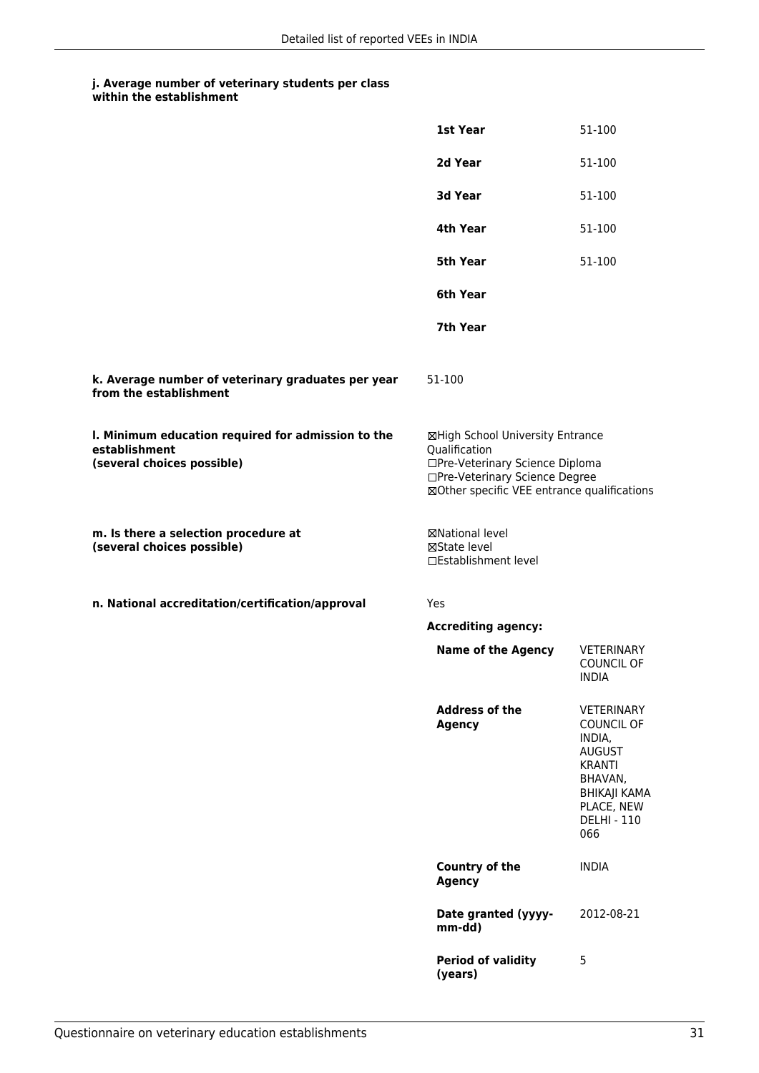|                                                                                                   | 1st Year                                                                                                                                                              | 51-100                                                                                                                                                   |
|---------------------------------------------------------------------------------------------------|-----------------------------------------------------------------------------------------------------------------------------------------------------------------------|----------------------------------------------------------------------------------------------------------------------------------------------------------|
|                                                                                                   | 2d Year                                                                                                                                                               | 51-100                                                                                                                                                   |
|                                                                                                   | 3d Year                                                                                                                                                               | 51-100                                                                                                                                                   |
|                                                                                                   | 4th Year                                                                                                                                                              | 51-100                                                                                                                                                   |
|                                                                                                   | <b>5th Year</b>                                                                                                                                                       | 51-100                                                                                                                                                   |
|                                                                                                   | 6th Year                                                                                                                                                              |                                                                                                                                                          |
|                                                                                                   | 7th Year                                                                                                                                                              |                                                                                                                                                          |
| k. Average number of veterinary graduates per year<br>from the establishment                      | 51-100                                                                                                                                                                |                                                                                                                                                          |
| I. Minimum education required for admission to the<br>establishment<br>(several choices possible) | ⊠High School University Entrance<br>Qualification<br>□Pre-Veterinary Science Diploma<br>□Pre-Veterinary Science Degree<br>⊠Other specific VEE entrance qualifications |                                                                                                                                                          |
| m. Is there a selection procedure at<br>(several choices possible)                                | ⊠National level<br>⊠State level<br>□Establishment level                                                                                                               |                                                                                                                                                          |
| n. National accreditation/certification/approval                                                  | Yes                                                                                                                                                                   |                                                                                                                                                          |
|                                                                                                   | <b>Accrediting agency:</b>                                                                                                                                            |                                                                                                                                                          |
|                                                                                                   | <b>Name of the Agency</b>                                                                                                                                             | <b>VETERINARY</b><br><b>COUNCIL OF</b><br>INDIA                                                                                                          |
|                                                                                                   | <b>Address of the</b><br><b>Agency</b>                                                                                                                                | <b>VETERINARY</b><br><b>COUNCIL OF</b><br>INDIA,<br><b>AUGUST</b><br><b>KRANTI</b><br>BHAVAN,<br>BHIKAJI KAMA<br>PLACE, NEW<br><b>DELHI - 110</b><br>066 |
|                                                                                                   | Country of the<br><b>Agency</b>                                                                                                                                       | <b>INDIA</b>                                                                                                                                             |
|                                                                                                   | Date granted (yyyy-<br>mm-dd)                                                                                                                                         | 2012-08-21                                                                                                                                               |
|                                                                                                   | <b>Period of validity</b><br>(years)                                                                                                                                  | 5                                                                                                                                                        |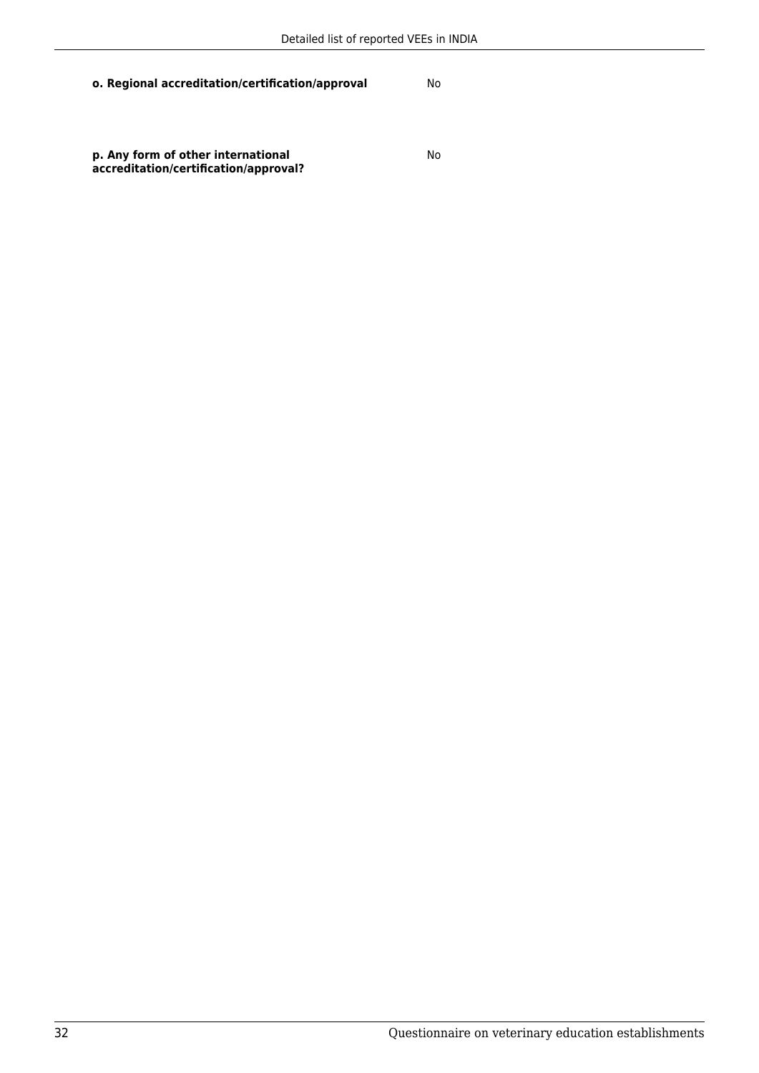**o. Regional accreditation/certification/approval** No

**p. Any form of other international accreditation/certification/approval?**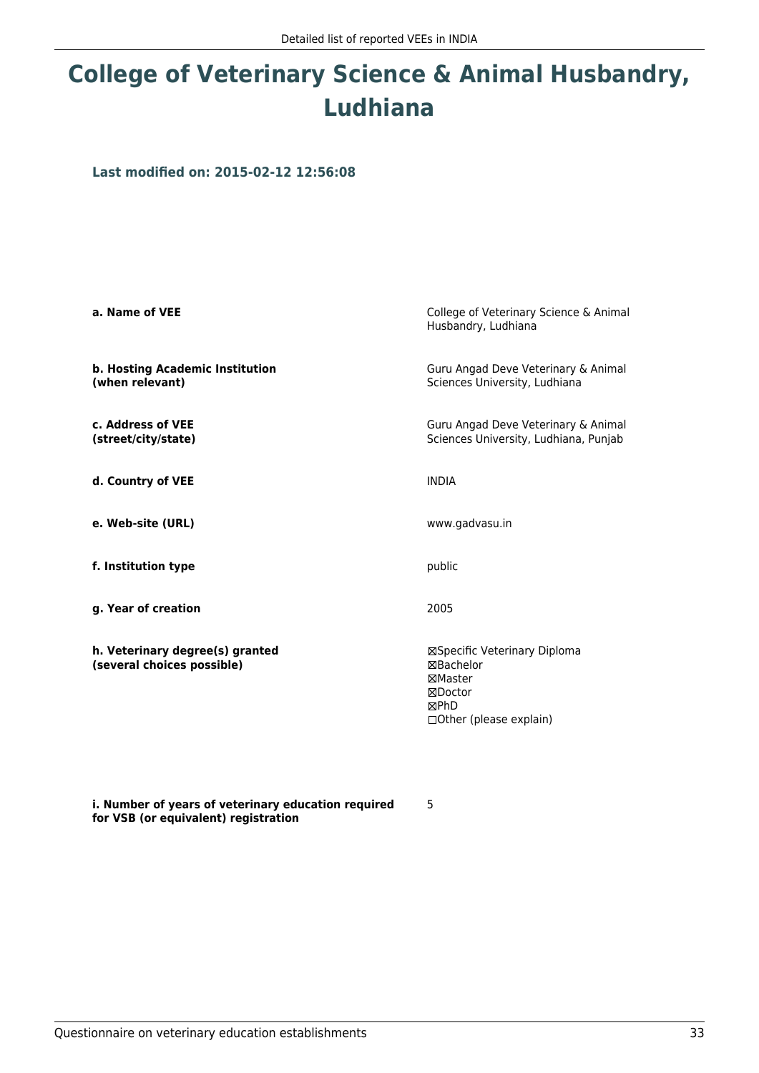# **College of Veterinary Science & Animal Husbandry, Ludhiana**

**Last modified on: 2015-02-12 12:56:08**

| a. Name of VEE                                                | College of Veterinary Science & Animal<br>Husbandry, Ludhiana                                            |
|---------------------------------------------------------------|----------------------------------------------------------------------------------------------------------|
| b. Hosting Academic Institution<br>(when relevant)            | Guru Angad Deve Veterinary & Animal<br>Sciences University, Ludhiana                                     |
| c. Address of VEE<br>(street/city/state)                      | Guru Angad Deve Veterinary & Animal<br>Sciences University, Ludhiana, Punjab                             |
| d. Country of VEE                                             | <b>INDIA</b>                                                                                             |
| e. Web-site (URL)                                             | www.gadvasu.in                                                                                           |
| f. Institution type                                           | public                                                                                                   |
| g. Year of creation                                           | 2005                                                                                                     |
| h. Veterinary degree(s) granted<br>(several choices possible) | ⊠Specific Veterinary Diploma<br>⊠Bachelor<br>⊠Master<br>⊠Doctor<br>⊠PhD<br>$\Box$ Other (please explain) |

**i. Number of years of veterinary education required for VSB (or equivalent) registration**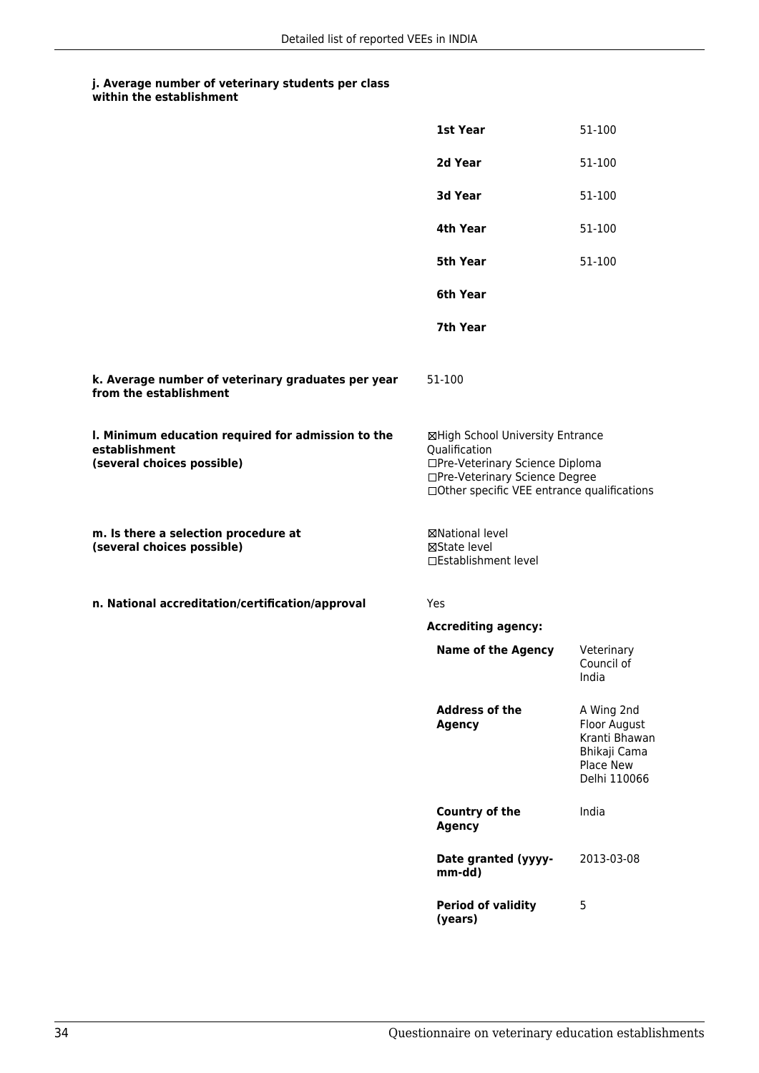|                                                                                                   | 1st Year                                                                                                                                                              | 51-100                                                                                   |
|---------------------------------------------------------------------------------------------------|-----------------------------------------------------------------------------------------------------------------------------------------------------------------------|------------------------------------------------------------------------------------------|
|                                                                                                   | 2d Year                                                                                                                                                               | 51-100                                                                                   |
|                                                                                                   | 3d Year                                                                                                                                                               | 51-100                                                                                   |
|                                                                                                   | 4th Year                                                                                                                                                              | 51-100                                                                                   |
|                                                                                                   | <b>5th Year</b>                                                                                                                                                       | 51-100                                                                                   |
|                                                                                                   | 6th Year                                                                                                                                                              |                                                                                          |
|                                                                                                   | 7th Year                                                                                                                                                              |                                                                                          |
| k. Average number of veterinary graduates per year<br>from the establishment                      | 51-100                                                                                                                                                                |                                                                                          |
| I. Minimum education required for admission to the<br>establishment<br>(several choices possible) | ⊠High School University Entrance<br>Qualification<br>□Pre-Veterinary Science Diploma<br>□Pre-Veterinary Science Degree<br>□Other specific VEE entrance qualifications |                                                                                          |
| m. Is there a selection procedure at<br>(several choices possible)                                | ⊠National level<br>⊠State level<br>□Establishment level                                                                                                               |                                                                                          |
| n. National accreditation/certification/approval                                                  | Yes                                                                                                                                                                   |                                                                                          |
|                                                                                                   | <b>Accrediting agency:</b>                                                                                                                                            |                                                                                          |
|                                                                                                   | <b>Name of the Agency</b>                                                                                                                                             | Veterinary<br>Council of<br>India                                                        |
|                                                                                                   | <b>Address of the</b><br><b>Agency</b>                                                                                                                                | A Wing 2nd<br>Floor August<br>Kranti Bhawan<br>Bhikaji Cama<br>Place New<br>Delhi 110066 |
|                                                                                                   | Country of the<br><b>Agency</b>                                                                                                                                       | India                                                                                    |
|                                                                                                   | Date granted (yyyy-<br>mm-dd)                                                                                                                                         | 2013-03-08                                                                               |
|                                                                                                   | <b>Period of validity</b><br>(years)                                                                                                                                  | 5                                                                                        |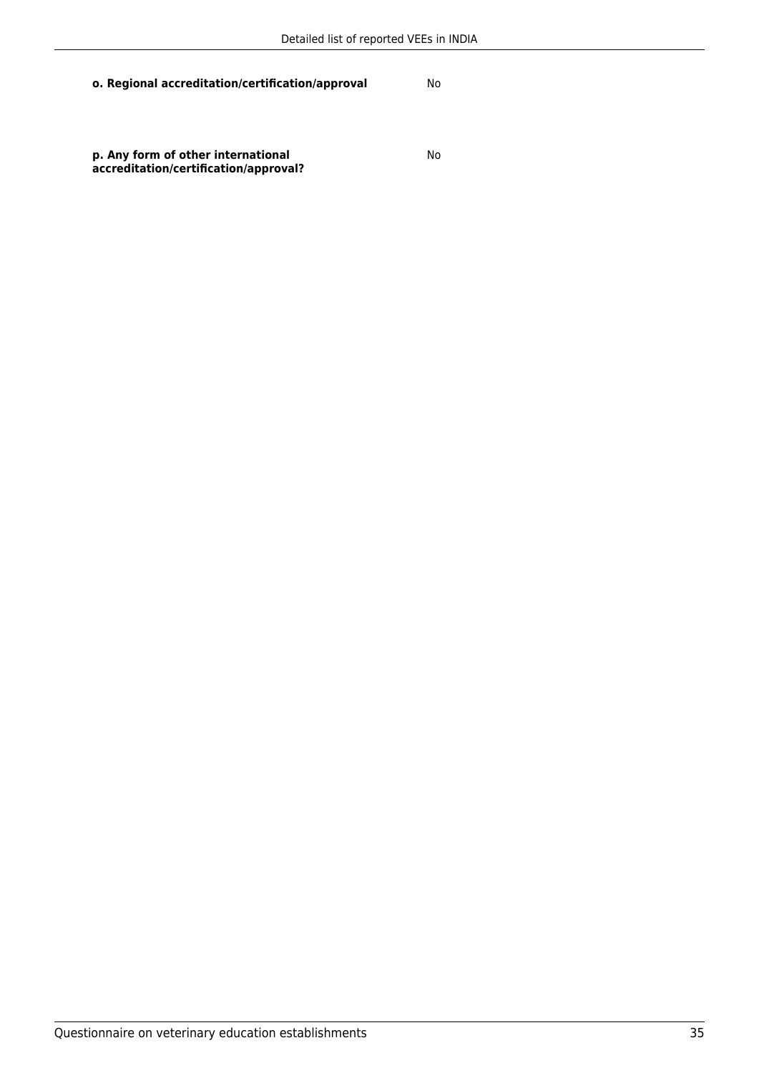**o. Regional accreditation/certification/approval** No

**p. Any form of other international accreditation/certification/approval?**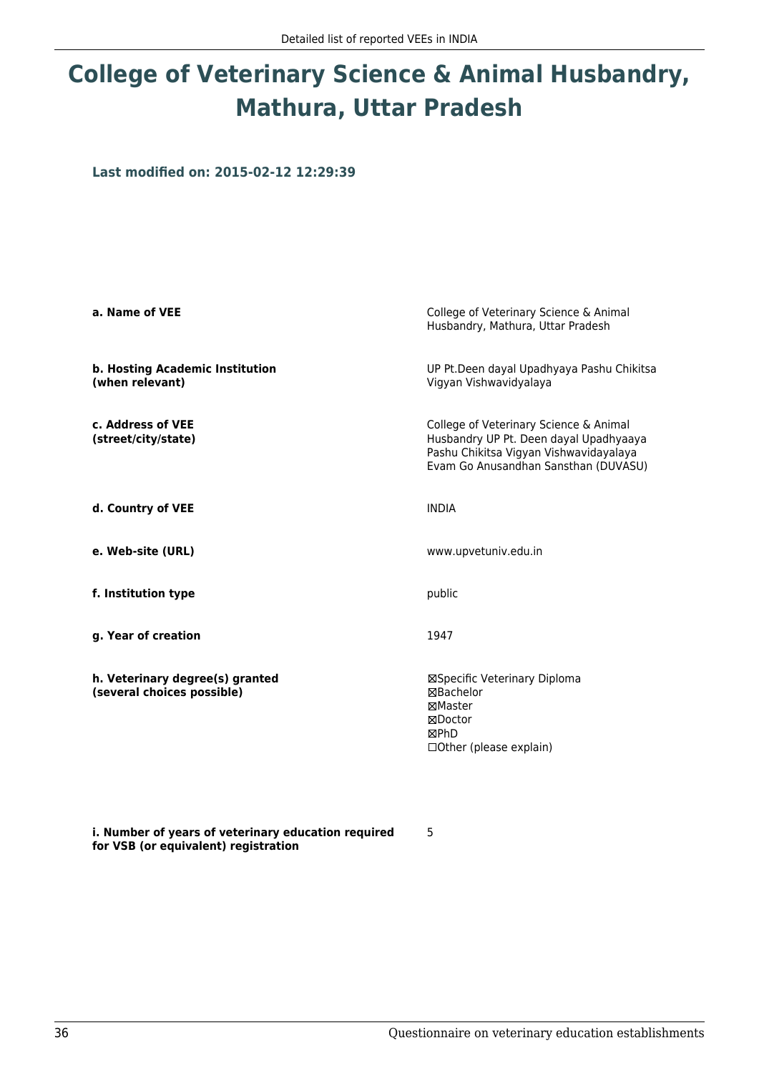# **College of Veterinary Science & Animal Husbandry, Mathura, Uttar Pradesh**

**Last modified on: 2015-02-12 12:29:39**

| a. Name of VEE                                                | College of Veterinary Science & Animal<br>Husbandry, Mathura, Uttar Pradesh                                                                                        |
|---------------------------------------------------------------|--------------------------------------------------------------------------------------------------------------------------------------------------------------------|
| b. Hosting Academic Institution<br>(when relevant)            | UP Pt.Deen dayal Upadhyaya Pashu Chikitsa<br>Vigyan Vishwavidyalaya                                                                                                |
| c. Address of VEE<br>(street/city/state)                      | College of Veterinary Science & Animal<br>Husbandry UP Pt. Deen dayal Upadhyaaya<br>Pashu Chikitsa Vigyan Vishwavidayalaya<br>Evam Go Anusandhan Sansthan (DUVASU) |
| d. Country of VEE                                             | <b>INDIA</b>                                                                                                                                                       |
| e. Web-site (URL)                                             | www.upvetuniv.edu.in                                                                                                                                               |
| f. Institution type                                           | public                                                                                                                                                             |
| g. Year of creation                                           | 1947                                                                                                                                                               |
| h. Veterinary degree(s) granted<br>(several choices possible) | ⊠Specific Veterinary Diploma<br>⊠Bachelor<br>⊠Master<br>⊠Doctor<br>⊠PhD<br>$\Box$ Other (please explain)                                                           |

**i. Number of years of veterinary education required for VSB (or equivalent) registration**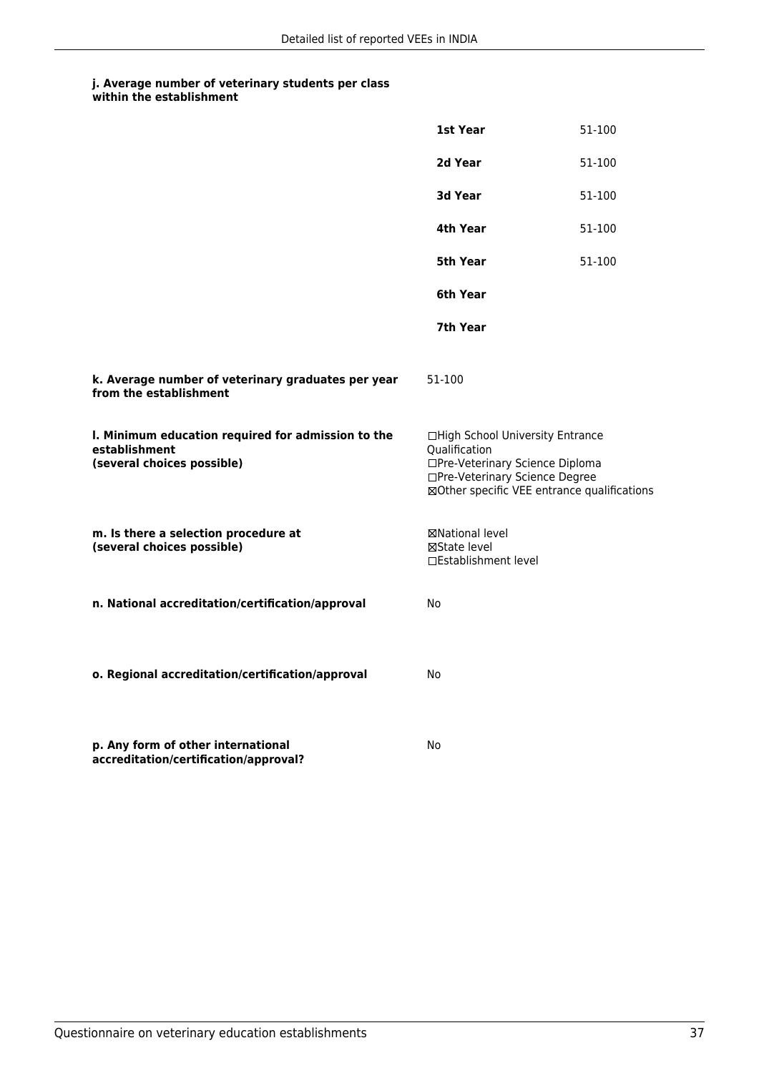|                                                                                                   | 1st Year                                                                                                                                                              | 51-100 |
|---------------------------------------------------------------------------------------------------|-----------------------------------------------------------------------------------------------------------------------------------------------------------------------|--------|
|                                                                                                   | 2d Year                                                                                                                                                               | 51-100 |
|                                                                                                   | 3d Year                                                                                                                                                               | 51-100 |
|                                                                                                   | 4th Year                                                                                                                                                              | 51-100 |
|                                                                                                   | 5th Year                                                                                                                                                              | 51-100 |
|                                                                                                   | 6th Year                                                                                                                                                              |        |
|                                                                                                   | 7th Year                                                                                                                                                              |        |
| k. Average number of veterinary graduates per year<br>from the establishment                      | 51-100                                                                                                                                                                |        |
| I. Minimum education required for admission to the<br>establishment<br>(several choices possible) | □High School University Entrance<br>Qualification<br>□Pre-Veterinary Science Diploma<br>□Pre-Veterinary Science Degree<br>⊠Other specific VEE entrance qualifications |        |
| m. Is there a selection procedure at<br>(several choices possible)                                | ⊠National level<br>⊠State level<br>□Establishment level                                                                                                               |        |
| n. National accreditation/certification/approval                                                  | No                                                                                                                                                                    |        |
| o. Regional accreditation/certification/approval                                                  | No                                                                                                                                                                    |        |
| p. Any form of other international<br>accreditation/certification/approval?                       | No                                                                                                                                                                    |        |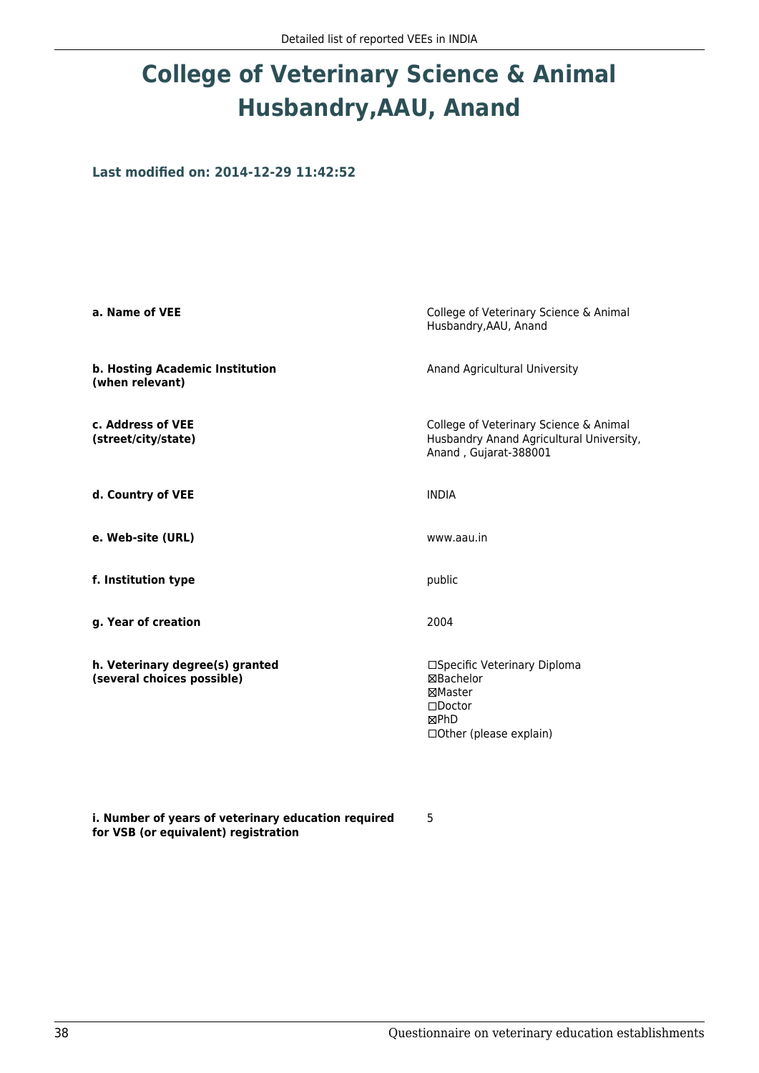# **College of Veterinary Science & Animal Husbandry,AAU, Anand**

**Last modified on: 2014-12-29 11:42:52**

| a. Name of VEE                                                | College of Veterinary Science & Animal<br>Husbandry, AAU, Anand                                                |  |
|---------------------------------------------------------------|----------------------------------------------------------------------------------------------------------------|--|
| b. Hosting Academic Institution<br>(when relevant)            | Anand Agricultural University                                                                                  |  |
| c. Address of VEE<br>(street/city/state)                      | College of Veterinary Science & Animal<br>Husbandry Anand Agricultural University,<br>Anand, Gujarat-388001    |  |
| d. Country of VEE                                             | <b>INDIA</b>                                                                                                   |  |
| e. Web-site (URL)                                             | www.aau.in                                                                                                     |  |
| f. Institution type                                           | public                                                                                                         |  |
| g. Year of creation                                           | 2004                                                                                                           |  |
| h. Veterinary degree(s) granted<br>(several choices possible) | □Specific Veterinary Diploma<br>⊠Bachelor<br>⊠Master<br>$\Box$ Doctor<br>⊠PhD<br>$\Box$ Other (please explain) |  |

**i. Number of years of veterinary education required for VSB (or equivalent) registration**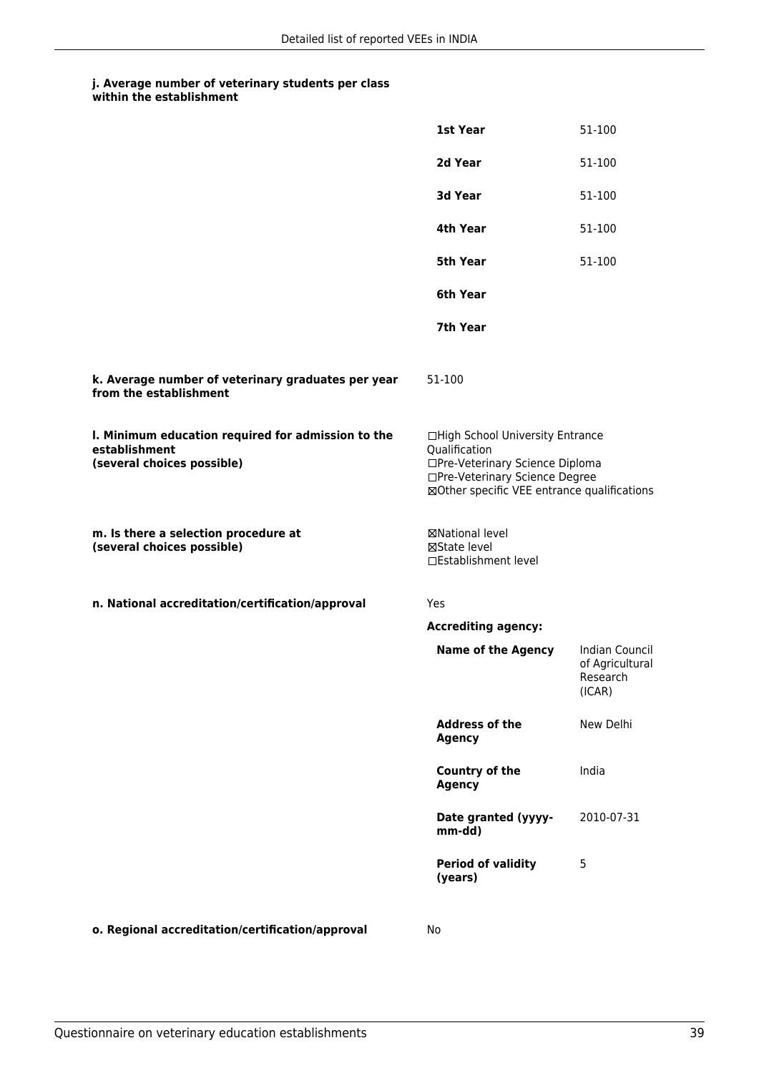|                                                                                                   | 1st Year                                                                                                                                                              | 51-100                                                  |
|---------------------------------------------------------------------------------------------------|-----------------------------------------------------------------------------------------------------------------------------------------------------------------------|---------------------------------------------------------|
|                                                                                                   | 2d Year                                                                                                                                                               | 51-100                                                  |
|                                                                                                   | 3d Year                                                                                                                                                               | 51-100                                                  |
|                                                                                                   | 4th Year                                                                                                                                                              | 51-100                                                  |
|                                                                                                   | <b>5th Year</b>                                                                                                                                                       | 51-100                                                  |
|                                                                                                   | 6th Year                                                                                                                                                              |                                                         |
|                                                                                                   | 7th Year                                                                                                                                                              |                                                         |
| k. Average number of veterinary graduates per year<br>from the establishment                      | 51-100                                                                                                                                                                |                                                         |
| I. Minimum education required for admission to the<br>establishment<br>(several choices possible) | □High School University Entrance<br>Qualification<br>□Pre-Veterinary Science Diploma<br>□Pre-Veterinary Science Degree<br>⊠Other specific VEE entrance qualifications |                                                         |
| m. Is there a selection procedure at<br>(several choices possible)                                | <b>⊠National level</b><br>⊠State level<br>□Establishment level                                                                                                        |                                                         |
| n. National accreditation/certification/approval                                                  | Yes                                                                                                                                                                   |                                                         |
|                                                                                                   | <b>Accrediting agency:</b>                                                                                                                                            |                                                         |
|                                                                                                   | <b>Name of the Agency</b>                                                                                                                                             | Indian Council<br>of Agricultural<br>Research<br>(ICAR) |
|                                                                                                   | <b>Address of the</b><br><b>Agency</b>                                                                                                                                | New Delhi                                               |
|                                                                                                   | <b>Country of the</b><br><b>Agency</b>                                                                                                                                | India                                                   |
|                                                                                                   | Date granted (yyyy-<br>mm-dd)                                                                                                                                         | 2010-07-31                                              |
|                                                                                                   | <b>Period of validity</b><br>(years)                                                                                                                                  | 5                                                       |
|                                                                                                   |                                                                                                                                                                       |                                                         |

**o. Regional accreditation/certification/approval** No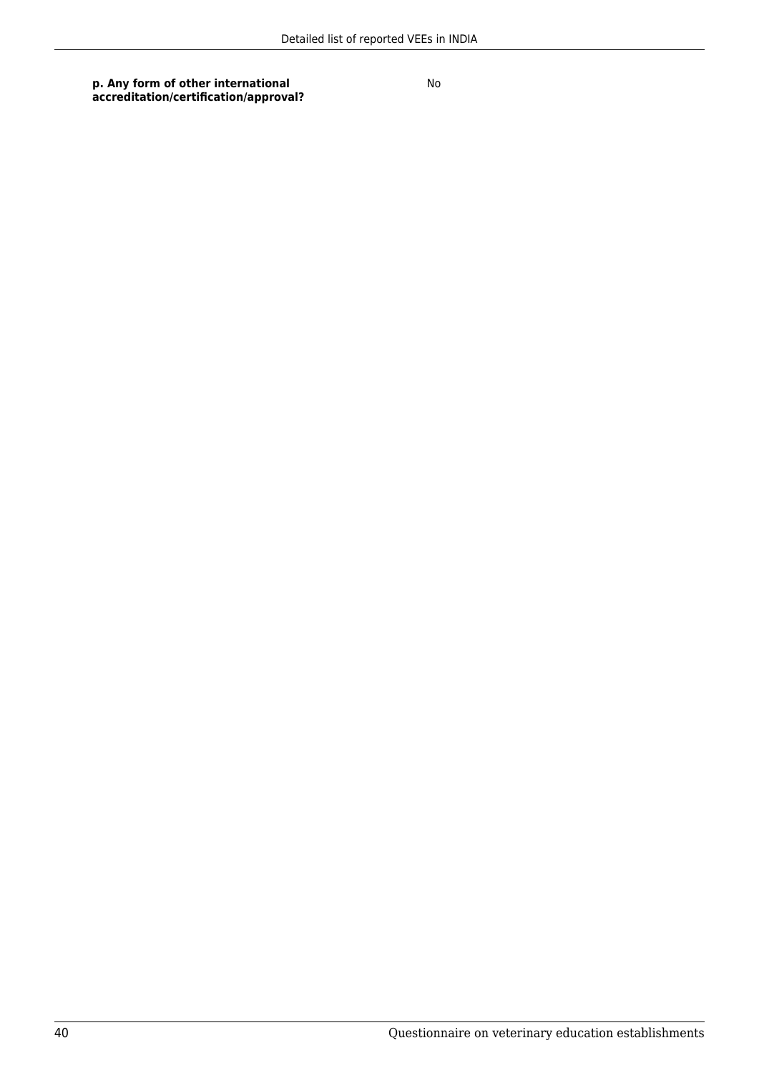**p. Any form of other international accreditation/certification/approval?**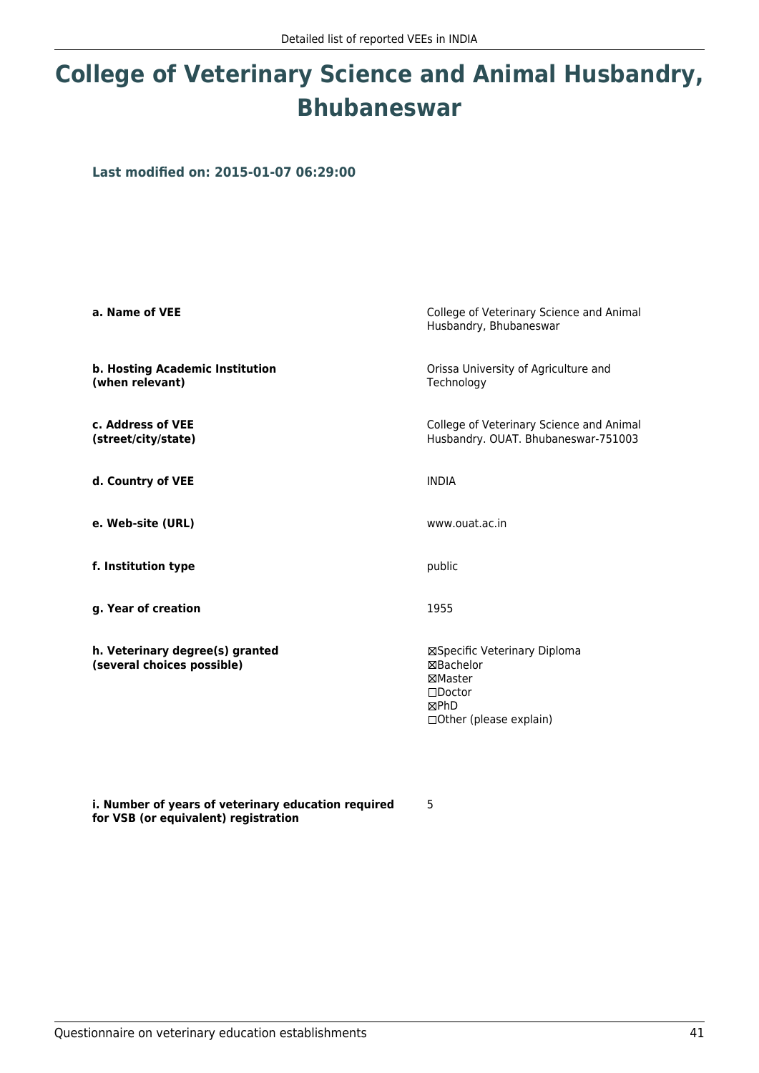# **College of Veterinary Science and Animal Husbandry, Bhubaneswar**

**Last modified on: 2015-01-07 06:29:00**

| a. Name of VEE                                                | College of Veterinary Science and Animal<br>Husbandry, Bhubaneswar                                           |
|---------------------------------------------------------------|--------------------------------------------------------------------------------------------------------------|
| b. Hosting Academic Institution<br>(when relevant)            | Orissa University of Agriculture and<br>Technology                                                           |
| c. Address of VEE<br>(street/city/state)                      | College of Veterinary Science and Animal<br>Husbandry. OUAT. Bhubaneswar-751003                              |
| d. Country of VEE                                             | <b>INDIA</b>                                                                                                 |
| e. Web-site (URL)                                             | www.ouat.ac.in                                                                                               |
| f. Institution type                                           | public                                                                                                       |
| g. Year of creation                                           | 1955                                                                                                         |
| h. Veterinary degree(s) granted<br>(several choices possible) | ⊠Specific Veterinary Diploma<br>⊠Bachelor<br>⊠Master<br>$\square$ Doctor<br>⊠PhD<br>□ Other (please explain) |

**i. Number of years of veterinary education required for VSB (or equivalent) registration**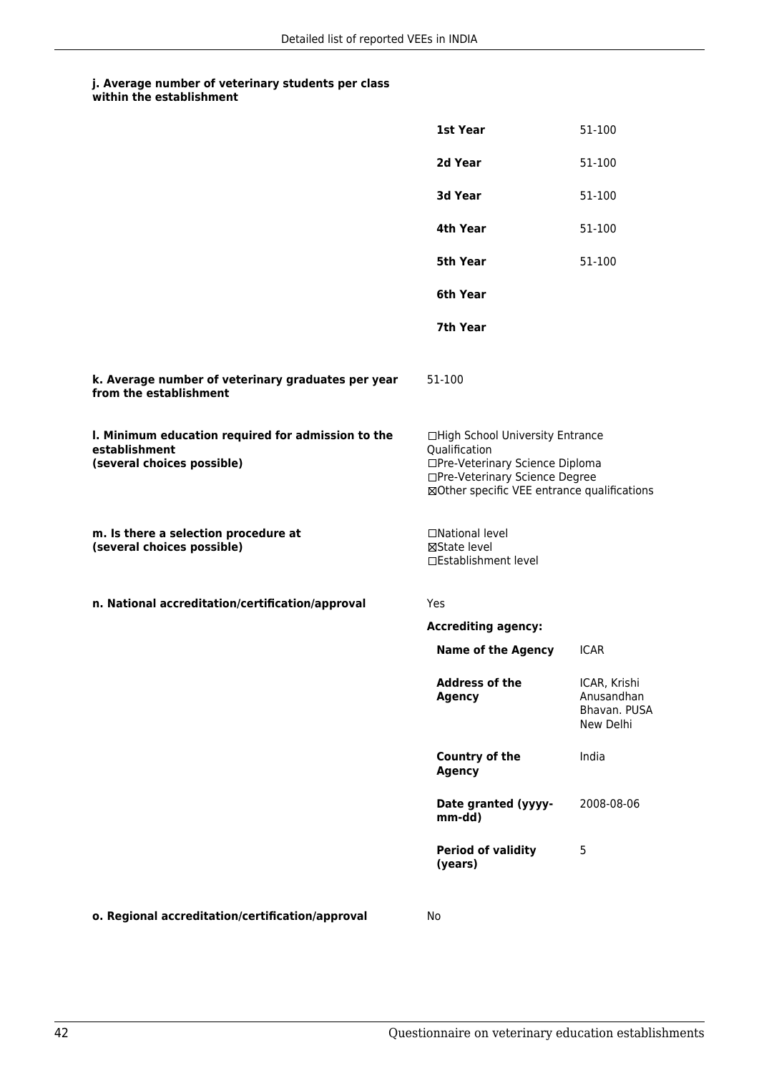|                                                                                                   | 1st Year                                                                                                                                                              | 51-100                                                  |
|---------------------------------------------------------------------------------------------------|-----------------------------------------------------------------------------------------------------------------------------------------------------------------------|---------------------------------------------------------|
|                                                                                                   | 2d Year                                                                                                                                                               | 51-100                                                  |
|                                                                                                   | 3d Year                                                                                                                                                               | 51-100                                                  |
|                                                                                                   | 4th Year                                                                                                                                                              | 51-100                                                  |
|                                                                                                   | <b>5th Year</b>                                                                                                                                                       | 51-100                                                  |
|                                                                                                   | 6th Year                                                                                                                                                              |                                                         |
|                                                                                                   | 7th Year                                                                                                                                                              |                                                         |
| k. Average number of veterinary graduates per year<br>from the establishment                      | 51-100                                                                                                                                                                |                                                         |
| I. Minimum education required for admission to the<br>establishment<br>(several choices possible) | □High School University Entrance<br>Qualification<br>□Pre-Veterinary Science Diploma<br>□Pre-Veterinary Science Degree<br>⊠Other specific VEE entrance qualifications |                                                         |
| m. Is there a selection procedure at<br>(several choices possible)                                | □National level<br>⊠State level<br>□Establishment level                                                                                                               |                                                         |
| n. National accreditation/certification/approval                                                  | Yes                                                                                                                                                                   |                                                         |
|                                                                                                   | <b>Accrediting agency:</b>                                                                                                                                            |                                                         |
|                                                                                                   | <b>Name of the Agency</b>                                                                                                                                             | <b>ICAR</b>                                             |
|                                                                                                   | <b>Address of the</b><br><b>Agency</b>                                                                                                                                | ICAR, Krishi<br>Anusandhan<br>Bhavan. PUSA<br>New Delhi |
|                                                                                                   | <b>Country of the</b><br><b>Agency</b>                                                                                                                                | India                                                   |
|                                                                                                   | Date granted (yyyy-<br>mm-dd)                                                                                                                                         | 2008-08-06                                              |
|                                                                                                   | <b>Period of validity</b><br>(years)                                                                                                                                  | 5                                                       |
|                                                                                                   |                                                                                                                                                                       |                                                         |

**o. Regional accreditation/certification/approval** No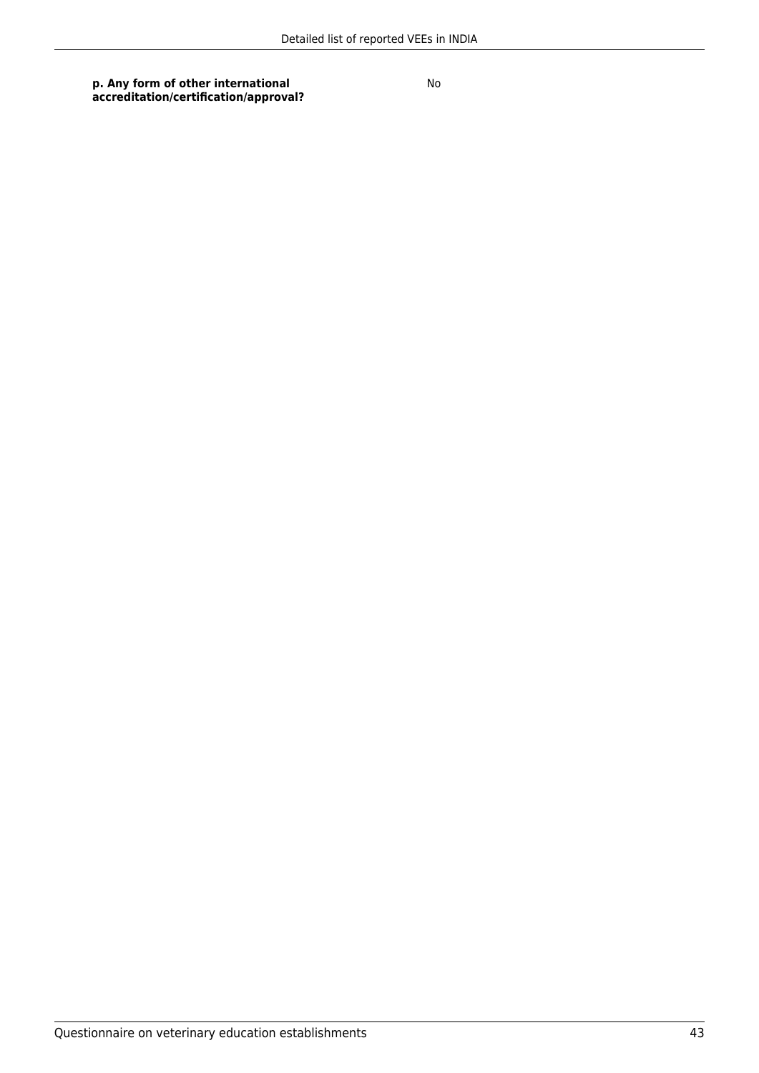**p. Any form of other international accreditation/certification/approval?**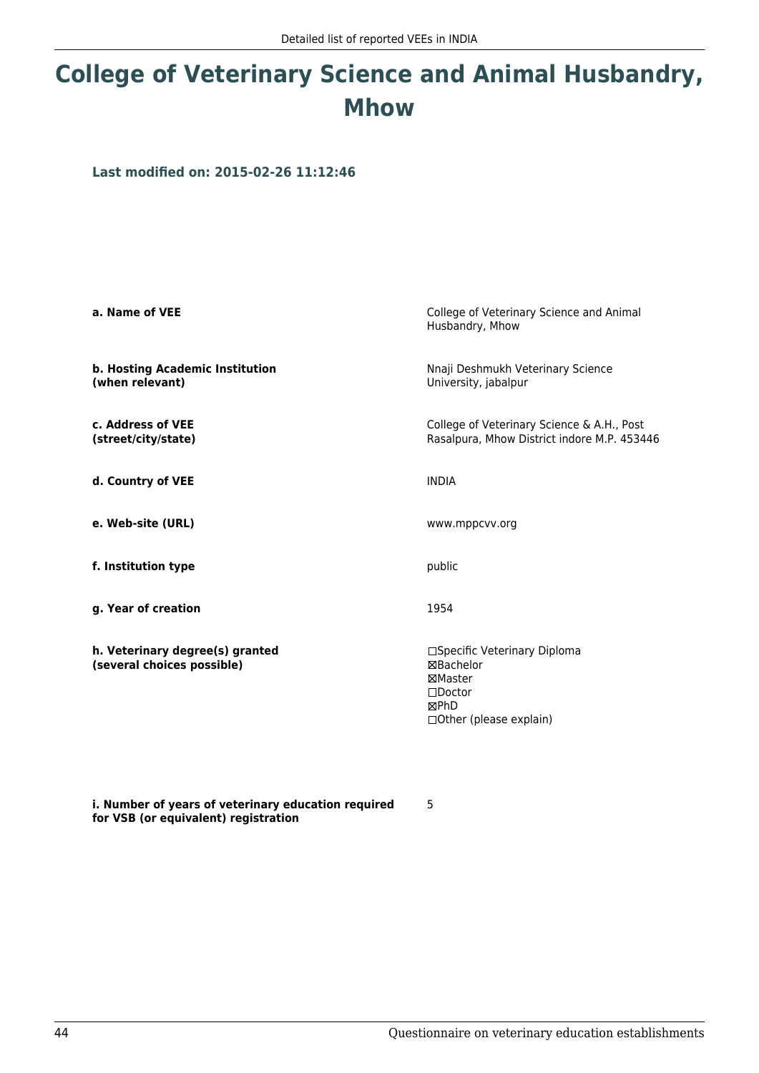## **College of Veterinary Science and Animal Husbandry, Mhow**

**Last modified on: 2015-02-26 11:12:46**

| a. Name of VEE                                                | College of Veterinary Science and Animal<br>Husbandry, Mhow                                                  |
|---------------------------------------------------------------|--------------------------------------------------------------------------------------------------------------|
| b. Hosting Academic Institution<br>(when relevant)            | Nnaji Deshmukh Veterinary Science<br>University, jabalpur                                                    |
| c. Address of VEE<br>(street/city/state)                      | College of Veterinary Science & A.H., Post<br>Rasalpura, Mhow District indore M.P. 453446                    |
| d. Country of VEE                                             | <b>INDIA</b>                                                                                                 |
| e. Web-site (URL)                                             | www.mppcvv.org                                                                                               |
| f. Institution type                                           | public                                                                                                       |
| g. Year of creation                                           | 1954                                                                                                         |
| h. Veterinary degree(s) granted<br>(several choices possible) | □Specific Veterinary Diploma<br>⊠Bachelor<br>⊠Master<br>$\square$ Doctor<br>⊠PhD<br>□ Other (please explain) |

**i. Number of years of veterinary education required for VSB (or equivalent) registration**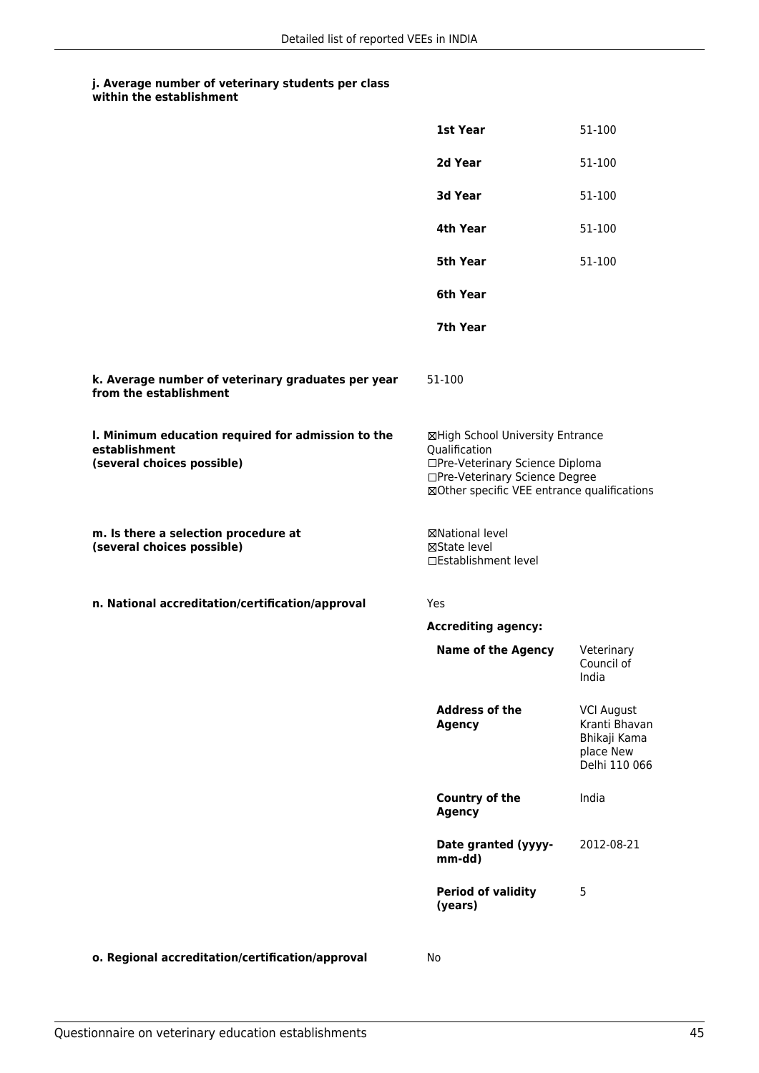|                                                                                                   | 1st Year                                                                                                                                                              | 51-100                                                                           |
|---------------------------------------------------------------------------------------------------|-----------------------------------------------------------------------------------------------------------------------------------------------------------------------|----------------------------------------------------------------------------------|
|                                                                                                   | 2d Year                                                                                                                                                               | 51-100                                                                           |
|                                                                                                   | 3d Year                                                                                                                                                               | 51-100                                                                           |
|                                                                                                   | 4th Year                                                                                                                                                              | 51-100                                                                           |
|                                                                                                   | <b>5th Year</b>                                                                                                                                                       | 51-100                                                                           |
|                                                                                                   | 6th Year                                                                                                                                                              |                                                                                  |
|                                                                                                   | 7th Year                                                                                                                                                              |                                                                                  |
| k. Average number of veterinary graduates per year<br>from the establishment                      | 51-100                                                                                                                                                                |                                                                                  |
| I. Minimum education required for admission to the<br>establishment<br>(several choices possible) | ⊠High School University Entrance<br>Qualification<br>□Pre-Veterinary Science Diploma<br>□Pre-Veterinary Science Degree<br>⊠Other specific VEE entrance qualifications |                                                                                  |
| m. Is there a selection procedure at<br>(several choices possible)                                | ⊠National level<br>⊠State level<br>□Establishment level                                                                                                               |                                                                                  |
| n. National accreditation/certification/approval                                                  | Yes                                                                                                                                                                   |                                                                                  |
|                                                                                                   | <b>Accrediting agency:</b>                                                                                                                                            |                                                                                  |
|                                                                                                   | <b>Name of the Agency</b>                                                                                                                                             | Veterinary<br>Council of<br>India                                                |
|                                                                                                   | <b>Address of the</b><br><b>Agency</b>                                                                                                                                | <b>VCI August</b><br>Kranti Bhavan<br>Bhikaji Kama<br>place New<br>Delhi 110 066 |
|                                                                                                   | Country of the<br>Agency                                                                                                                                              | India                                                                            |
|                                                                                                   | Date granted (yyyy-<br>mm-dd)                                                                                                                                         | 2012-08-21                                                                       |
|                                                                                                   | <b>Period of validity</b><br>(years)                                                                                                                                  | 5                                                                                |
|                                                                                                   |                                                                                                                                                                       |                                                                                  |

**o. Regional accreditation/certification/approval** No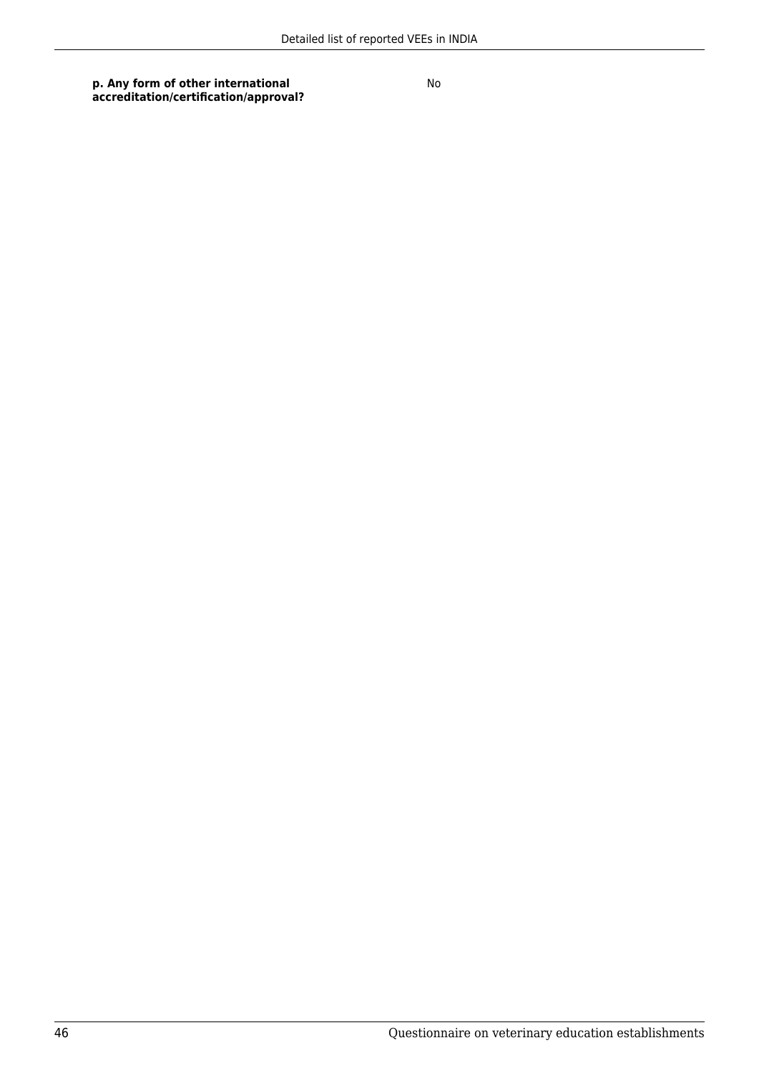**p. Any form of other international accreditation/certification/approval?**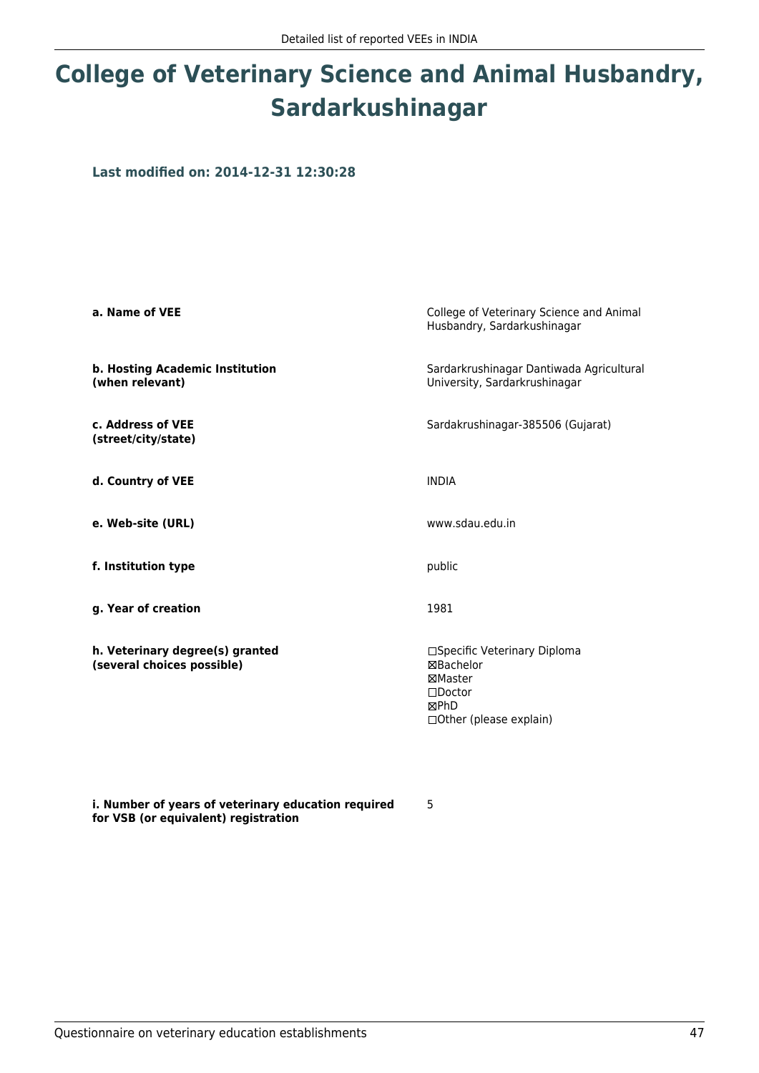# **College of Veterinary Science and Animal Husbandry, Sardarkushinagar**

**Last modified on: 2014-12-31 12:30:28**

| a. Name of VEE                                                | College of Veterinary Science and Animal<br>Husbandry, Sardarkushinagar                                      |
|---------------------------------------------------------------|--------------------------------------------------------------------------------------------------------------|
| b. Hosting Academic Institution<br>(when relevant)            | Sardarkrushinagar Dantiwada Agricultural<br>University, Sardarkrushinagar                                    |
| c. Address of VEE<br>(street/city/state)                      | Sardakrushinagar-385506 (Gujarat)                                                                            |
| d. Country of VEE                                             | <b>INDIA</b>                                                                                                 |
| e. Web-site (URL)                                             | www.sdau.edu.in                                                                                              |
| f. Institution type                                           | public                                                                                                       |
| g. Year of creation                                           | 1981                                                                                                         |
| h. Veterinary degree(s) granted<br>(several choices possible) | □Specific Veterinary Diploma<br>⊠Bachelor<br>⊠Master<br>$\square$ Doctor<br>⊠PhD<br>□ Other (please explain) |

**i. Number of years of veterinary education required for VSB (or equivalent) registration**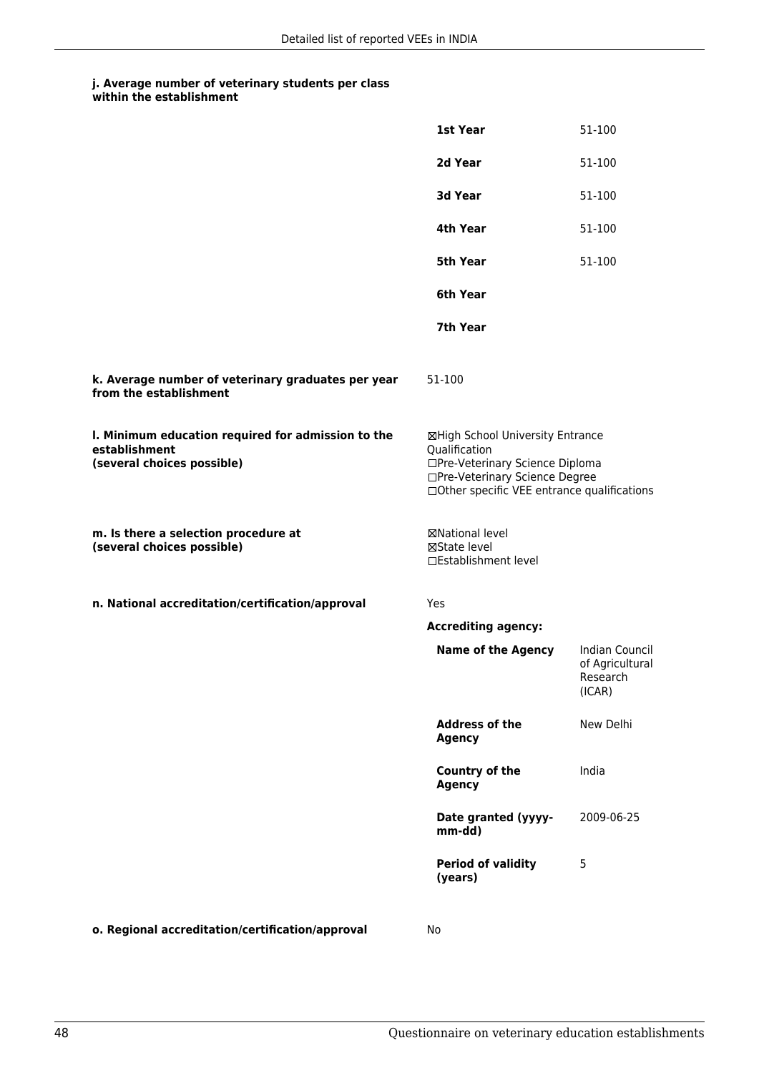|                                                                                                   | 1st Year                                                                                                                                                               | 51-100                                                  |
|---------------------------------------------------------------------------------------------------|------------------------------------------------------------------------------------------------------------------------------------------------------------------------|---------------------------------------------------------|
|                                                                                                   | 2d Year                                                                                                                                                                | 51-100                                                  |
|                                                                                                   | 3d Year                                                                                                                                                                | 51-100                                                  |
|                                                                                                   | 4th Year                                                                                                                                                               | 51-100                                                  |
|                                                                                                   | 5th Year                                                                                                                                                               | 51-100                                                  |
|                                                                                                   | 6th Year                                                                                                                                                               |                                                         |
|                                                                                                   | 7th Year                                                                                                                                                               |                                                         |
| k. Average number of veterinary graduates per year<br>from the establishment                      | 51-100                                                                                                                                                                 |                                                         |
| I. Minimum education required for admission to the<br>establishment<br>(several choices possible) | ⊠High School University Entrance<br>Qualification<br>□Pre-Veterinary Science Diploma<br>□Pre-Veterinary Science Degree<br>□ Other specific VEE entrance qualifications |                                                         |
| m. Is there a selection procedure at<br>(several choices possible)                                | ⊠National level<br>⊠State level<br>□Establishment level                                                                                                                |                                                         |
| n. National accreditation/certification/approval                                                  | Yes                                                                                                                                                                    |                                                         |
|                                                                                                   | <b>Accrediting agency:</b>                                                                                                                                             |                                                         |
|                                                                                                   | <b>Name of the Agency</b>                                                                                                                                              | Indian Council<br>of Agricultural<br>Research<br>(ICAR) |
|                                                                                                   | <b>Address of the</b><br><b>Agency</b>                                                                                                                                 | New Delhi                                               |
|                                                                                                   | <b>Country of the</b><br><b>Agency</b>                                                                                                                                 | India                                                   |
|                                                                                                   | Date granted (yyyy-<br>mm-dd)                                                                                                                                          | 2009-06-25                                              |
|                                                                                                   | <b>Period of validity</b><br>(years)                                                                                                                                   | 5                                                       |
|                                                                                                   |                                                                                                                                                                        |                                                         |

**o. Regional accreditation/certification/approval** No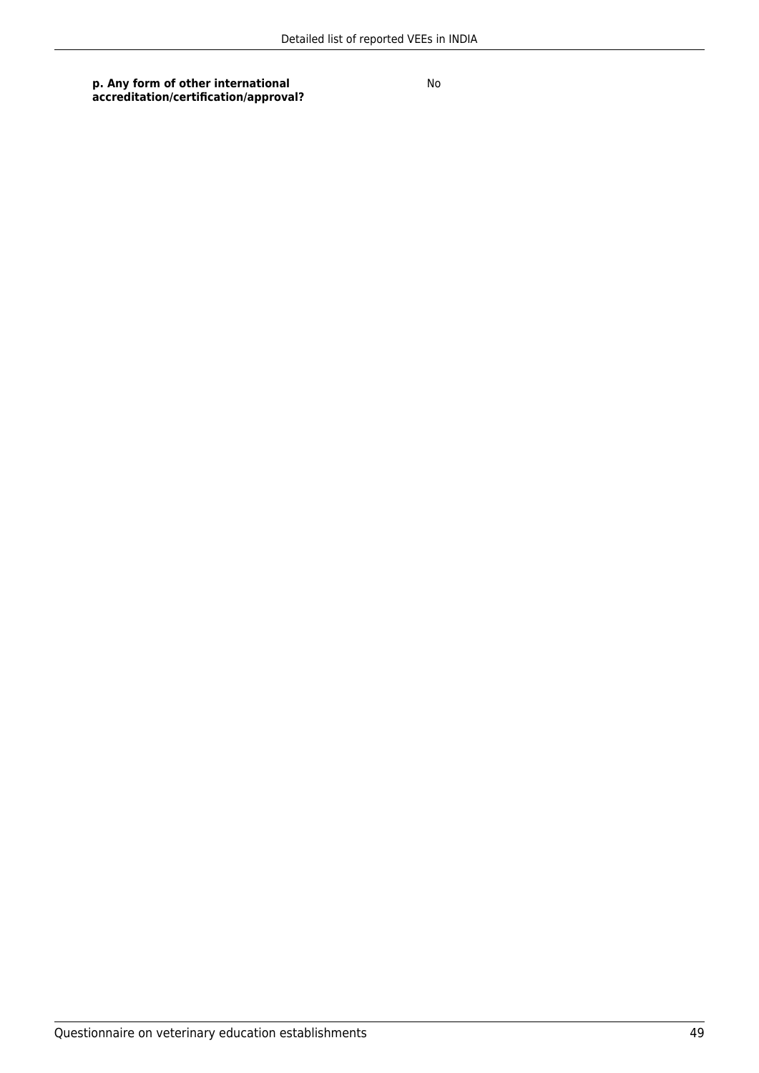**p. Any form of other international accreditation/certification/approval?**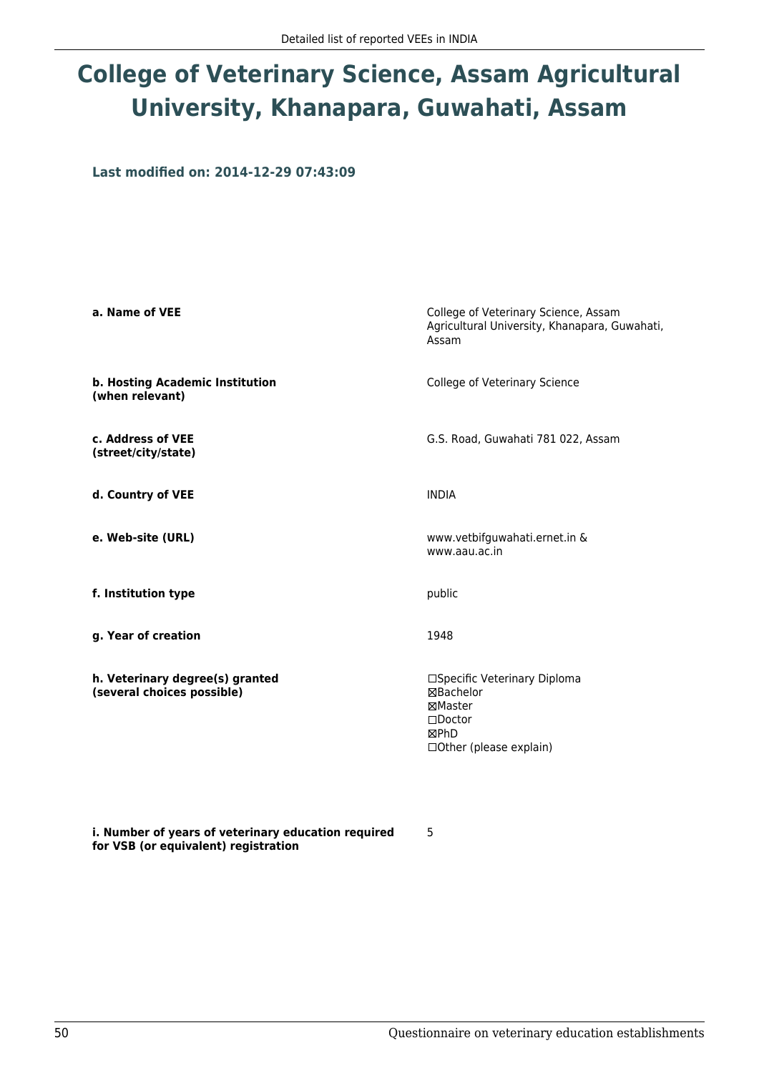# **College of Veterinary Science, Assam Agricultural University, Khanapara, Guwahati, Assam**

**Last modified on: 2014-12-29 07:43:09**

| a. Name of VEE                                                | College of Veterinary Science, Assam<br>Agricultural University, Khanapara, Guwahati,<br>Assam               |
|---------------------------------------------------------------|--------------------------------------------------------------------------------------------------------------|
| b. Hosting Academic Institution<br>(when relevant)            | College of Veterinary Science                                                                                |
| c. Address of VEE<br>(street/city/state)                      | G.S. Road, Guwahati 781 022, Assam                                                                           |
| d. Country of VEE                                             | <b>INDIA</b>                                                                                                 |
| e. Web-site (URL)                                             | www.vetbifguwahati.ernet.in &<br>www.aau.ac.in                                                               |
| f. Institution type                                           | public                                                                                                       |
| g. Year of creation                                           | 1948                                                                                                         |
| h. Veterinary degree(s) granted<br>(several choices possible) | □Specific Veterinary Diploma<br>⊠Bachelor<br>⊠Master<br>$\square$ Doctor<br>⊠PhD<br>□ Other (please explain) |

**i. Number of years of veterinary education required for VSB (or equivalent) registration**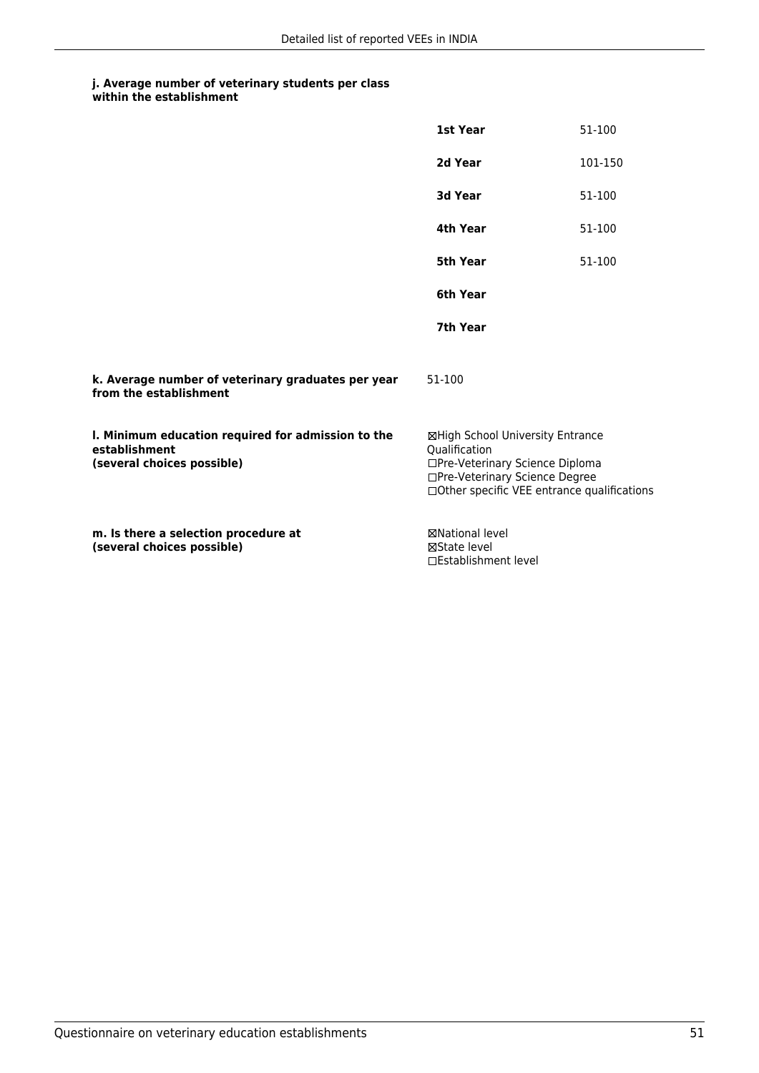|                                                                                                   | 1st Year                                                                                                                                                              | 51-100  |
|---------------------------------------------------------------------------------------------------|-----------------------------------------------------------------------------------------------------------------------------------------------------------------------|---------|
|                                                                                                   | 2d Year                                                                                                                                                               | 101-150 |
|                                                                                                   | 3d Year                                                                                                                                                               | 51-100  |
|                                                                                                   | 4th Year                                                                                                                                                              | 51-100  |
|                                                                                                   | <b>5th Year</b>                                                                                                                                                       | 51-100  |
|                                                                                                   | 6th Year                                                                                                                                                              |         |
|                                                                                                   | 7th Year                                                                                                                                                              |         |
| k. Average number of veterinary graduates per year<br>from the establishment                      | 51-100                                                                                                                                                                |         |
| I. Minimum education required for admission to the<br>establishment<br>(several choices possible) | ⊠High School University Entrance<br>Qualification<br>□Pre-Veterinary Science Diploma<br>□Pre-Veterinary Science Degree<br>□Other specific VEE entrance qualifications |         |
| m. Is there a selection procedure at<br>(several choices possible)                                | <b>⊠National level</b><br>⊠State level<br>□Establishment level                                                                                                        |         |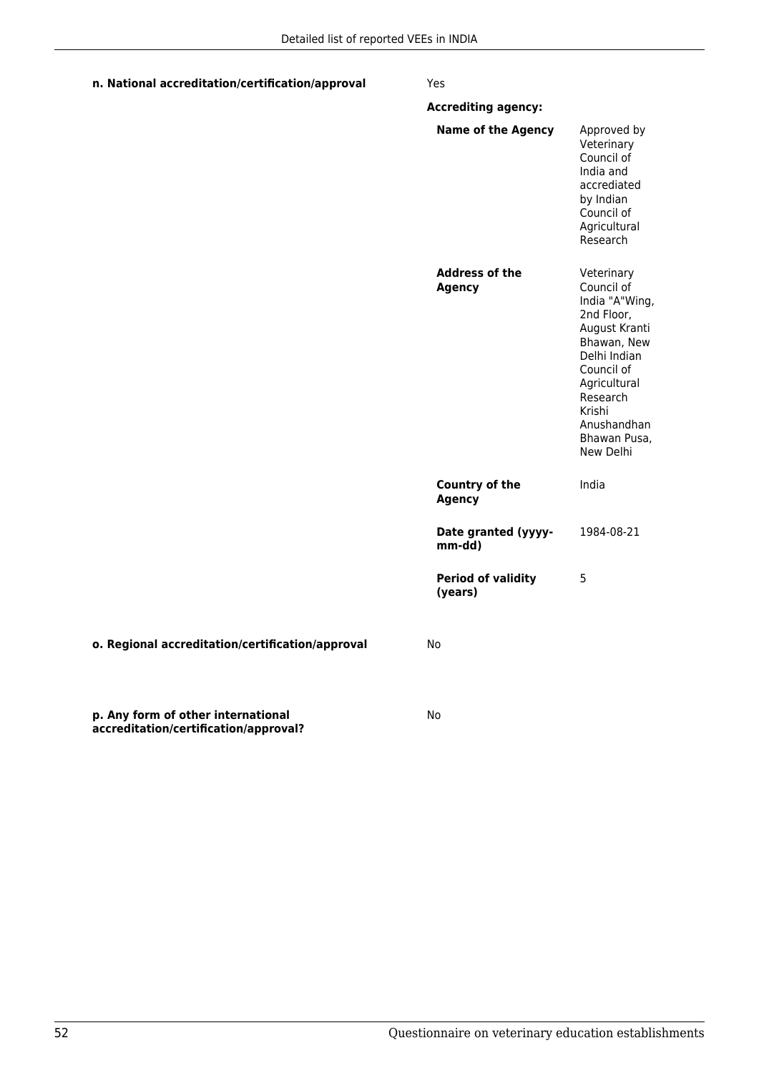| n. National accreditation/certification/approval                            | Yes                                    |                                                                                                                                                                                                          |
|-----------------------------------------------------------------------------|----------------------------------------|----------------------------------------------------------------------------------------------------------------------------------------------------------------------------------------------------------|
|                                                                             | <b>Accrediting agency:</b>             |                                                                                                                                                                                                          |
|                                                                             | <b>Name of the Agency</b>              | Approved by<br>Veterinary<br>Council of<br>India and<br>accrediated<br>by Indian<br>Council of<br>Agricultural<br>Research                                                                               |
|                                                                             | <b>Address of the</b><br><b>Agency</b> | Veterinary<br>Council of<br>India "A"Wing,<br>2nd Floor,<br>August Kranti<br>Bhawan, New<br>Delhi Indian<br>Council of<br>Agricultural<br>Research<br>Krishi<br>Anushandhan<br>Bhawan Pusa,<br>New Delhi |
|                                                                             | <b>Country of the</b><br><b>Agency</b> | India                                                                                                                                                                                                    |
|                                                                             | Date granted (yyyy-<br>mm-dd)          | 1984-08-21                                                                                                                                                                                               |
|                                                                             | <b>Period of validity</b><br>(years)   | 5                                                                                                                                                                                                        |
| o. Regional accreditation/certification/approval                            | No.                                    |                                                                                                                                                                                                          |
| p. Any form of other international<br>accreditation/certification/approval? | No                                     |                                                                                                                                                                                                          |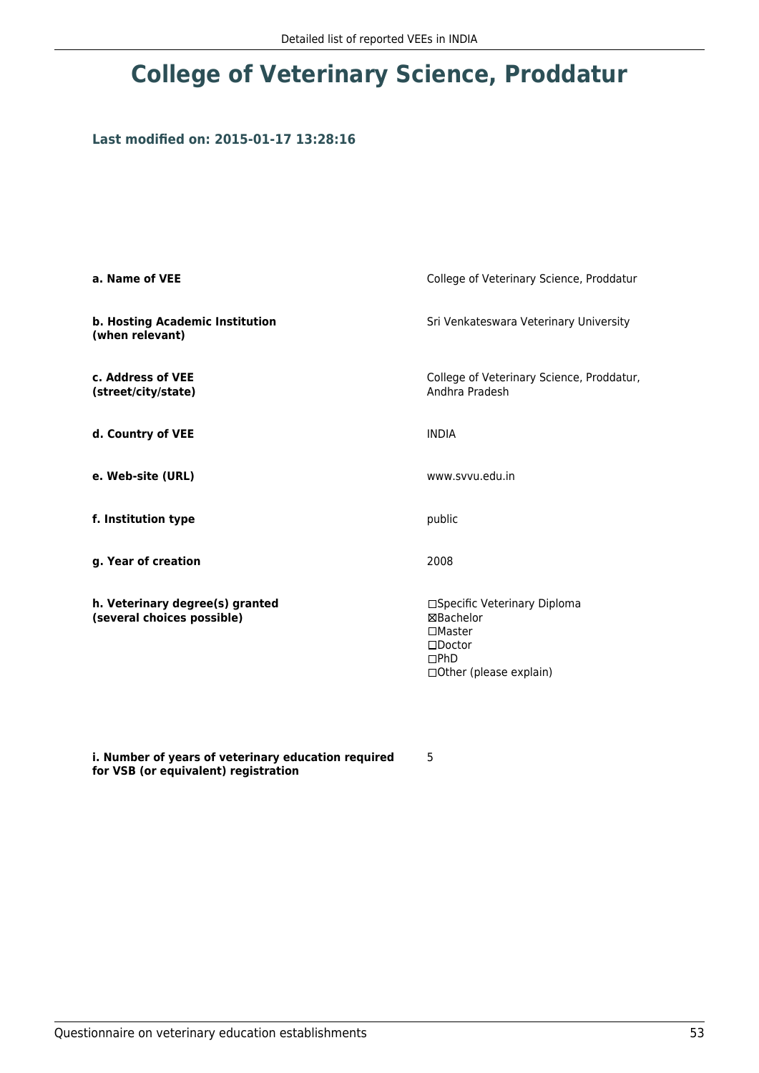## **College of Veterinary Science, Proddatur**

## **Last modified on: 2015-01-17 13:28:16**

| a. Name of VEE                                                | College of Veterinary Science, Proddatur                                                                              |  |
|---------------------------------------------------------------|-----------------------------------------------------------------------------------------------------------------------|--|
| b. Hosting Academic Institution<br>(when relevant)            | Sri Venkateswara Veterinary University                                                                                |  |
| c. Address of VEE<br>(street/city/state)                      | College of Veterinary Science, Proddatur,<br>Andhra Pradesh                                                           |  |
| d. Country of VEE                                             | <b>INDIA</b>                                                                                                          |  |
| e. Web-site (URL)                                             | www.svvu.edu.in                                                                                                       |  |
| f. Institution type                                           | public                                                                                                                |  |
| g. Year of creation                                           | 2008                                                                                                                  |  |
| h. Veterinary degree(s) granted<br>(several choices possible) | □Specific Veterinary Diploma<br>⊠Bachelor<br>$\square$ Master<br>$\square$ Doctor<br>DPhD<br>□ Other (please explain) |  |

**i. Number of years of veterinary education required for VSB (or equivalent) registration**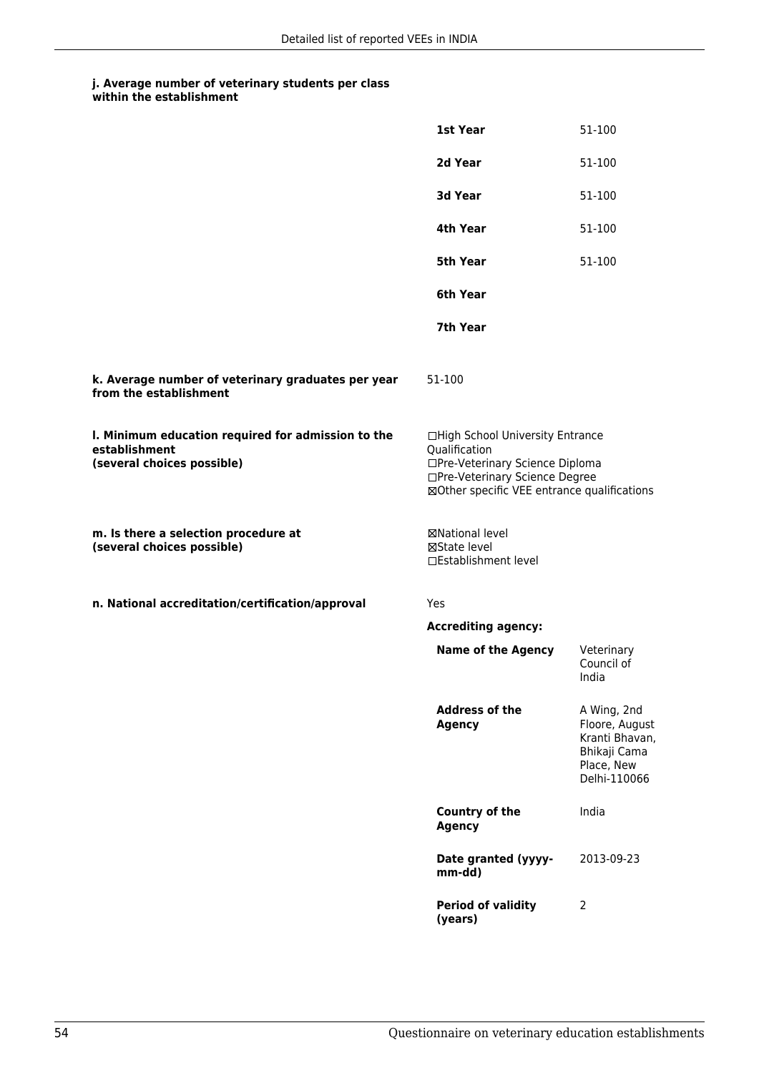|                                                                                                   | 1st Year                                                                                                                                                              | 51-100                                                                                        |
|---------------------------------------------------------------------------------------------------|-----------------------------------------------------------------------------------------------------------------------------------------------------------------------|-----------------------------------------------------------------------------------------------|
|                                                                                                   | 2d Year                                                                                                                                                               | 51-100                                                                                        |
|                                                                                                   | 3d Year                                                                                                                                                               | 51-100                                                                                        |
|                                                                                                   | 4th Year                                                                                                                                                              | 51-100                                                                                        |
|                                                                                                   | <b>5th Year</b>                                                                                                                                                       | 51-100                                                                                        |
|                                                                                                   | 6th Year                                                                                                                                                              |                                                                                               |
|                                                                                                   | 7th Year                                                                                                                                                              |                                                                                               |
| k. Average number of veterinary graduates per year<br>from the establishment                      | 51-100                                                                                                                                                                |                                                                                               |
| I. Minimum education required for admission to the<br>establishment<br>(several choices possible) | □High School University Entrance<br>Qualification<br>□Pre-Veterinary Science Diploma<br>□Pre-Veterinary Science Degree<br>⊠Other specific VEE entrance qualifications |                                                                                               |
| m. Is there a selection procedure at<br>(several choices possible)                                | ⊠National level<br>⊠State level<br>□Establishment level                                                                                                               |                                                                                               |
| n. National accreditation/certification/approval                                                  | Yes                                                                                                                                                                   |                                                                                               |
|                                                                                                   | <b>Accrediting agency:</b>                                                                                                                                            |                                                                                               |
|                                                                                                   | <b>Name of the Agency</b>                                                                                                                                             | Veterinary<br>Council of<br>India                                                             |
|                                                                                                   | <b>Address of the</b><br><b>Agency</b>                                                                                                                                | A Wing, 2nd<br>Floore, August<br>Kranti Bhavan,<br>Bhikaji Cama<br>Place, New<br>Delhi-110066 |
|                                                                                                   | Country of the<br><b>Agency</b>                                                                                                                                       | India                                                                                         |
|                                                                                                   | Date granted (yyyy-<br>mm-dd)                                                                                                                                         | 2013-09-23                                                                                    |
|                                                                                                   | <b>Period of validity</b><br>(years)                                                                                                                                  | 2                                                                                             |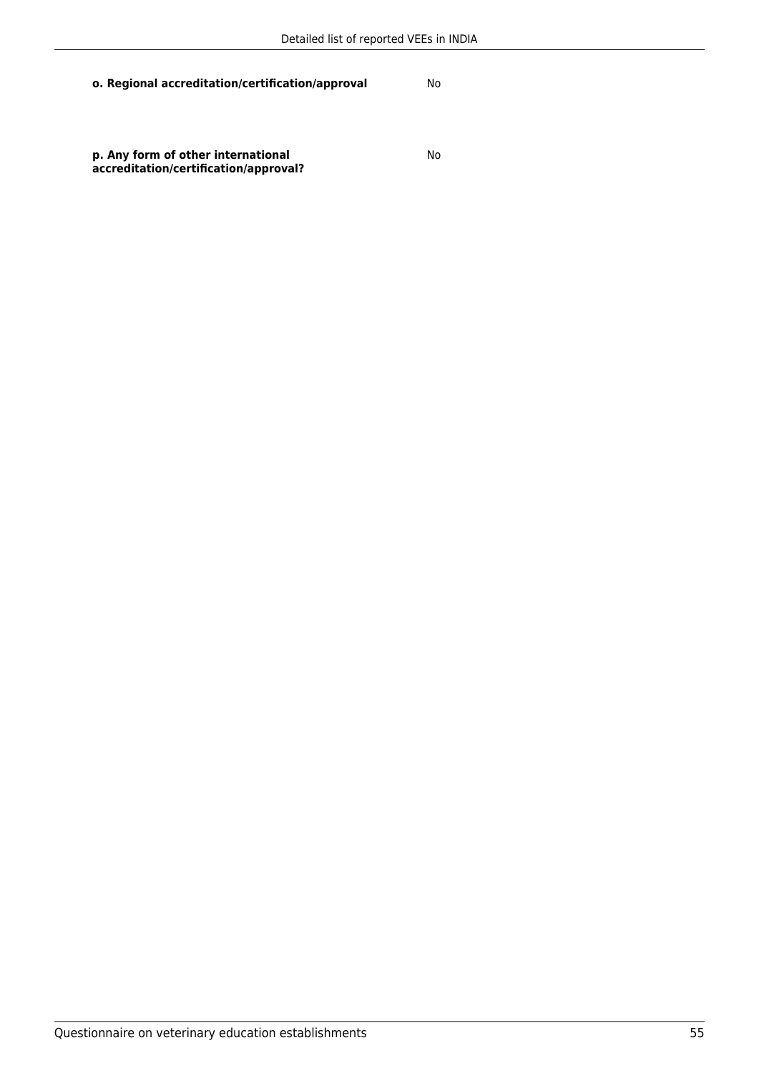**o. Regional accreditation/certification/approval** No

**p. Any form of other international accreditation/certification/approval?**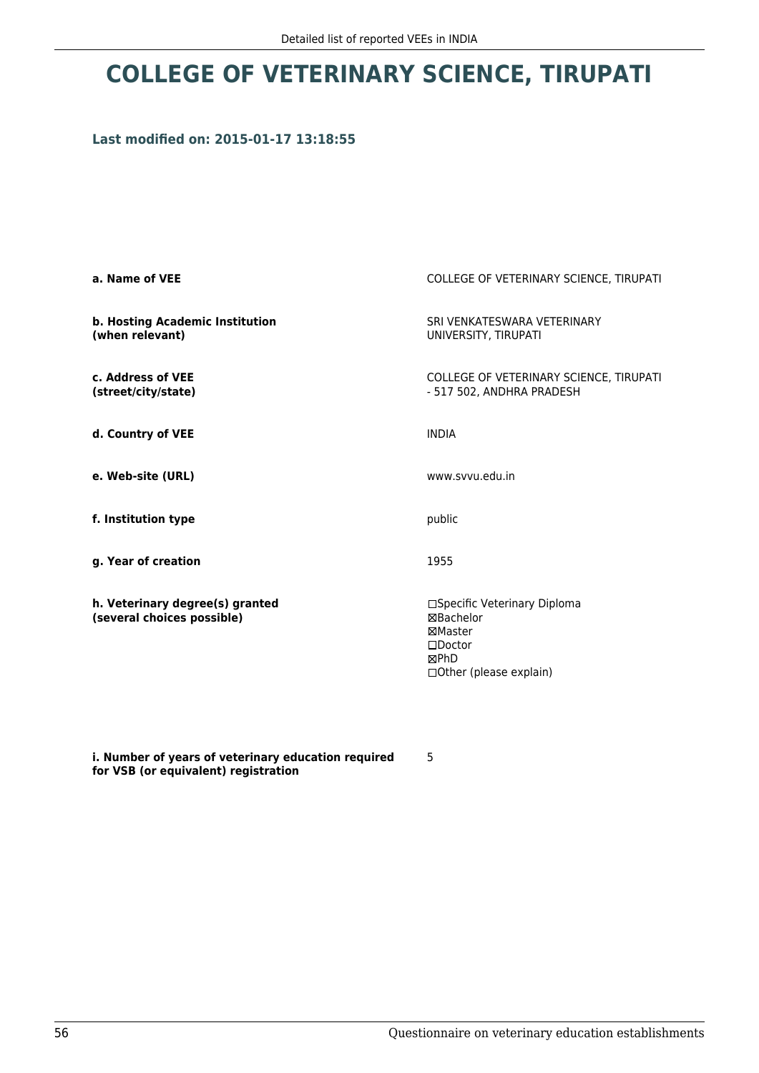## **COLLEGE OF VETERINARY SCIENCE, TIRUPATI**

## **Last modified on: 2015-01-17 13:18:55**

| a. Name of VEE                                                | COLLEGE OF VETERINARY SCIENCE, TIRUPATI                                                                      |
|---------------------------------------------------------------|--------------------------------------------------------------------------------------------------------------|
| b. Hosting Academic Institution<br>(when relevant)            | SRI VENKATESWARA VETERINARY<br>UNIVERSITY, TIRUPATI                                                          |
| c. Address of VEE<br>(street/city/state)                      | COLLEGE OF VETERINARY SCIENCE, TIRUPATI<br>- 517 502, ANDHRA PRADESH                                         |
| d. Country of VEE                                             | <b>INDIA</b>                                                                                                 |
| e. Web-site (URL)                                             | www.svvu.edu.in                                                                                              |
| f. Institution type                                           | public                                                                                                       |
| g. Year of creation                                           | 1955                                                                                                         |
| h. Veterinary degree(s) granted<br>(several choices possible) | □Specific Veterinary Diploma<br>⊠Bachelor<br>⊠Master<br>$\square$ Doctor<br>⊠PhD<br>□ Other (please explain) |

**i. Number of years of veterinary education required for VSB (or equivalent) registration**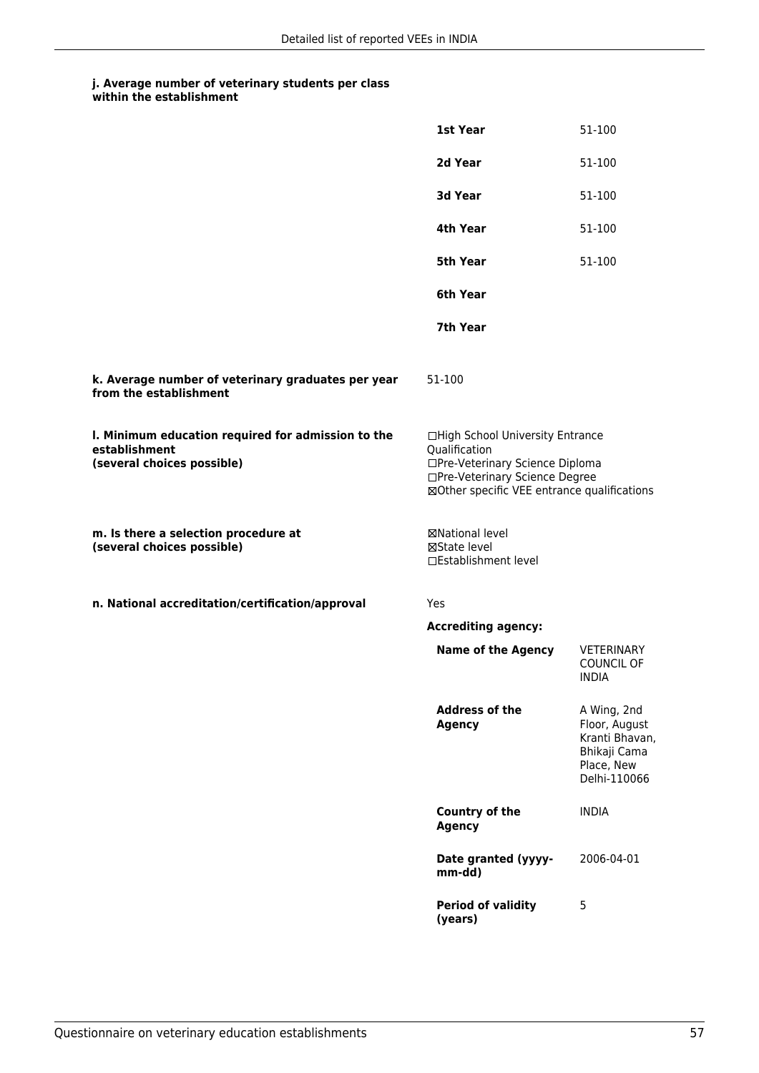|                                                                                                   | 1st Year                                                                                                                                                              | 51-100                                                                                       |
|---------------------------------------------------------------------------------------------------|-----------------------------------------------------------------------------------------------------------------------------------------------------------------------|----------------------------------------------------------------------------------------------|
|                                                                                                   | 2d Year                                                                                                                                                               | 51-100                                                                                       |
|                                                                                                   | 3d Year                                                                                                                                                               | 51-100                                                                                       |
|                                                                                                   | 4th Year                                                                                                                                                              | 51-100                                                                                       |
|                                                                                                   | 5th Year                                                                                                                                                              | 51-100                                                                                       |
|                                                                                                   | 6th Year                                                                                                                                                              |                                                                                              |
|                                                                                                   | 7th Year                                                                                                                                                              |                                                                                              |
| k. Average number of veterinary graduates per year<br>from the establishment                      | 51-100                                                                                                                                                                |                                                                                              |
| I. Minimum education required for admission to the<br>establishment<br>(several choices possible) | □High School University Entrance<br>Qualification<br>□Pre-Veterinary Science Diploma<br>□Pre-Veterinary Science Degree<br>⊠Other specific VEE entrance qualifications |                                                                                              |
| m. Is there a selection procedure at<br>(several choices possible)                                | ⊠National level<br>⊠State level<br>□Establishment level                                                                                                               |                                                                                              |
| n. National accreditation/certification/approval                                                  | Yes                                                                                                                                                                   |                                                                                              |
|                                                                                                   | <b>Accrediting agency:</b>                                                                                                                                            |                                                                                              |
|                                                                                                   | <b>Name of the Agency</b>                                                                                                                                             | VETERINARY<br><b>COUNCIL OF</b><br><b>INDIA</b>                                              |
|                                                                                                   | <b>Address of the</b><br><b>Agency</b>                                                                                                                                | A Wing, 2nd<br>Floor, August<br>Kranti Bhavan,<br>Bhikaji Cama<br>Place, New<br>Delhi-110066 |
|                                                                                                   | <b>Country of the</b><br><b>Agency</b>                                                                                                                                | <b>INDIA</b>                                                                                 |
|                                                                                                   | Date granted (yyyy-<br>mm-dd)                                                                                                                                         | 2006-04-01                                                                                   |
|                                                                                                   | <b>Period of validity</b><br>(years)                                                                                                                                  | 5                                                                                            |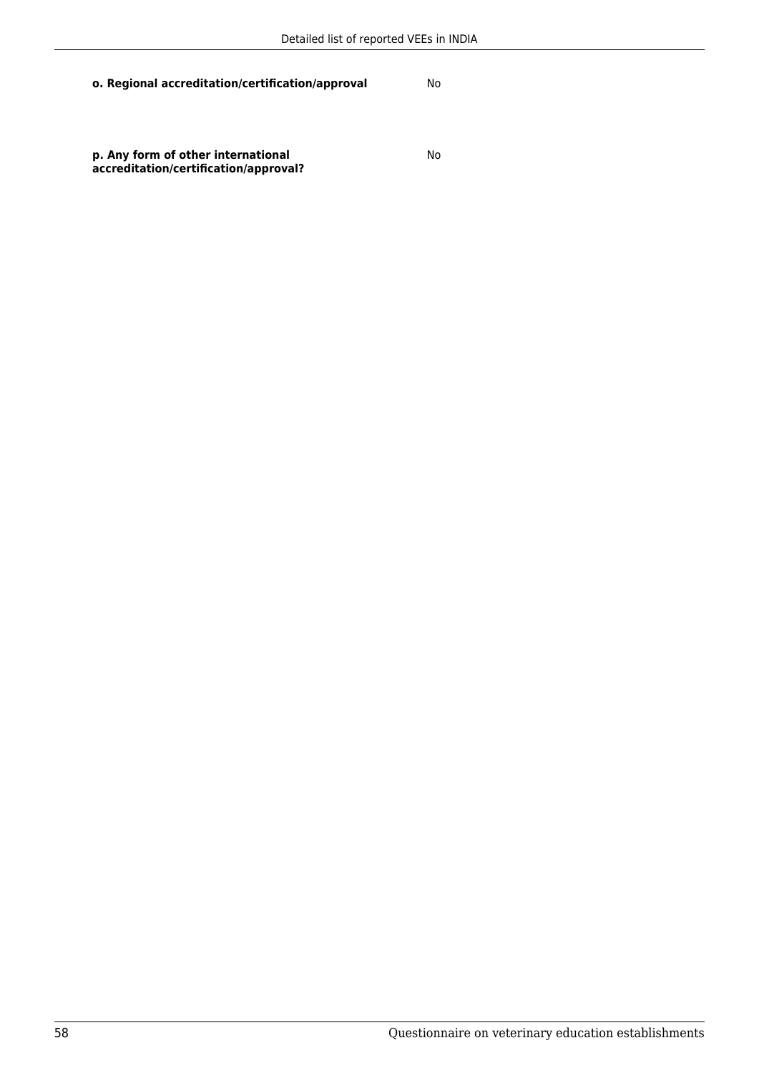**o. Regional accreditation/certification/approval** No

**p. Any form of other international accreditation/certification/approval?**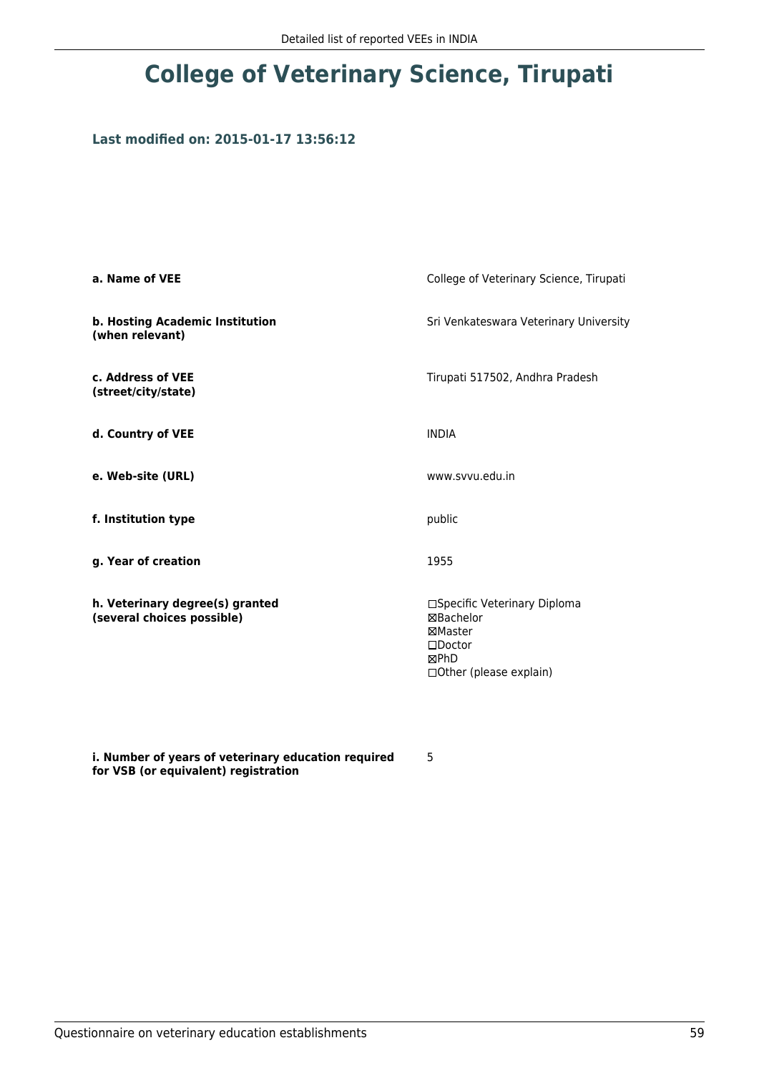## **College of Veterinary Science, Tirupati**

## **Last modified on: 2015-01-17 13:56:12**

| a. Name of VEE                                                | College of Veterinary Science, Tirupati                                                                           |
|---------------------------------------------------------------|-------------------------------------------------------------------------------------------------------------------|
| b. Hosting Academic Institution<br>(when relevant)            | Sri Venkateswara Veterinary University                                                                            |
| c. Address of VEE<br>(street/city/state)                      | Tirupati 517502, Andhra Pradesh                                                                                   |
| d. Country of VEE                                             | <b>INDIA</b>                                                                                                      |
| e. Web-site (URL)                                             | www.svvu.edu.in                                                                                                   |
| f. Institution type                                           | public                                                                                                            |
| g. Year of creation                                           | 1955                                                                                                              |
| h. Veterinary degree(s) granted<br>(several choices possible) | □Specific Veterinary Diploma<br>⊠Bachelor<br>⊠Master<br>$\square$ Doctor<br>⊠PhD<br>$\Box$ Other (please explain) |

**i. Number of years of veterinary education required for VSB (or equivalent) registration**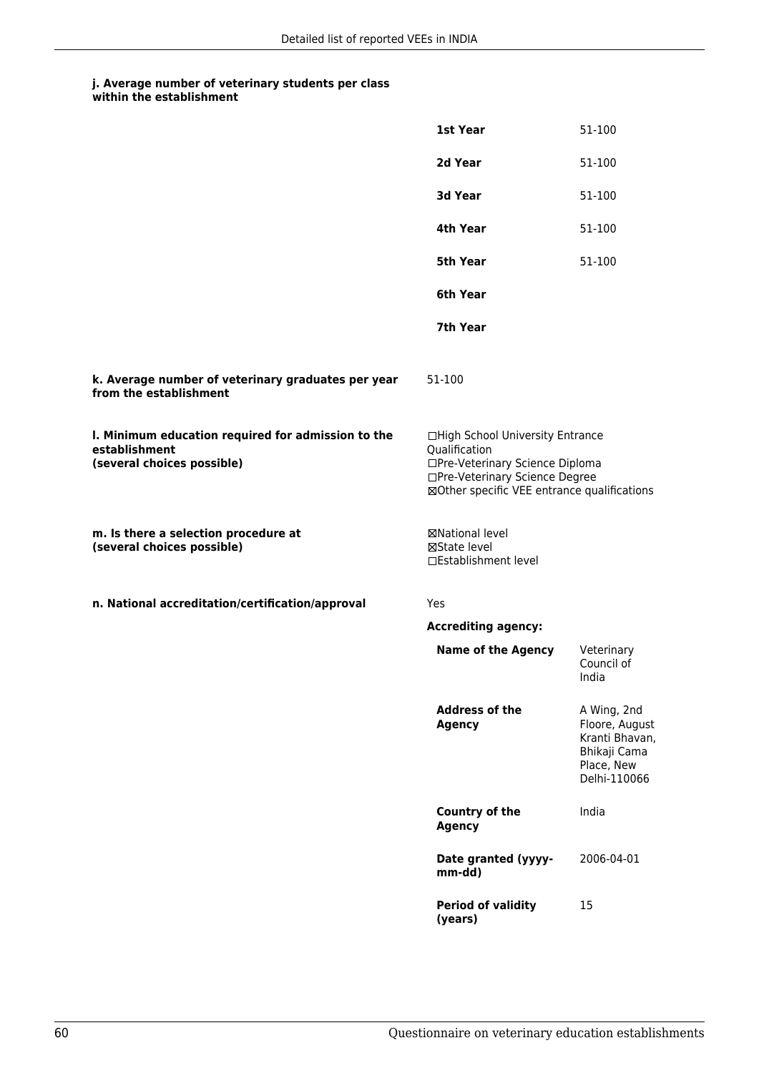|                                                                                                   | 1st Year                                                                                                                                                              | 51-100                                                                                        |
|---------------------------------------------------------------------------------------------------|-----------------------------------------------------------------------------------------------------------------------------------------------------------------------|-----------------------------------------------------------------------------------------------|
|                                                                                                   | 2d Year                                                                                                                                                               | 51-100                                                                                        |
|                                                                                                   | 3d Year                                                                                                                                                               | 51-100                                                                                        |
|                                                                                                   | 4th Year                                                                                                                                                              | 51-100                                                                                        |
|                                                                                                   | <b>5th Year</b>                                                                                                                                                       | 51-100                                                                                        |
|                                                                                                   | 6th Year                                                                                                                                                              |                                                                                               |
|                                                                                                   | 7th Year                                                                                                                                                              |                                                                                               |
| k. Average number of veterinary graduates per year<br>from the establishment                      | 51-100                                                                                                                                                                |                                                                                               |
| I. Minimum education required for admission to the<br>establishment<br>(several choices possible) | □High School University Entrance<br>Qualification<br>□Pre-Veterinary Science Diploma<br>□Pre-Veterinary Science Degree<br>⊠Other specific VEE entrance qualifications |                                                                                               |
| m. Is there a selection procedure at<br>(several choices possible)                                | ⊠National level<br>⊠State level<br>□Establishment level                                                                                                               |                                                                                               |
| n. National accreditation/certification/approval                                                  | Yes                                                                                                                                                                   |                                                                                               |
|                                                                                                   | <b>Accrediting agency:</b>                                                                                                                                            |                                                                                               |
|                                                                                                   | <b>Name of the Agency</b>                                                                                                                                             | Veterinary<br>Council of<br>India                                                             |
|                                                                                                   | <b>Address of the</b><br><b>Agency</b>                                                                                                                                | A Wing, 2nd<br>Floore, August<br>Kranti Bhavan,<br>Bhikaji Cama<br>Place, New<br>Delhi-110066 |
|                                                                                                   | Country of the<br><b>Agency</b>                                                                                                                                       | India                                                                                         |
|                                                                                                   | Date granted (yyyy-<br>mm-dd)                                                                                                                                         | 2006-04-01                                                                                    |
|                                                                                                   | <b>Period of validity</b><br>(years)                                                                                                                                  | 15                                                                                            |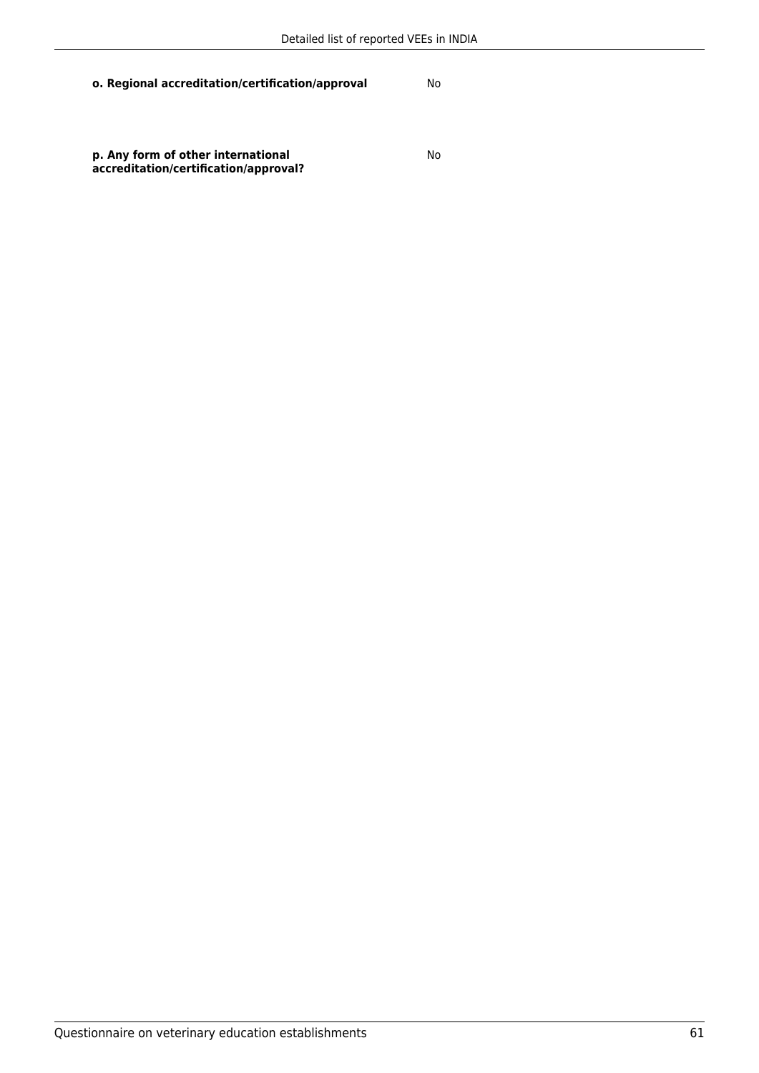**o. Regional accreditation/certification/approval** No

**p. Any form of other international accreditation/certification/approval?**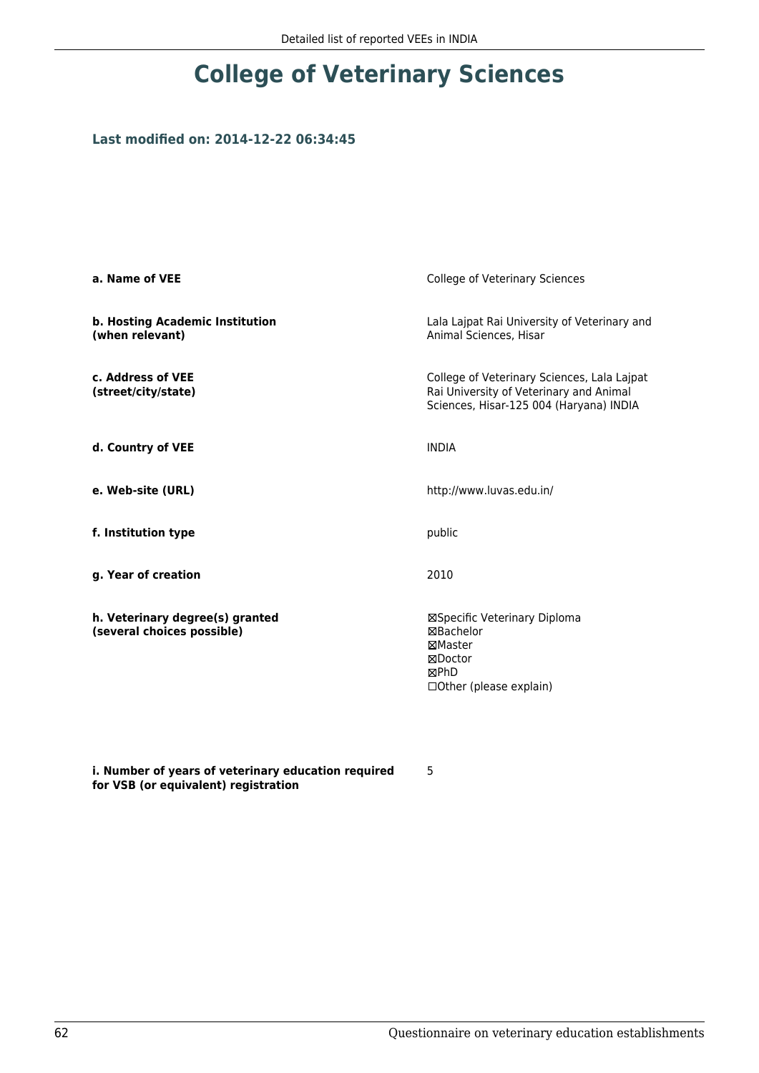## **College of Veterinary Sciences**

## **Last modified on: 2014-12-22 06:34:45**

| a. Name of VEE                                                | College of Veterinary Sciences                                                                                                    |  |
|---------------------------------------------------------------|-----------------------------------------------------------------------------------------------------------------------------------|--|
| b. Hosting Academic Institution<br>(when relevant)            | Lala Lajpat Rai University of Veterinary and<br>Animal Sciences, Hisar                                                            |  |
| c. Address of VEE<br>(street/city/state)                      | College of Veterinary Sciences, Lala Lajpat<br>Rai University of Veterinary and Animal<br>Sciences, Hisar-125 004 (Haryana) INDIA |  |
| d. Country of VEE                                             | <b>INDIA</b>                                                                                                                      |  |
| e. Web-site (URL)                                             | http://www.luvas.edu.in/                                                                                                          |  |
| f. Institution type                                           | public                                                                                                                            |  |
| g. Year of creation                                           | 2010                                                                                                                              |  |
| h. Veterinary degree(s) granted<br>(several choices possible) | ⊠Specific Veterinary Diploma<br>⊠Bachelor<br>⊠Master<br>⊠Doctor<br>⊠PhD<br>□ Other (please explain)                               |  |

**i. Number of years of veterinary education required for VSB (or equivalent) registration**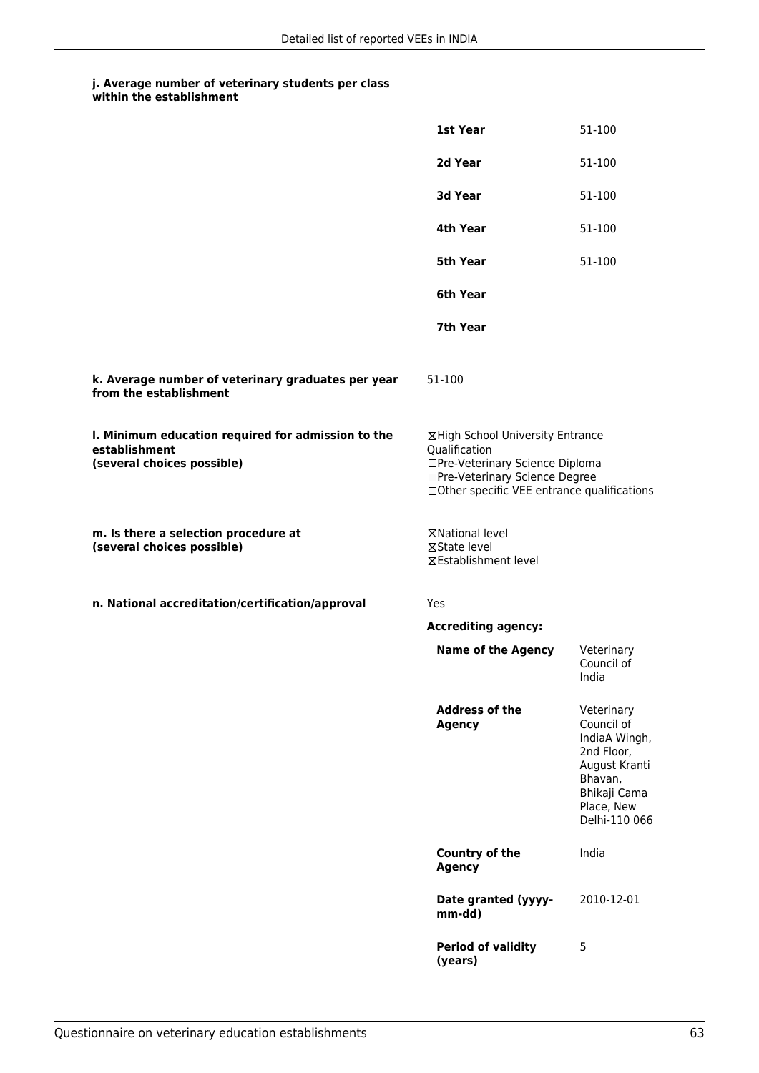|                                                                                                   | 1st Year                                                                                                                                                              | 51-100                                                                                                                             |
|---------------------------------------------------------------------------------------------------|-----------------------------------------------------------------------------------------------------------------------------------------------------------------------|------------------------------------------------------------------------------------------------------------------------------------|
|                                                                                                   | 2d Year                                                                                                                                                               | 51-100                                                                                                                             |
|                                                                                                   | 3d Year                                                                                                                                                               | 51-100                                                                                                                             |
|                                                                                                   | 4th Year                                                                                                                                                              | 51-100                                                                                                                             |
|                                                                                                   | <b>5th Year</b>                                                                                                                                                       | 51-100                                                                                                                             |
|                                                                                                   | 6th Year                                                                                                                                                              |                                                                                                                                    |
|                                                                                                   | 7th Year                                                                                                                                                              |                                                                                                                                    |
| k. Average number of veterinary graduates per year<br>from the establishment                      | 51-100                                                                                                                                                                |                                                                                                                                    |
| I. Minimum education required for admission to the<br>establishment<br>(several choices possible) | ⊠High School University Entrance<br>Qualification<br>□Pre-Veterinary Science Diploma<br>□Pre-Veterinary Science Degree<br>□Other specific VEE entrance qualifications |                                                                                                                                    |
| m. Is there a selection procedure at<br>(several choices possible)                                | ⊠National level<br>⊠State level<br>⊠Establishment level                                                                                                               |                                                                                                                                    |
| n. National accreditation/certification/approval                                                  | Yes                                                                                                                                                                   |                                                                                                                                    |
|                                                                                                   | <b>Accrediting agency:</b>                                                                                                                                            |                                                                                                                                    |
|                                                                                                   | <b>Name of the Agency</b>                                                                                                                                             | Veterinary<br>Council of<br>India                                                                                                  |
|                                                                                                   | <b>Address of the</b><br><b>Agency</b>                                                                                                                                | Veterinary<br>Council of<br>IndiaA Wingh,<br>2nd Floor,<br>August Kranti<br>Bhavan,<br>Bhikaji Cama<br>Place, New<br>Delhi-110 066 |
|                                                                                                   | Country of the<br><b>Agency</b>                                                                                                                                       | India                                                                                                                              |
|                                                                                                   | Date granted (yyyy-<br>mm-dd)                                                                                                                                         | 2010-12-01                                                                                                                         |
|                                                                                                   | <b>Period of validity</b><br>(years)                                                                                                                                  | 5                                                                                                                                  |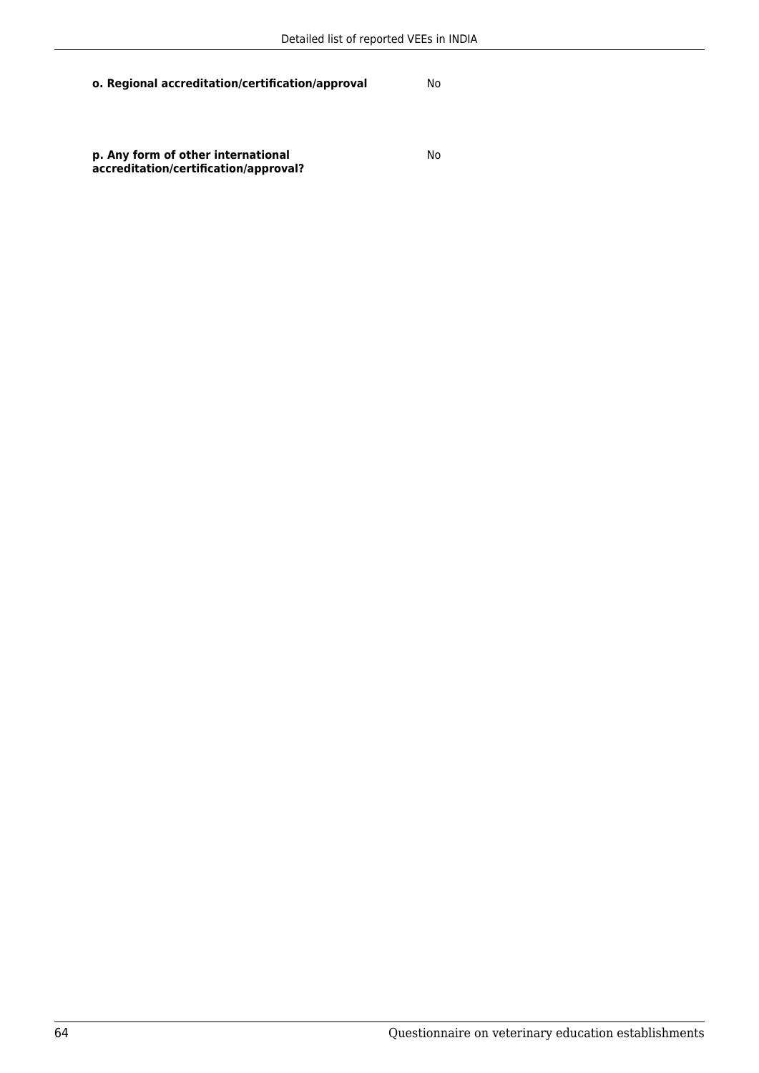**o. Regional accreditation/certification/approval** No

**p. Any form of other international accreditation/certification/approval?**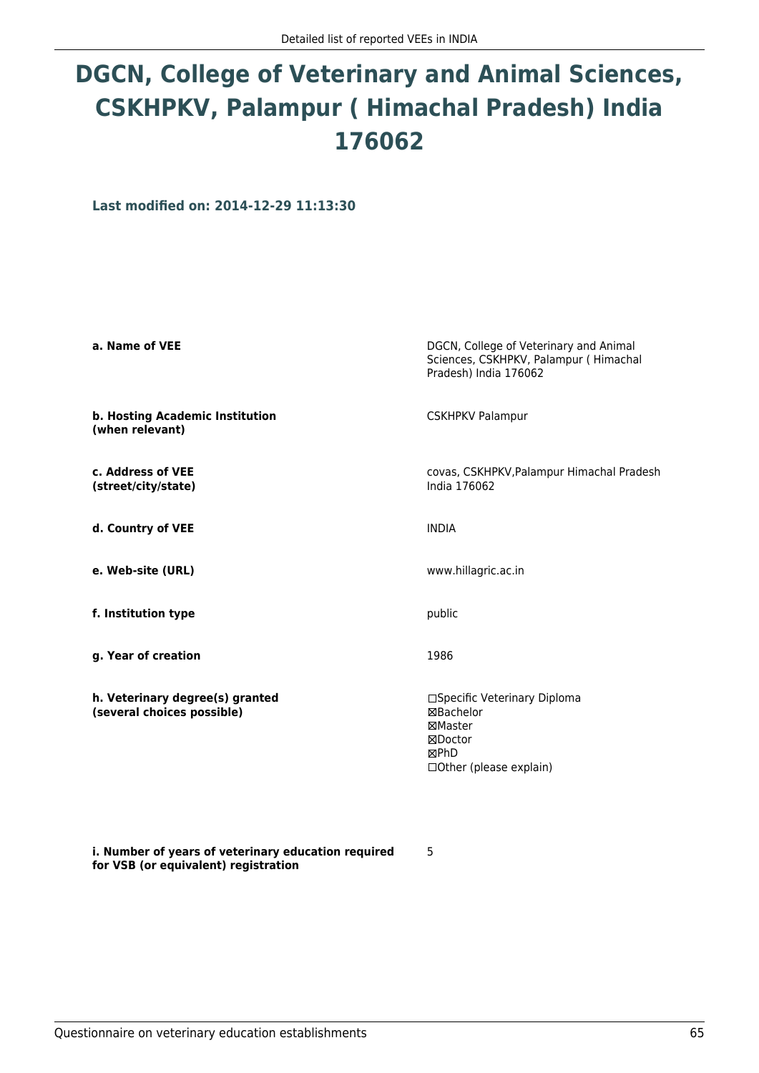# **DGCN, College of Veterinary and Animal Sciences, CSKHPKV, Palampur ( Himachal Pradesh) India 176062**

**Last modified on: 2014-12-29 11:13:30**

| a. Name of VEE                                                | DGCN, College of Veterinary and Animal<br>Sciences, CSKHPKV, Palampur (Himachal<br>Pradesh) India 176062 |
|---------------------------------------------------------------|----------------------------------------------------------------------------------------------------------|
| b. Hosting Academic Institution<br>(when relevant)            | <b>CSKHPKV Palampur</b>                                                                                  |
| c. Address of VEE<br>(street/city/state)                      | covas, CSKHPKV, Palampur Himachal Pradesh<br>India 176062                                                |
| d. Country of VEE                                             | <b>INDIA</b>                                                                                             |
| e. Web-site (URL)                                             | www.hillagric.ac.in                                                                                      |
| f. Institution type                                           | public                                                                                                   |
| g. Year of creation                                           | 1986                                                                                                     |
| h. Veterinary degree(s) granted<br>(several choices possible) | □Specific Veterinary Diploma<br>⊠Bachelor<br>⊠Master<br>⊠Doctor<br>⊠PhD<br>□ Other (please explain)      |

5

**i. Number of years of veterinary education required for VSB (or equivalent) registration**

Questionnaire on veterinary education establishments 65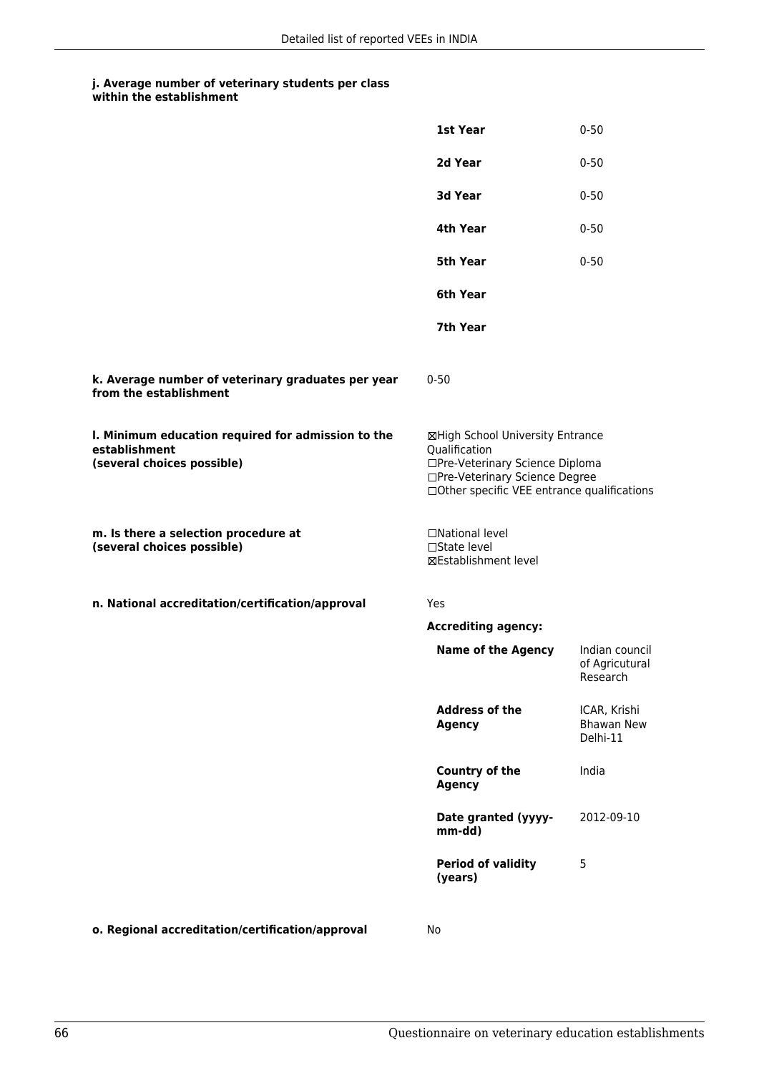|                                                                                                   | 1st Year                                                                                                                                                              | $0 - 50$                                      |
|---------------------------------------------------------------------------------------------------|-----------------------------------------------------------------------------------------------------------------------------------------------------------------------|-----------------------------------------------|
|                                                                                                   | 2d Year                                                                                                                                                               | $0 - 50$                                      |
|                                                                                                   | 3d Year                                                                                                                                                               | $0 - 50$                                      |
|                                                                                                   | 4th Year                                                                                                                                                              | $0 - 50$                                      |
|                                                                                                   | <b>5th Year</b>                                                                                                                                                       | $0 - 50$                                      |
|                                                                                                   | 6th Year                                                                                                                                                              |                                               |
|                                                                                                   | 7th Year                                                                                                                                                              |                                               |
| k. Average number of veterinary graduates per year<br>from the establishment                      | $0 - 50$                                                                                                                                                              |                                               |
| I. Minimum education required for admission to the<br>establishment<br>(several choices possible) | ⊠High School University Entrance<br>Qualification<br>□Pre-Veterinary Science Diploma<br>□Pre-Veterinary Science Degree<br>□Other specific VEE entrance qualifications |                                               |
| m. Is there a selection procedure at<br>(several choices possible)                                | □National level<br>$\square$ State level<br>⊠Establishment level                                                                                                      |                                               |
| n. National accreditation/certification/approval                                                  | Yes                                                                                                                                                                   |                                               |
|                                                                                                   | <b>Accrediting agency:</b>                                                                                                                                            |                                               |
|                                                                                                   | <b>Name of the Agency</b>                                                                                                                                             | Indian council<br>of Agricutural<br>Research  |
|                                                                                                   | <b>Address of the</b><br><b>Agency</b>                                                                                                                                | ICAR, Krishi<br><b>Bhawan New</b><br>Delhi-11 |
|                                                                                                   | <b>Country of the</b><br><b>Agency</b>                                                                                                                                | India                                         |
|                                                                                                   | Date granted (yyyy-<br>mm-dd)                                                                                                                                         | 2012-09-10                                    |
|                                                                                                   | <b>Period of validity</b><br>(years)                                                                                                                                  | 5                                             |
|                                                                                                   |                                                                                                                                                                       |                                               |

**o. Regional accreditation/certification/approval** No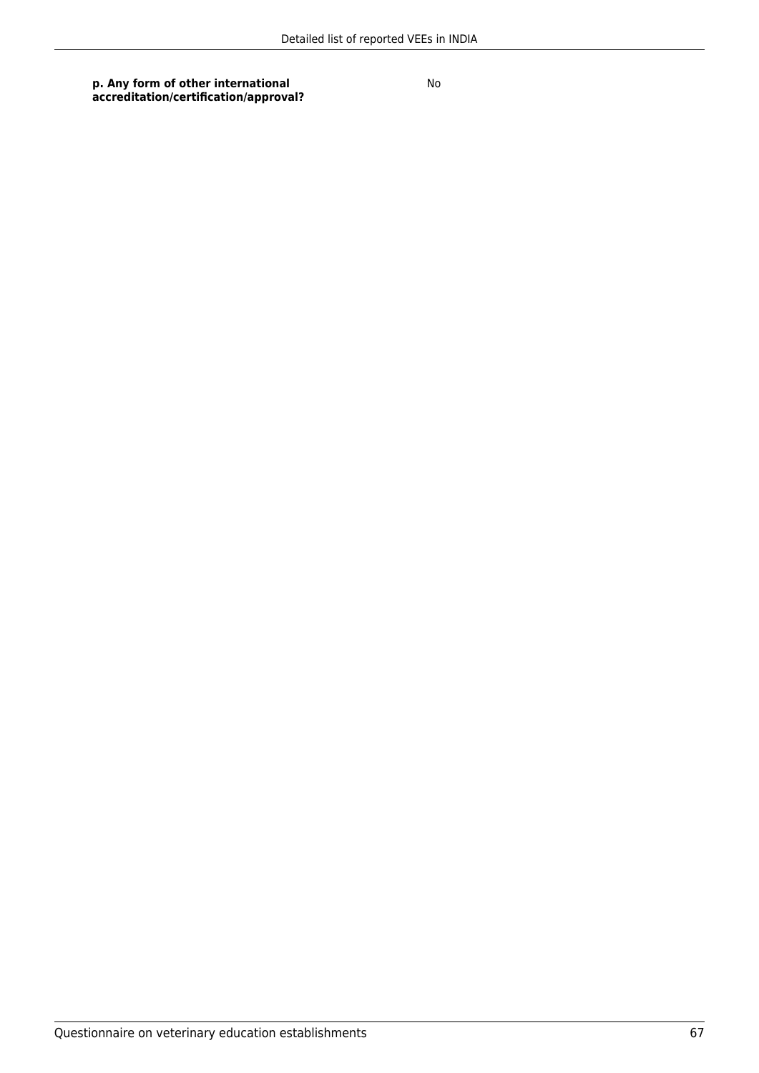**p. Any form of other international accreditation/certification/approval?**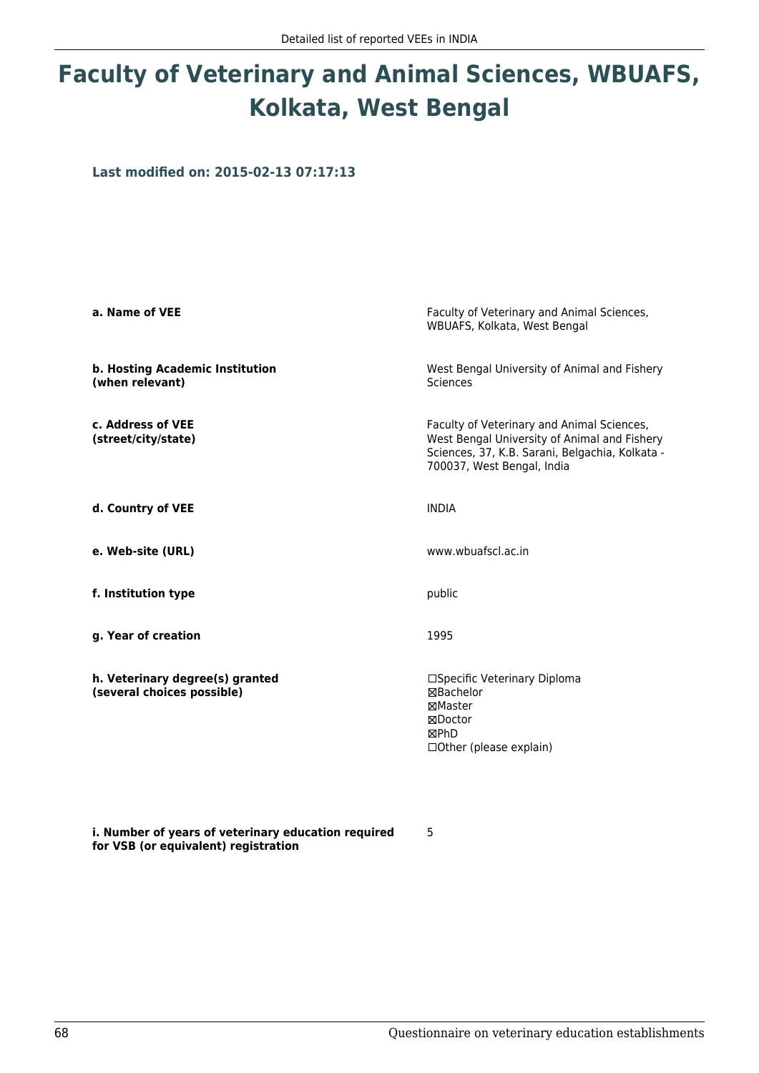# **Faculty of Veterinary and Animal Sciences, WBUAFS, Kolkata, West Bengal**

**Last modified on: 2015-02-13 07:17:13**

| a. Name of VEE                                                | Faculty of Veterinary and Animal Sciences,<br>WBUAFS, Kolkata, West Bengal                                                                                                  |  |
|---------------------------------------------------------------|-----------------------------------------------------------------------------------------------------------------------------------------------------------------------------|--|
| b. Hosting Academic Institution<br>(when relevant)            | West Bengal University of Animal and Fishery<br><b>Sciences</b>                                                                                                             |  |
| c. Address of VEE<br>(street/city/state)                      | Faculty of Veterinary and Animal Sciences,<br>West Bengal University of Animal and Fishery<br>Sciences, 37, K.B. Sarani, Belgachia, Kolkata -<br>700037, West Bengal, India |  |
| d. Country of VEE                                             | <b>INDIA</b>                                                                                                                                                                |  |
| e. Web-site (URL)                                             | www.wbuafscl.ac.in                                                                                                                                                          |  |
| f. Institution type                                           | public                                                                                                                                                                      |  |
| g. Year of creation                                           | 1995                                                                                                                                                                        |  |
| h. Veterinary degree(s) granted<br>(several choices possible) | □Specific Veterinary Diploma<br><b>⊠Bachelor</b><br>MMaster<br>⊠Doctor<br>⊠PhD<br>□ Other (please explain)                                                                  |  |

**i. Number of years of veterinary education required for VSB (or equivalent) registration**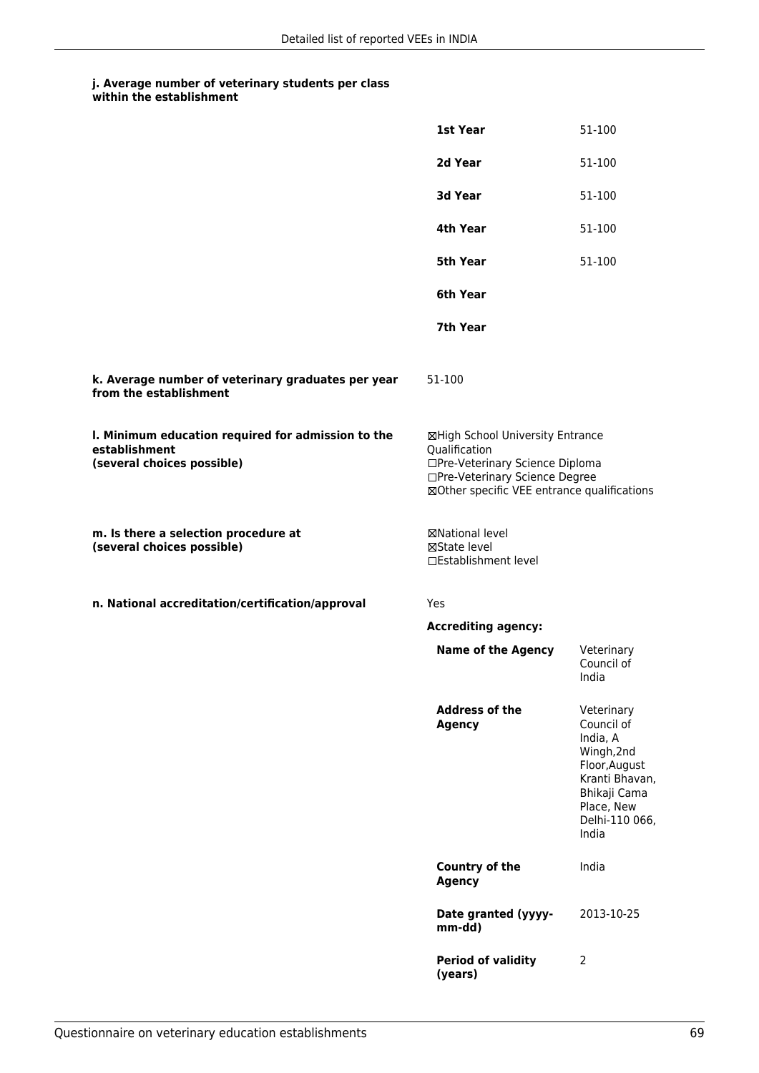|                                                                                                   | 1st Year                                                                                                                                                              | 51-100                                                                                                                                         |
|---------------------------------------------------------------------------------------------------|-----------------------------------------------------------------------------------------------------------------------------------------------------------------------|------------------------------------------------------------------------------------------------------------------------------------------------|
|                                                                                                   | 2d Year                                                                                                                                                               | 51-100                                                                                                                                         |
|                                                                                                   | 3d Year                                                                                                                                                               | 51-100                                                                                                                                         |
|                                                                                                   | 4th Year                                                                                                                                                              | 51-100                                                                                                                                         |
|                                                                                                   | <b>5th Year</b>                                                                                                                                                       | 51-100                                                                                                                                         |
|                                                                                                   | 6th Year                                                                                                                                                              |                                                                                                                                                |
|                                                                                                   | 7th Year                                                                                                                                                              |                                                                                                                                                |
| k. Average number of veterinary graduates per year<br>from the establishment                      | 51-100                                                                                                                                                                |                                                                                                                                                |
| I. Minimum education required for admission to the<br>establishment<br>(several choices possible) | ⊠High School University Entrance<br>Qualification<br>□Pre-Veterinary Science Diploma<br>□Pre-Veterinary Science Degree<br>⊠Other specific VEE entrance qualifications |                                                                                                                                                |
| m. Is there a selection procedure at<br>(several choices possible)                                | ⊠National level<br>⊠State level<br>□Establishment level                                                                                                               |                                                                                                                                                |
| n. National accreditation/certification/approval                                                  | Yes                                                                                                                                                                   |                                                                                                                                                |
|                                                                                                   | <b>Accrediting agency:</b>                                                                                                                                            |                                                                                                                                                |
|                                                                                                   | <b>Name of the Agency</b>                                                                                                                                             | Veterinary<br>Council of<br>India                                                                                                              |
|                                                                                                   | <b>Address of the</b><br><b>Agency</b>                                                                                                                                | Veterinary<br>Council of<br>India, A<br>Wingh, 2nd<br>Floor, August<br>Kranti Bhavan,<br>Bhikaji Cama<br>Place, New<br>Delhi-110 066,<br>India |
|                                                                                                   | Country of the<br><b>Agency</b>                                                                                                                                       | India                                                                                                                                          |
|                                                                                                   | Date granted (yyyy-<br>mm-dd)                                                                                                                                         | 2013-10-25                                                                                                                                     |
|                                                                                                   | <b>Period of validity</b><br>(years)                                                                                                                                  | 2                                                                                                                                              |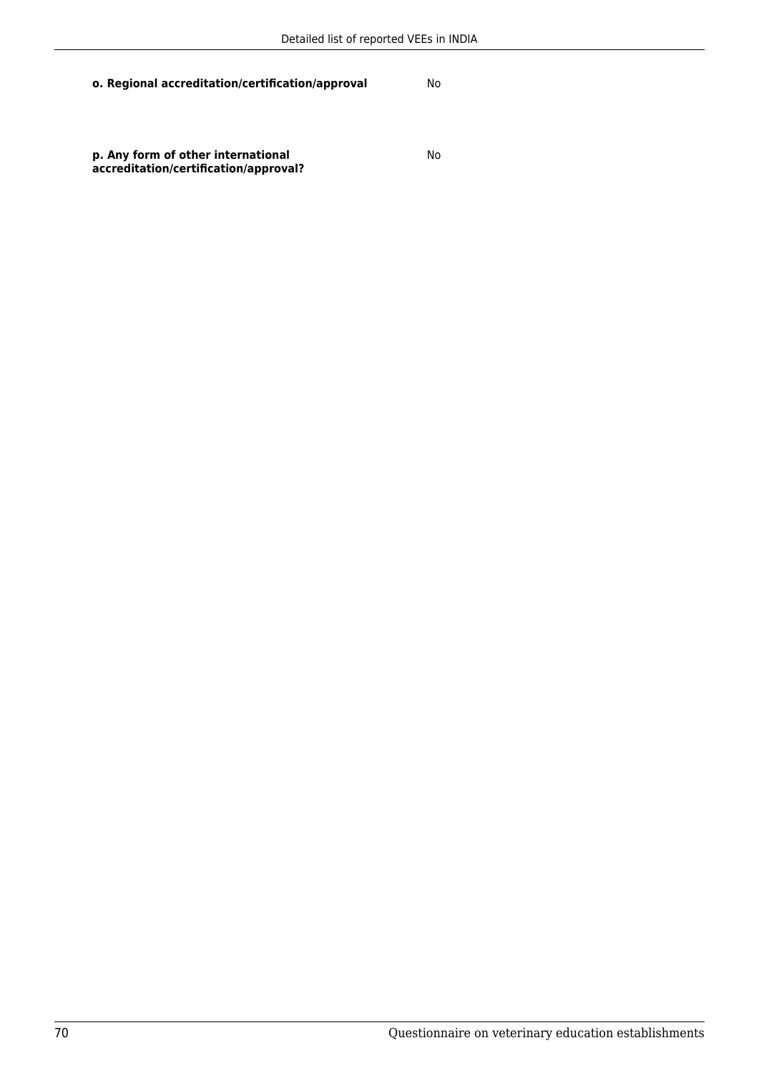**o. Regional accreditation/certification/approval** No

**p. Any form of other international accreditation/certification/approval?**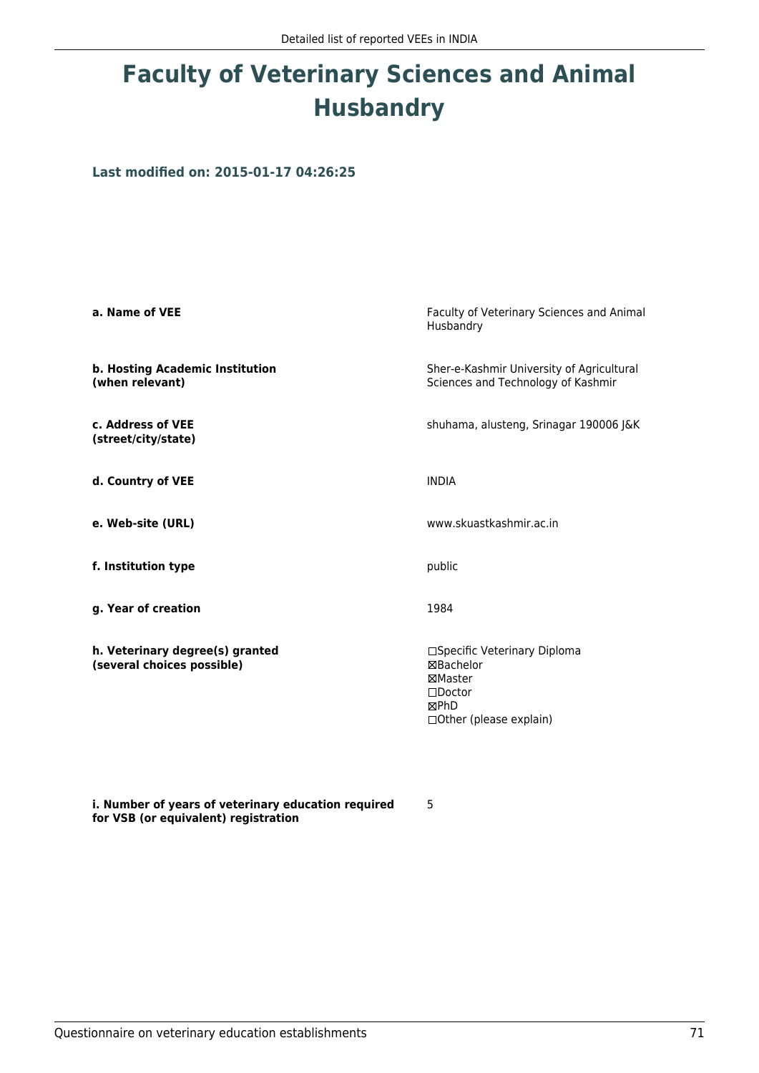# **Faculty of Veterinary Sciences and Animal Husbandry**

**Last modified on: 2015-01-17 04:26:25**

| a. Name of VEE                                                | Faculty of Veterinary Sciences and Animal<br>Husbandry                                                   |  |
|---------------------------------------------------------------|----------------------------------------------------------------------------------------------------------|--|
| b. Hosting Academic Institution<br>(when relevant)            | Sher-e-Kashmir University of Agricultural<br>Sciences and Technology of Kashmir                          |  |
| c. Address of VEE<br>(street/city/state)                      | shuhama, alusteng, Srinagar 190006 J&K                                                                   |  |
| d. Country of VEE                                             | <b>INDIA</b>                                                                                             |  |
| e. Web-site (URL)                                             | www.skuastkashmir.ac.in                                                                                  |  |
| f. Institution type                                           | public                                                                                                   |  |
| g. Year of creation                                           | 1984                                                                                                     |  |
| h. Veterinary degree(s) granted<br>(several choices possible) | □Specific Veterinary Diploma<br>⊠Bachelor<br>⊠Master<br>$\Box$ Doctor<br>⊠PhD<br>□Other (please explain) |  |

**i. Number of years of veterinary education required for VSB (or equivalent) registration**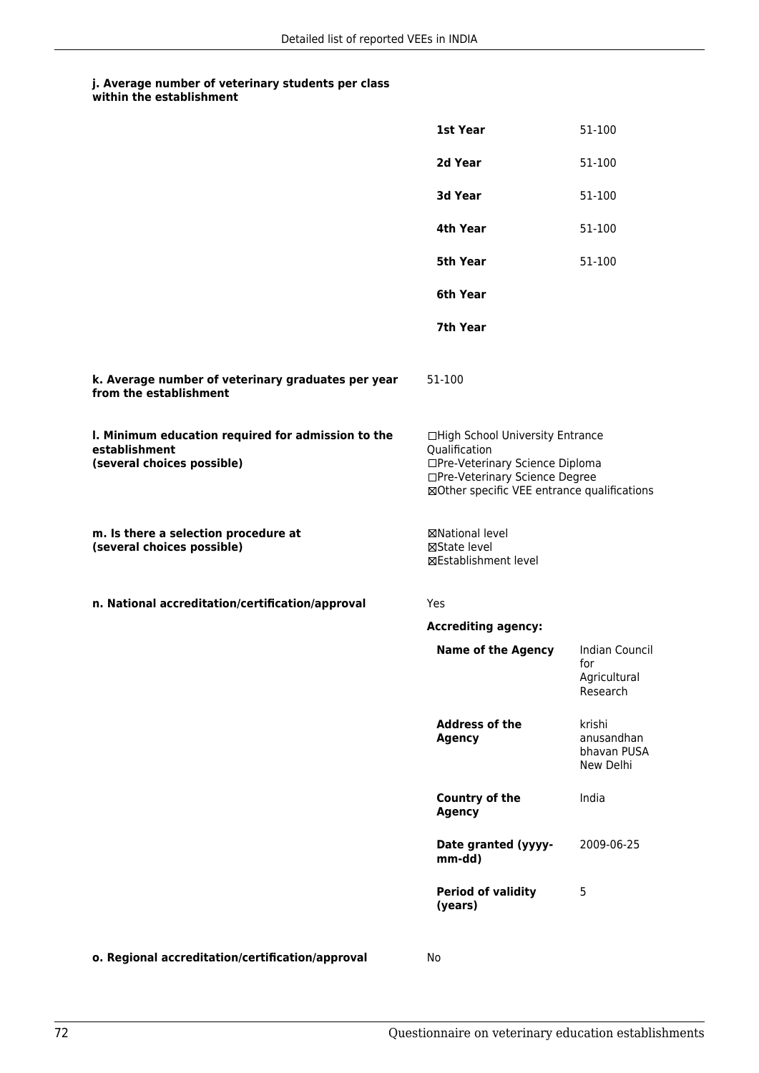|                                                                                                   | 1st Year                                                                                                                                                              | 51-100                                            |
|---------------------------------------------------------------------------------------------------|-----------------------------------------------------------------------------------------------------------------------------------------------------------------------|---------------------------------------------------|
|                                                                                                   | 2d Year                                                                                                                                                               | 51-100                                            |
|                                                                                                   | 3d Year                                                                                                                                                               | 51-100                                            |
|                                                                                                   | 4th Year                                                                                                                                                              | 51-100                                            |
|                                                                                                   | <b>5th Year</b>                                                                                                                                                       | 51-100                                            |
|                                                                                                   | 6th Year                                                                                                                                                              |                                                   |
|                                                                                                   | 7th Year                                                                                                                                                              |                                                   |
| k. Average number of veterinary graduates per year<br>from the establishment                      | 51-100                                                                                                                                                                |                                                   |
| I. Minimum education required for admission to the<br>establishment<br>(several choices possible) | □High School University Entrance<br>Qualification<br>□Pre-Veterinary Science Diploma<br>□Pre-Veterinary Science Degree<br>⊠Other specific VEE entrance qualifications |                                                   |
| m. Is there a selection procedure at<br>(several choices possible)                                | <b>⊠National level</b><br>⊠State level<br>⊠Establishment level                                                                                                        |                                                   |
| n. National accreditation/certification/approval                                                  | Yes                                                                                                                                                                   |                                                   |
|                                                                                                   | <b>Accrediting agency:</b>                                                                                                                                            |                                                   |
|                                                                                                   | <b>Name of the Agency</b>                                                                                                                                             | Indian Council<br>for<br>Agricultural<br>Research |
|                                                                                                   | <b>Address of the</b><br><b>Agency</b>                                                                                                                                | krishi<br>anusandhan<br>bhavan PUSA<br>New Delhi  |
|                                                                                                   | Country of the<br><b>Agency</b>                                                                                                                                       | India                                             |
|                                                                                                   | Date granted (yyyy-<br>mm-dd)                                                                                                                                         | 2009-06-25                                        |
|                                                                                                   | <b>Period of validity</b><br>(years)                                                                                                                                  | 5                                                 |
|                                                                                                   |                                                                                                                                                                       |                                                   |

**o. Regional accreditation/certification/approval** No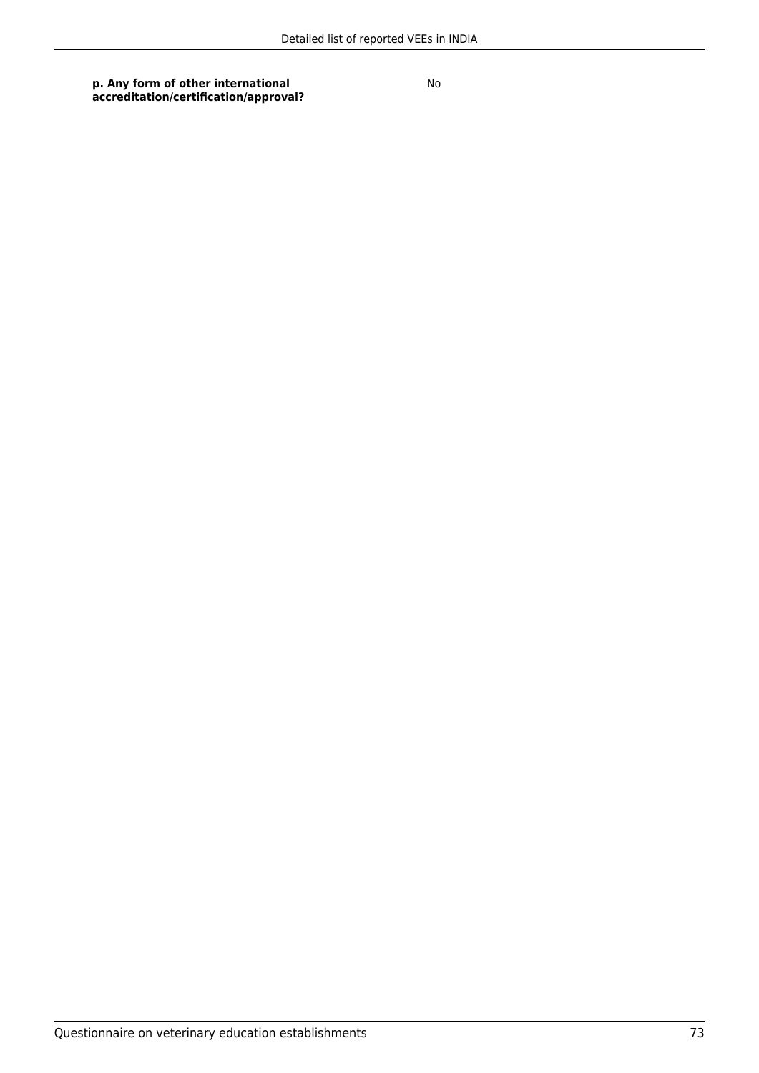**p. Any form of other international accreditation/certification/approval?**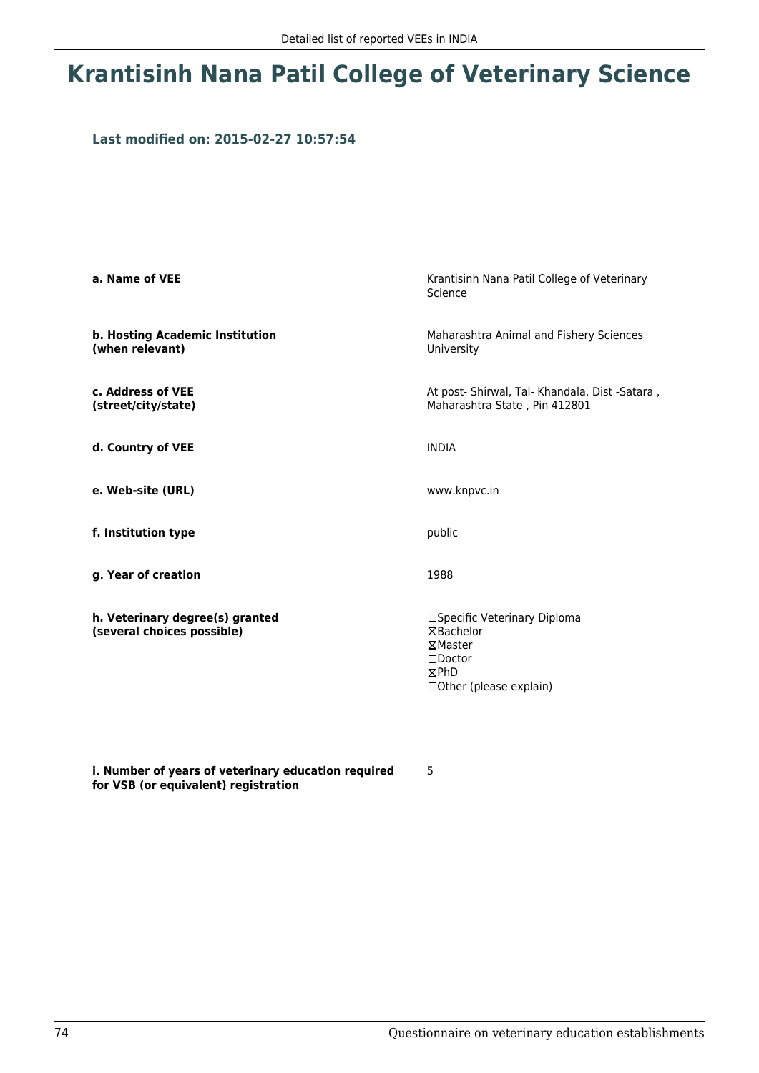# **Krantisinh Nana Patil College of Veterinary Science**

### **Last modified on: 2015-02-27 10:57:54**

| a. Name of VEE                                                | Krantisinh Nana Patil College of Veterinary<br>Science                                                       |
|---------------------------------------------------------------|--------------------------------------------------------------------------------------------------------------|
| b. Hosting Academic Institution<br>(when relevant)            | Maharashtra Animal and Fishery Sciences<br>University                                                        |
| c. Address of VEE<br>(street/city/state)                      | At post- Shirwal, Tal- Khandala, Dist -Satara,<br>Maharashtra State, Pin 412801                              |
| d. Country of VEE                                             | <b>INDIA</b>                                                                                                 |
| e. Web-site (URL)                                             | www.knpvc.in                                                                                                 |
| f. Institution type                                           | public                                                                                                       |
| g. Year of creation                                           | 1988                                                                                                         |
| h. Veterinary degree(s) granted<br>(several choices possible) | □Specific Veterinary Diploma<br>⊠Bachelor<br>⊠Master<br>$\square$ Doctor<br>⊠PhD<br>□ Other (please explain) |

**i. Number of years of veterinary education required for VSB (or equivalent) registration**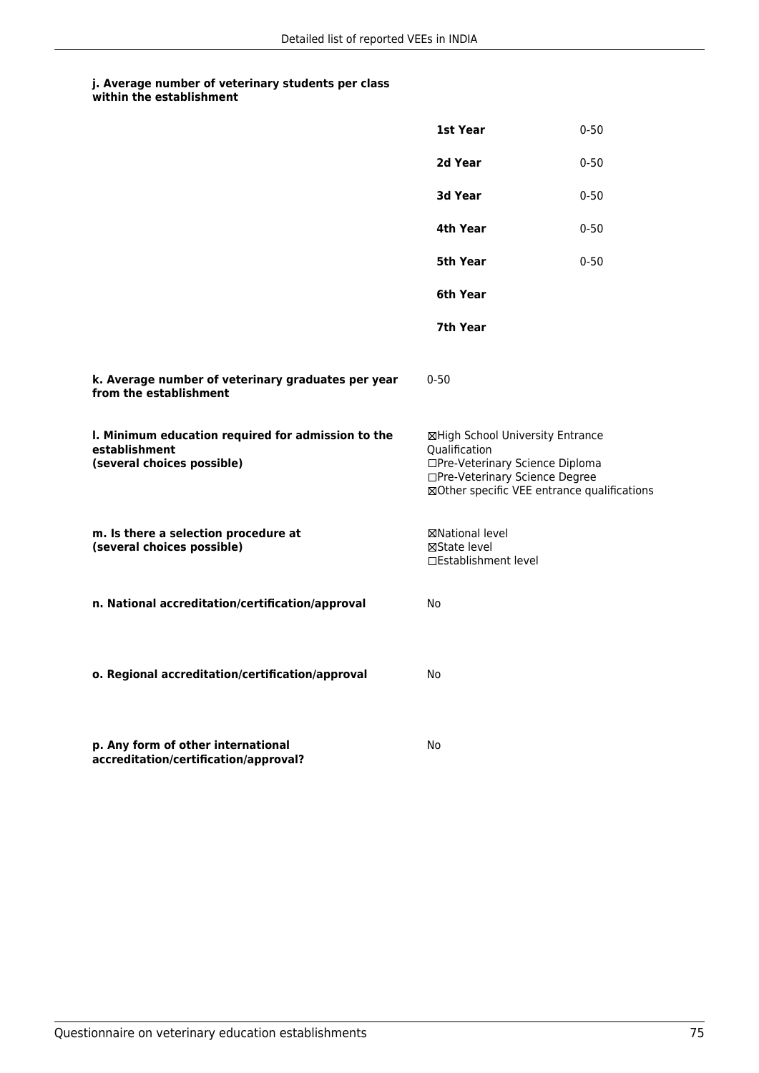|                                                                                                   | 1st Year                                                                                                                                                              | $0 - 50$ |
|---------------------------------------------------------------------------------------------------|-----------------------------------------------------------------------------------------------------------------------------------------------------------------------|----------|
|                                                                                                   | 2d Year                                                                                                                                                               | $0 - 50$ |
|                                                                                                   | 3d Year                                                                                                                                                               | $0 - 50$ |
|                                                                                                   | 4th Year                                                                                                                                                              | $0 - 50$ |
|                                                                                                   | 5th Year                                                                                                                                                              | $0 - 50$ |
|                                                                                                   | 6th Year                                                                                                                                                              |          |
|                                                                                                   | 7th Year                                                                                                                                                              |          |
| k. Average number of veterinary graduates per year<br>from the establishment                      | $0 - 50$                                                                                                                                                              |          |
| I. Minimum education required for admission to the<br>establishment<br>(several choices possible) | ⊠High School University Entrance<br>Qualification<br>□Pre-Veterinary Science Diploma<br>□Pre-Veterinary Science Degree<br>⊠Other specific VEE entrance qualifications |          |
| m. Is there a selection procedure at<br>(several choices possible)                                | ⊠National level<br>⊠State level<br>□Establishment level                                                                                                               |          |
| n. National accreditation/certification/approval                                                  | No                                                                                                                                                                    |          |
| o. Regional accreditation/certification/approval                                                  | No                                                                                                                                                                    |          |
| p. Any form of other international<br>accreditation/certification/approval?                       | No                                                                                                                                                                    |          |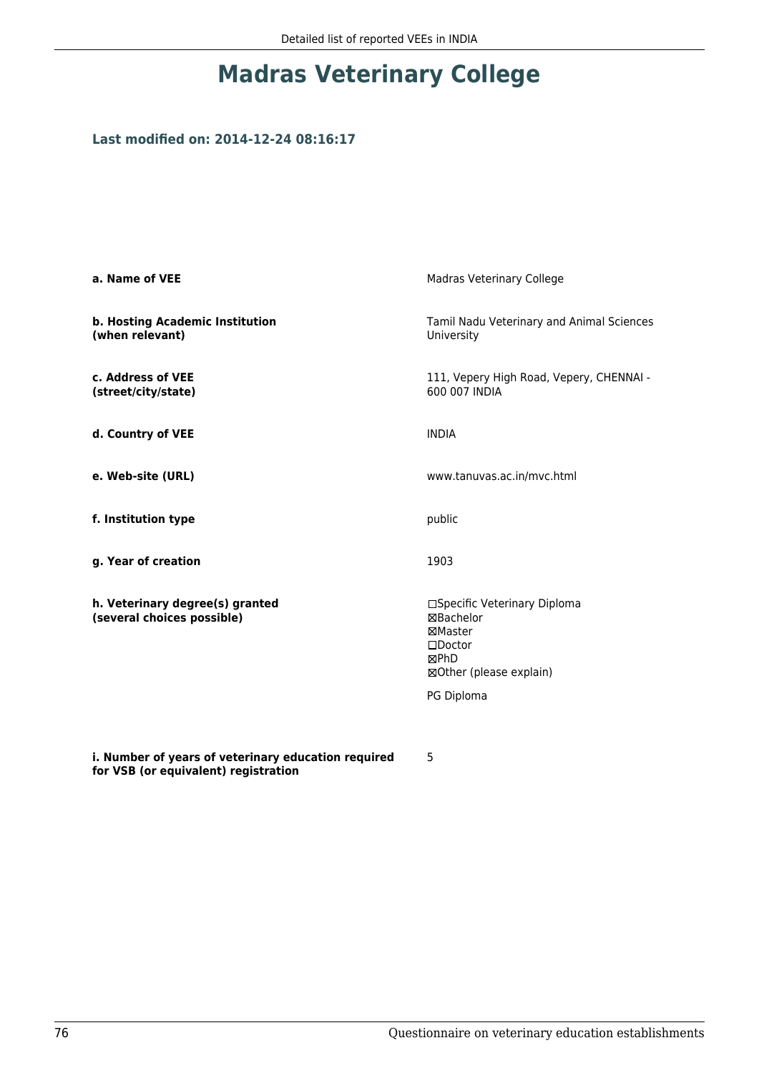# **Madras Veterinary College**

## **Last modified on: 2014-12-24 08:16:17**

**for VSB (or equivalent) registration**

| a. Name of VEE                                                | Madras Veterinary College                                                                                                 |
|---------------------------------------------------------------|---------------------------------------------------------------------------------------------------------------------------|
| b. Hosting Academic Institution<br>(when relevant)            | Tamil Nadu Veterinary and Animal Sciences<br>University                                                                   |
| c. Address of VEE<br>(street/city/state)                      | 111, Vepery High Road, Vepery, CHENNAI -<br>600 007 INDIA                                                                 |
| d. Country of VEE                                             | <b>INDIA</b>                                                                                                              |
| e. Web-site (URL)                                             | www.tanuvas.ac.in/mvc.html                                                                                                |
| f. Institution type                                           | public                                                                                                                    |
| g. Year of creation                                           | 1903                                                                                                                      |
| h. Veterinary degree(s) granted<br>(several choices possible) | □Specific Veterinary Diploma<br>⊠Bachelor<br>⊠Master<br>$\square$ Doctor<br>⊠PhD<br>⊠Other (please explain)<br>PG Diploma |
|                                                               |                                                                                                                           |
| i. Number of years of veterinary education required           | 5                                                                                                                         |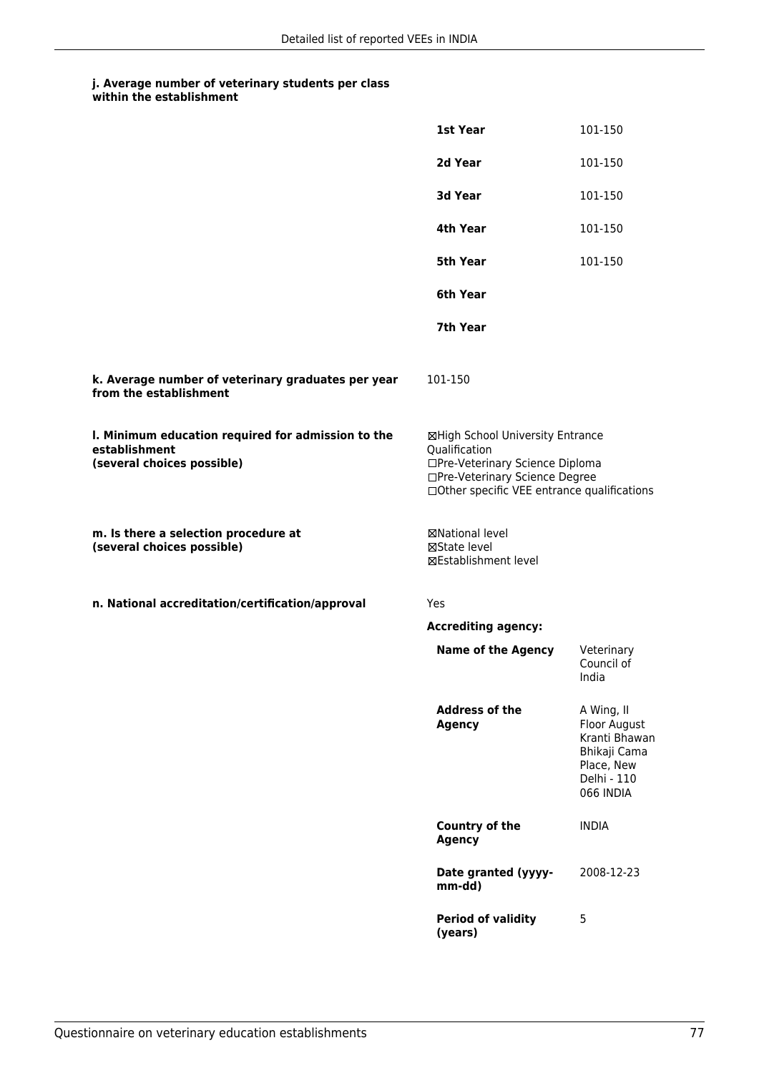|                                                                                                   | 1st Year                                                                                                                                                              | 101-150                                                                                               |
|---------------------------------------------------------------------------------------------------|-----------------------------------------------------------------------------------------------------------------------------------------------------------------------|-------------------------------------------------------------------------------------------------------|
|                                                                                                   | 2d Year                                                                                                                                                               | 101-150                                                                                               |
|                                                                                                   | 3d Year                                                                                                                                                               | 101-150                                                                                               |
|                                                                                                   | 4th Year                                                                                                                                                              | 101-150                                                                                               |
|                                                                                                   | <b>5th Year</b>                                                                                                                                                       | 101-150                                                                                               |
|                                                                                                   | 6th Year                                                                                                                                                              |                                                                                                       |
|                                                                                                   | 7th Year                                                                                                                                                              |                                                                                                       |
| k. Average number of veterinary graduates per year<br>from the establishment                      | 101-150                                                                                                                                                               |                                                                                                       |
| I. Minimum education required for admission to the<br>establishment<br>(several choices possible) | ⊠High School University Entrance<br>Qualification<br>□Pre-Veterinary Science Diploma<br>□Pre-Veterinary Science Degree<br>□Other specific VEE entrance qualifications |                                                                                                       |
| m. Is there a selection procedure at<br>(several choices possible)                                | ⊠National level<br>⊠State level<br>⊠Establishment level                                                                                                               |                                                                                                       |
| n. National accreditation/certification/approval                                                  | Yes                                                                                                                                                                   |                                                                                                       |
|                                                                                                   | <b>Accrediting agency:</b>                                                                                                                                            |                                                                                                       |
|                                                                                                   | <b>Name of the Agency</b>                                                                                                                                             | Veterinary<br>Council of<br>India                                                                     |
|                                                                                                   | <b>Address of the</b><br><b>Agency</b>                                                                                                                                | A Wing, II<br>Floor August<br>Kranti Bhawan<br>Bhikaji Cama<br>Place, New<br>Delhi - 110<br>066 INDIA |
|                                                                                                   | Country of the<br><b>Agency</b>                                                                                                                                       | <b>INDIA</b>                                                                                          |
|                                                                                                   | Date granted (yyyy-<br>mm-dd)                                                                                                                                         | 2008-12-23                                                                                            |
|                                                                                                   | <b>Period of validity</b><br>(years)                                                                                                                                  | 5                                                                                                     |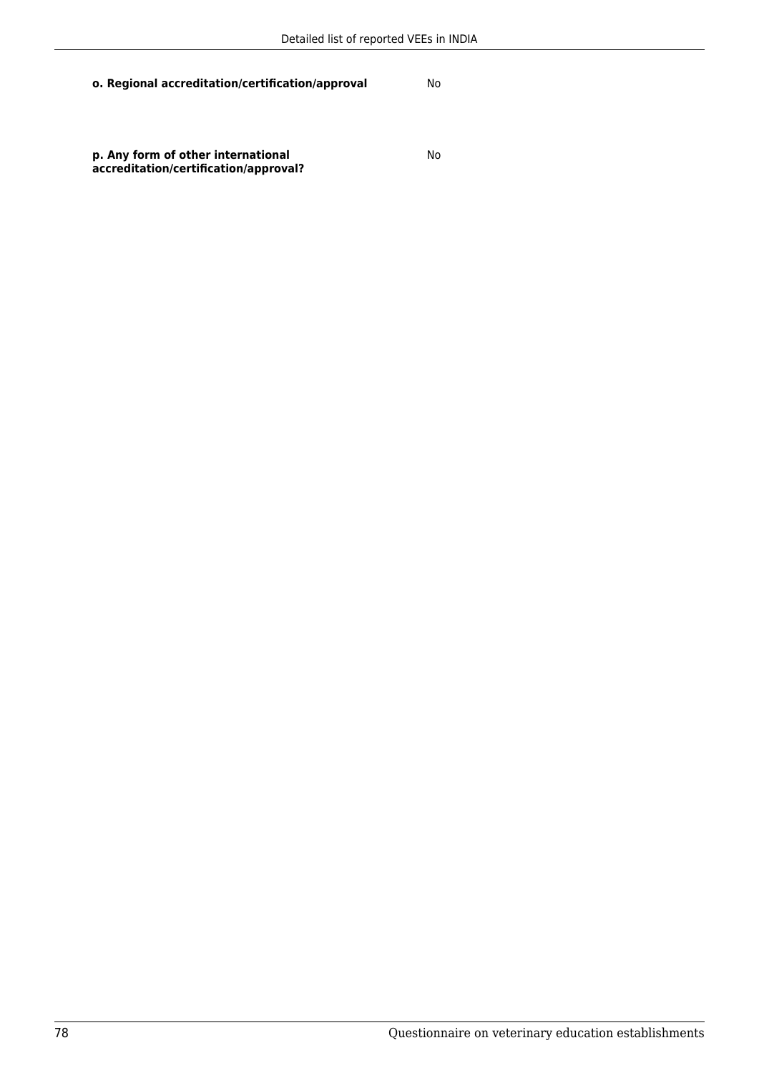**o. Regional accreditation/certification/approval** No

**p. Any form of other international accreditation/certification/approval?**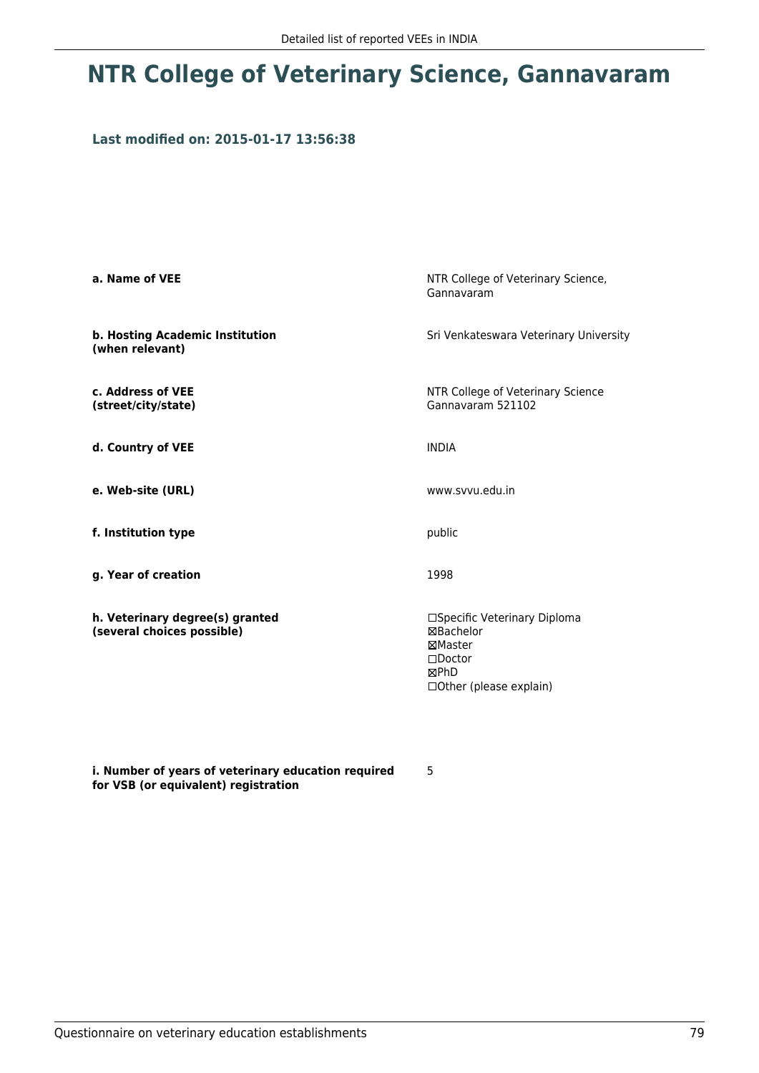# **NTR College of Veterinary Science, Gannavaram**

### **Last modified on: 2015-01-17 13:56:38**

| a. Name of VEE                                                | NTR College of Veterinary Science,<br>Gannavaram                                                             |
|---------------------------------------------------------------|--------------------------------------------------------------------------------------------------------------|
| b. Hosting Academic Institution<br>(when relevant)            | Sri Venkateswara Veterinary University                                                                       |
| c. Address of VEE<br>(street/city/state)                      | NTR College of Veterinary Science<br>Gannavaram 521102                                                       |
| d. Country of VEE                                             | <b>INDIA</b>                                                                                                 |
| e. Web-site (URL)                                             | www.svvu.edu.in                                                                                              |
| f. Institution type                                           | public                                                                                                       |
| g. Year of creation                                           | 1998                                                                                                         |
| h. Veterinary degree(s) granted<br>(several choices possible) | □Specific Veterinary Diploma<br>⊠Bachelor<br>⊠Master<br>$\square$ Doctor<br>⊠PhD<br>□ Other (please explain) |

**i. Number of years of veterinary education required for VSB (or equivalent) registration**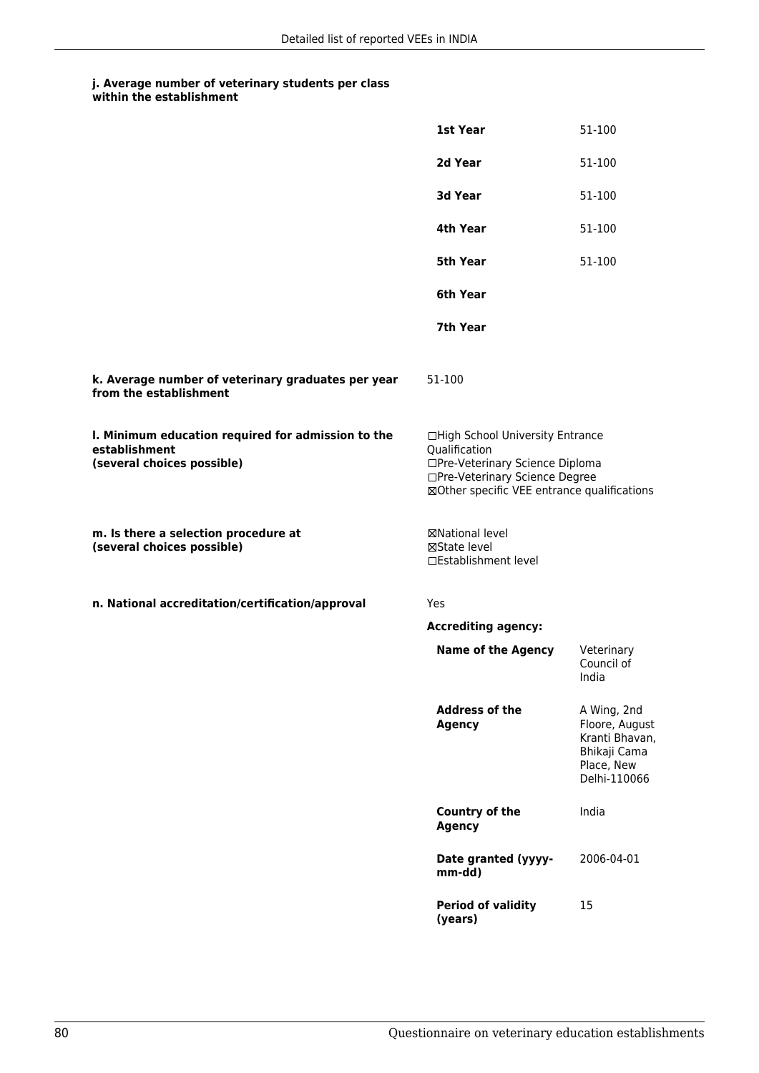|                                                                                                   | 1st Year                                                                                                                                                              | 51-100                                                                                        |
|---------------------------------------------------------------------------------------------------|-----------------------------------------------------------------------------------------------------------------------------------------------------------------------|-----------------------------------------------------------------------------------------------|
|                                                                                                   | 2d Year                                                                                                                                                               | 51-100                                                                                        |
|                                                                                                   | 3d Year                                                                                                                                                               | 51-100                                                                                        |
|                                                                                                   | 4th Year                                                                                                                                                              | 51-100                                                                                        |
|                                                                                                   | <b>5th Year</b>                                                                                                                                                       | 51-100                                                                                        |
|                                                                                                   | 6th Year                                                                                                                                                              |                                                                                               |
|                                                                                                   | 7th Year                                                                                                                                                              |                                                                                               |
| k. Average number of veterinary graduates per year<br>from the establishment                      | 51-100                                                                                                                                                                |                                                                                               |
| I. Minimum education required for admission to the<br>establishment<br>(several choices possible) | □High School University Entrance<br>Qualification<br>□Pre-Veterinary Science Diploma<br>□Pre-Veterinary Science Degree<br>⊠Other specific VEE entrance qualifications |                                                                                               |
| m. Is there a selection procedure at<br>(several choices possible)                                | ⊠National level<br>⊠State level<br>□Establishment level                                                                                                               |                                                                                               |
| n. National accreditation/certification/approval                                                  | Yes                                                                                                                                                                   |                                                                                               |
|                                                                                                   | <b>Accrediting agency:</b>                                                                                                                                            |                                                                                               |
|                                                                                                   | <b>Name of the Agency</b>                                                                                                                                             | Veterinary<br>Council of<br>India                                                             |
|                                                                                                   | <b>Address of the</b><br><b>Agency</b>                                                                                                                                | A Wing, 2nd<br>Floore, August<br>Kranti Bhavan,<br>Bhikaji Cama<br>Place, New<br>Delhi-110066 |
|                                                                                                   | <b>Country of the</b><br><b>Agency</b>                                                                                                                                | India                                                                                         |
|                                                                                                   | Date granted (yyyy-<br>mm-dd)                                                                                                                                         | 2006-04-01                                                                                    |
|                                                                                                   | <b>Period of validity</b><br>(years)                                                                                                                                  | 15                                                                                            |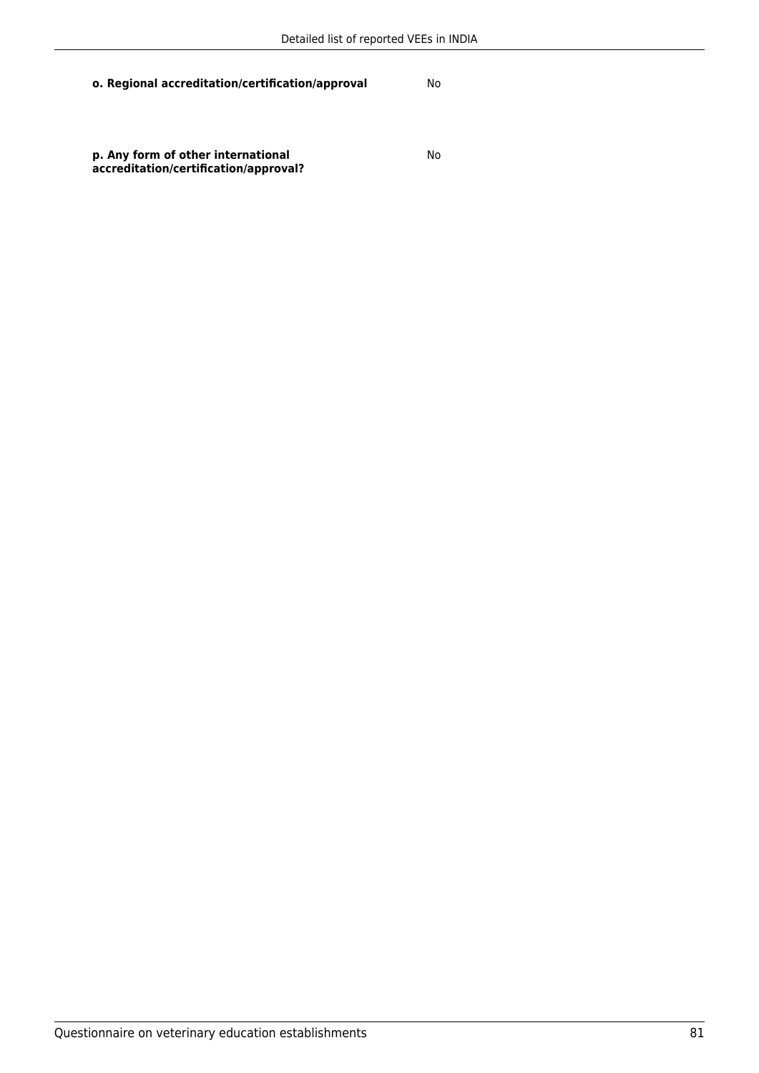**o. Regional accreditation/certification/approval** No

**p. Any form of other international accreditation/certification/approval?**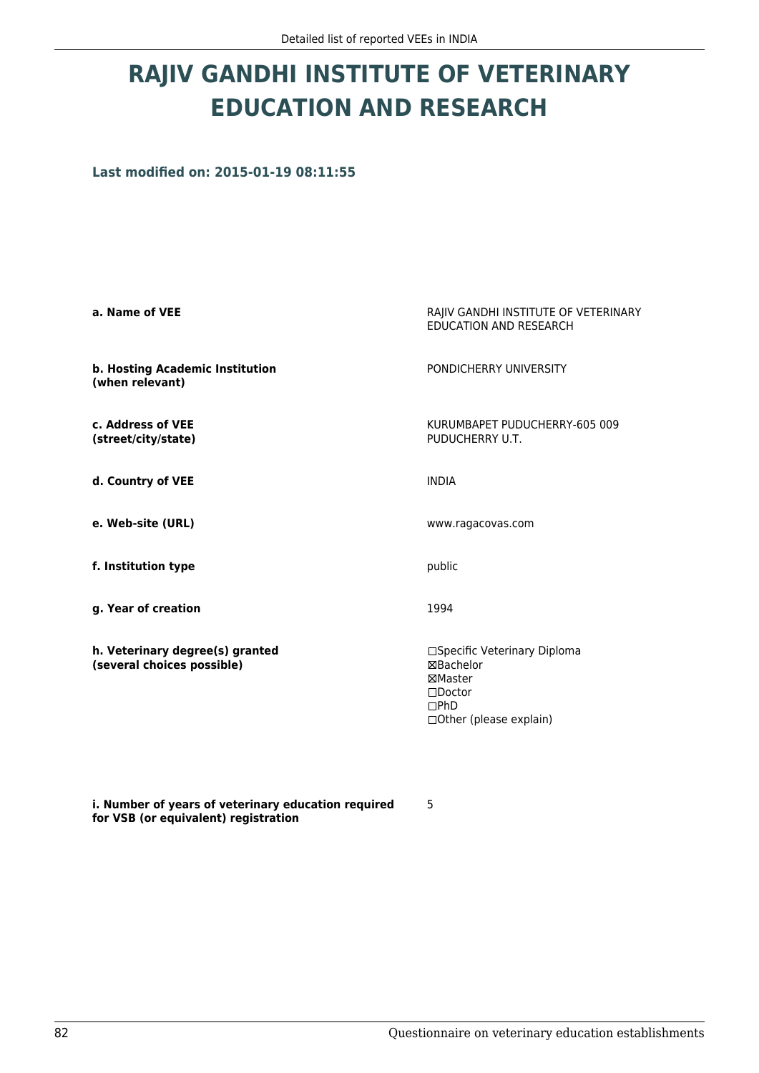# **RAJIV GANDHI INSTITUTE OF VETERINARY EDUCATION AND RESEARCH**

**Last modified on: 2015-01-19 08:11:55**

| a. Name of VEE                                                | RAJIV GANDHI INSTITUTE OF VETERINARY<br><b>EDUCATION AND RESEARCH</b>                                                        |
|---------------------------------------------------------------|------------------------------------------------------------------------------------------------------------------------------|
| b. Hosting Academic Institution<br>(when relevant)            | PONDICHERRY UNIVERSITY                                                                                                       |
| c. Address of VEE<br>(street/city/state)                      | KURUMBAPET PUDUCHERRY-605 009<br>PUDUCHERRY U.T.                                                                             |
| d. Country of VEE                                             | <b>INDIA</b>                                                                                                                 |
| e. Web-site (URL)                                             | www.ragacovas.com                                                                                                            |
| f. Institution type                                           | public                                                                                                                       |
| g. Year of creation                                           | 1994                                                                                                                         |
| h. Veterinary degree(s) granted<br>(several choices possible) | □Specific Veterinary Diploma<br><b>⊠Bachelor</b><br>⊠Master<br>$\square$ Doctor<br>$\square$ PhD<br>□ Other (please explain) |

**i. Number of years of veterinary education required for VSB (or equivalent) registration**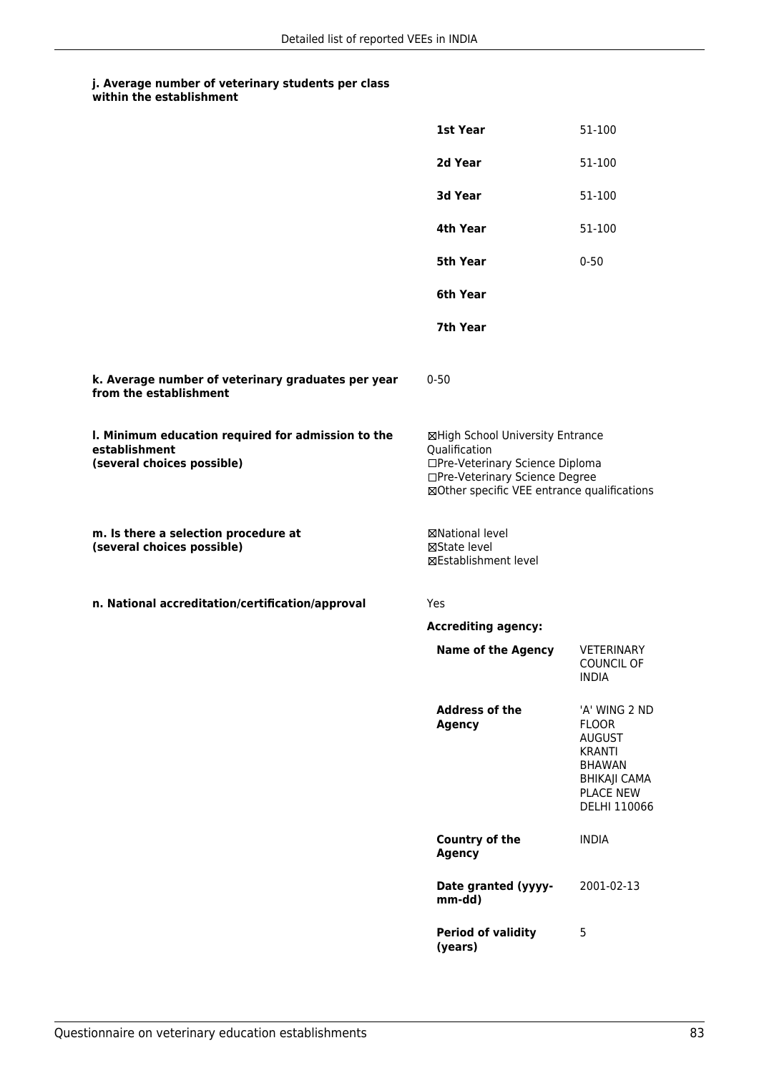|                                                                                                   | <b>1st Year</b>                                                                                                                                                       | 51-100                                                                                                                               |
|---------------------------------------------------------------------------------------------------|-----------------------------------------------------------------------------------------------------------------------------------------------------------------------|--------------------------------------------------------------------------------------------------------------------------------------|
|                                                                                                   | 2d Year                                                                                                                                                               | 51-100                                                                                                                               |
|                                                                                                   | 3d Year                                                                                                                                                               | 51-100                                                                                                                               |
|                                                                                                   | 4th Year                                                                                                                                                              | 51-100                                                                                                                               |
|                                                                                                   | <b>5th Year</b>                                                                                                                                                       | $0 - 50$                                                                                                                             |
|                                                                                                   | 6th Year                                                                                                                                                              |                                                                                                                                      |
|                                                                                                   | 7th Year                                                                                                                                                              |                                                                                                                                      |
| k. Average number of veterinary graduates per year<br>from the establishment                      | $0 - 50$                                                                                                                                                              |                                                                                                                                      |
| I. Minimum education required for admission to the<br>establishment<br>(several choices possible) | ⊠High School University Entrance<br>Qualification<br>□Pre-Veterinary Science Diploma<br>□Pre-Veterinary Science Degree<br>⊠Other specific VEE entrance qualifications |                                                                                                                                      |
| m. Is there a selection procedure at<br>(several choices possible)                                | ⊠National level<br>⊠State level<br>⊠Establishment level                                                                                                               |                                                                                                                                      |
| n. National accreditation/certification/approval                                                  | Yes                                                                                                                                                                   |                                                                                                                                      |
|                                                                                                   | <b>Accrediting agency:</b>                                                                                                                                            |                                                                                                                                      |
|                                                                                                   | <b>Name of the Agency</b>                                                                                                                                             | <b>VETERINARY</b><br><b>COUNCIL OF</b><br><b>INDIA</b>                                                                               |
|                                                                                                   | <b>Address of the</b><br><b>Agency</b>                                                                                                                                | 'A' WING 2 ND<br><b>FLOOR</b><br><b>AUGUST</b><br><b>KRANTI</b><br><b>BHAWAN</b><br>BHIKAJI CAMA<br><b>PLACE NEW</b><br>DELHI 110066 |
|                                                                                                   | Country of the<br><b>Agency</b>                                                                                                                                       | <b>INDIA</b>                                                                                                                         |
|                                                                                                   | Date granted (yyyy-<br>mm-dd)                                                                                                                                         | 2001-02-13                                                                                                                           |
|                                                                                                   | <b>Period of validity</b><br>(years)                                                                                                                                  | 5                                                                                                                                    |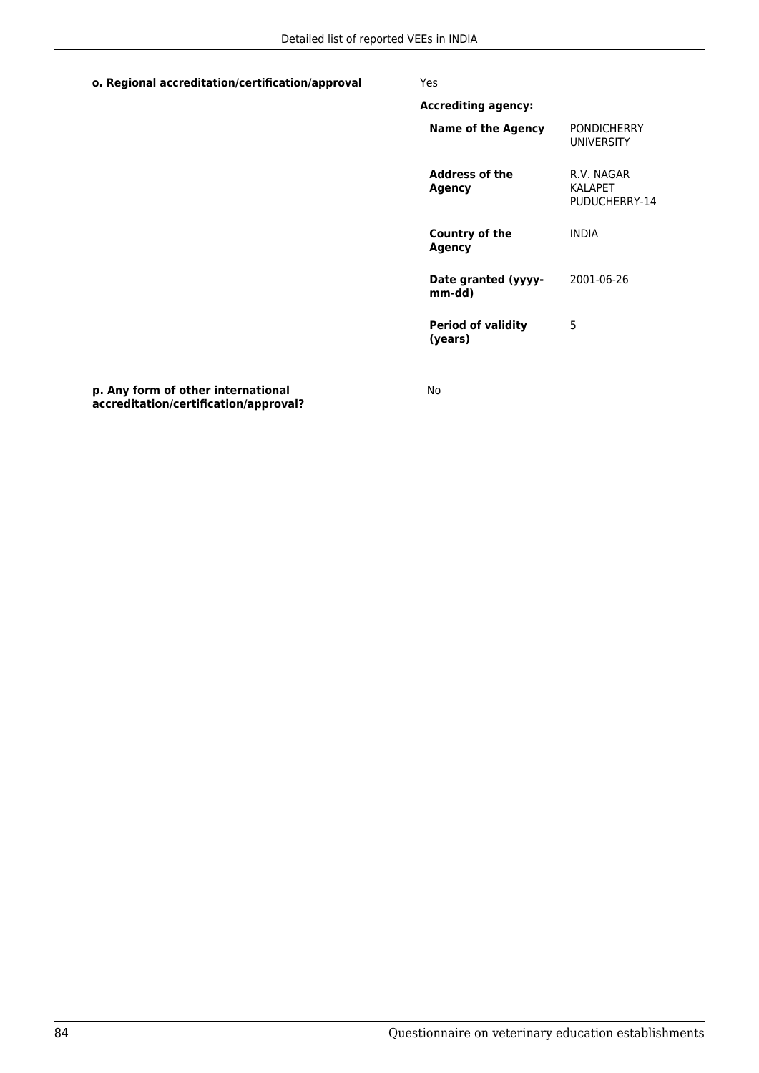### **o. Regional accreditation/certification/approval** Yes

| PONDICHFRRY<br>UNIVERSITY               |
|-----------------------------------------|
| R.V. NAGAR<br>KAI APFT<br>PUDUCHERRY-14 |
| INDIA                                   |
| 2001-06-26                              |
| 5                                       |
|                                         |

**p. Any form of other international accreditation/certification/approval?**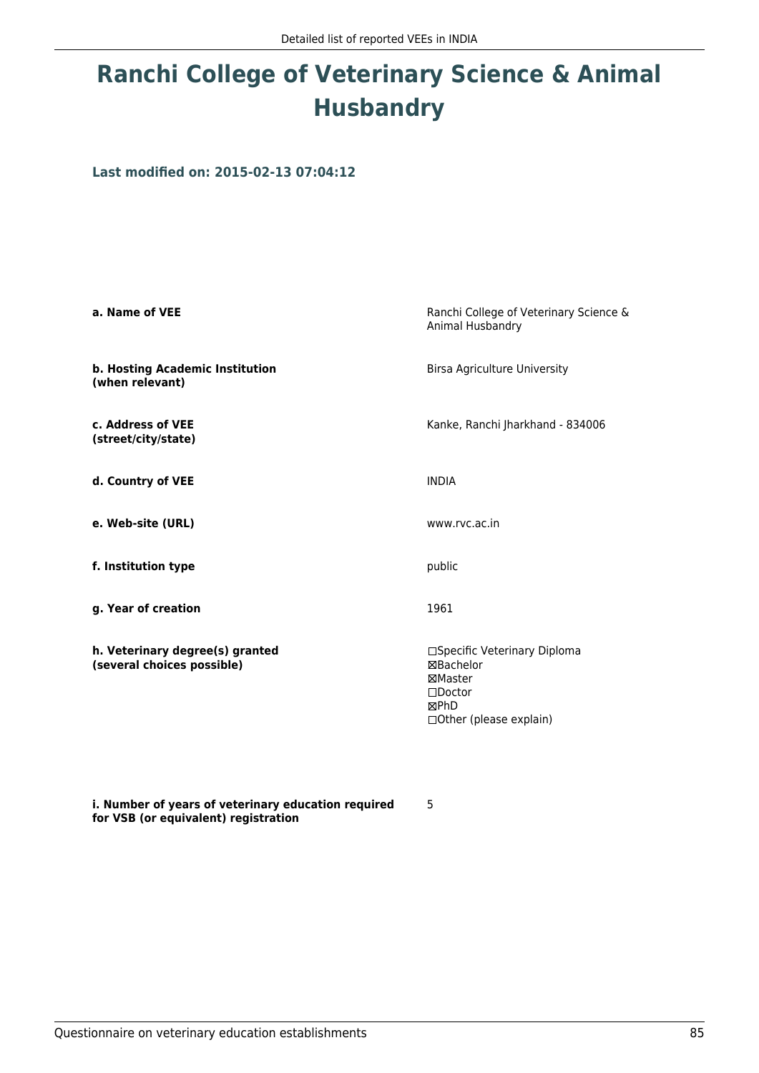# **Ranchi College of Veterinary Science & Animal Husbandry**

**Last modified on: 2015-02-13 07:04:12**

| a. Name of VEE                                                | Ranchi College of Veterinary Science &<br>Animal Husbandry                                                          |
|---------------------------------------------------------------|---------------------------------------------------------------------------------------------------------------------|
| b. Hosting Academic Institution<br>(when relevant)            | <b>Birsa Agriculture University</b>                                                                                 |
| c. Address of VEE<br>(street/city/state)                      | Kanke, Ranchi Jharkhand - 834006                                                                                    |
| d. Country of VEE                                             | <b>INDIA</b>                                                                                                        |
| e. Web-site (URL)                                             | www.rvc.ac.in                                                                                                       |
| f. Institution type                                           | public                                                                                                              |
| g. Year of creation                                           | 1961                                                                                                                |
| h. Veterinary degree(s) granted<br>(several choices possible) | □Specific Veterinary Diploma<br>⊠Bachelor<br>⊠Master<br>$\square$ Doctor<br><b>MPhD</b><br>□ Other (please explain) |

**i. Number of years of veterinary education required for VSB (or equivalent) registration**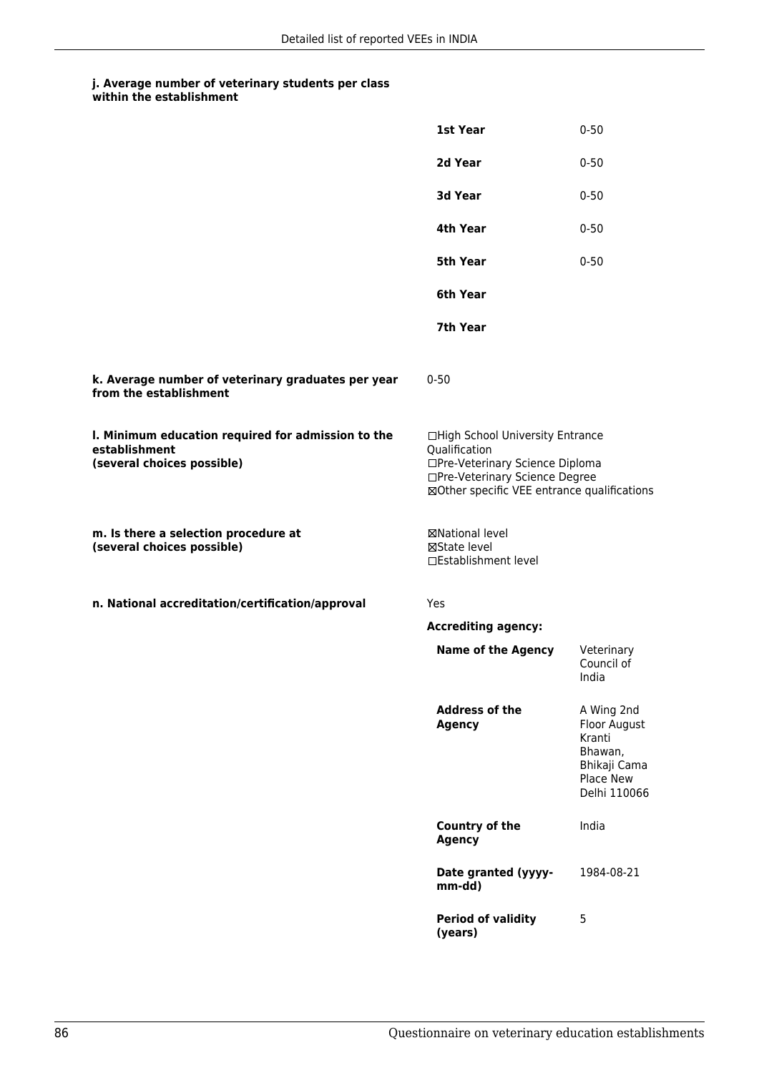|                                                                                                   | 1st Year                                                                                                                                                              | $0 - 50$                                                                                     |
|---------------------------------------------------------------------------------------------------|-----------------------------------------------------------------------------------------------------------------------------------------------------------------------|----------------------------------------------------------------------------------------------|
|                                                                                                   | 2d Year                                                                                                                                                               | $0 - 50$                                                                                     |
|                                                                                                   | 3d Year                                                                                                                                                               | $0 - 50$                                                                                     |
|                                                                                                   | 4th Year                                                                                                                                                              | $0 - 50$                                                                                     |
|                                                                                                   | 5th Year                                                                                                                                                              | $0 - 50$                                                                                     |
|                                                                                                   | 6th Year                                                                                                                                                              |                                                                                              |
|                                                                                                   | 7th Year                                                                                                                                                              |                                                                                              |
| k. Average number of veterinary graduates per year<br>from the establishment                      | $0 - 50$                                                                                                                                                              |                                                                                              |
| I. Minimum education required for admission to the<br>establishment<br>(several choices possible) | □High School University Entrance<br>Qualification<br>□Pre-Veterinary Science Diploma<br>□Pre-Veterinary Science Degree<br>⊠Other specific VEE entrance qualifications |                                                                                              |
| m. Is there a selection procedure at<br>(several choices possible)                                | ⊠National level<br>⊠State level<br>□Establishment level                                                                                                               |                                                                                              |
| n. National accreditation/certification/approval                                                  | <b>Yes</b>                                                                                                                                                            |                                                                                              |
|                                                                                                   | <b>Accrediting agency:</b>                                                                                                                                            |                                                                                              |
|                                                                                                   | <b>Name of the Agency</b>                                                                                                                                             | Veterinary<br>Council of<br>India                                                            |
|                                                                                                   | <b>Address of the</b><br><b>Agency</b>                                                                                                                                | A Wing 2nd<br>Floor August<br>Kranti<br>Bhawan,<br>Bhikaji Cama<br>Place New<br>Delhi 110066 |
|                                                                                                   | Country of the<br><b>Agency</b>                                                                                                                                       | India                                                                                        |
|                                                                                                   | Date granted (yyyy-<br>mm-dd)                                                                                                                                         | 1984-08-21                                                                                   |
|                                                                                                   | <b>Period of validity</b><br>(years)                                                                                                                                  | 5                                                                                            |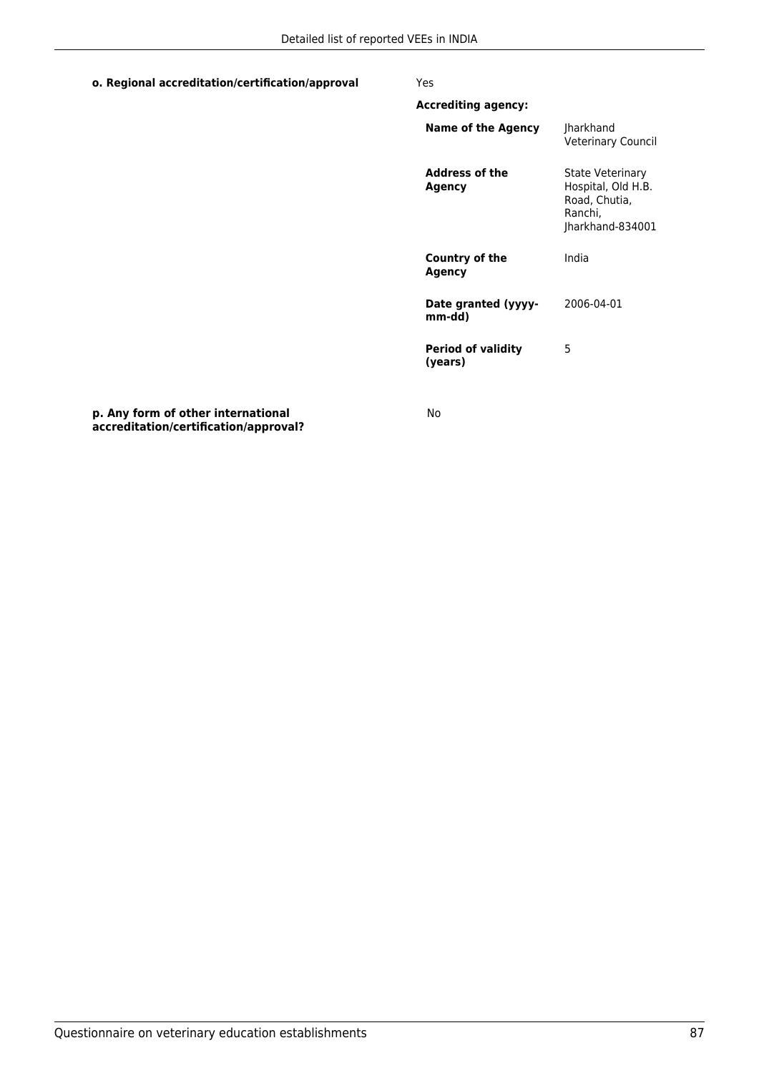### **o. Regional accreditation/certification/approval** Yes

| <b>Accrediting agency:</b>           |                                                                                        |
|--------------------------------------|----------------------------------------------------------------------------------------|
| Name of the Agency                   | <b>Iharkhand</b><br><b>Veterinary Council</b>                                          |
| <b>Address of the</b><br>Agency      | State Veterinary<br>Hospital, Old H.B.<br>Road, Chutia,<br>Ranchi,<br>Jharkhand-834001 |
| Country of the<br>Agency             | India                                                                                  |
| Date granted (yyyy-<br>mm-dd)        | 2006-04-01                                                                             |
| <b>Period of validity</b><br>(vears) | 5                                                                                      |
|                                      |                                                                                        |

**p. Any form of other international accreditation/certification/approval?**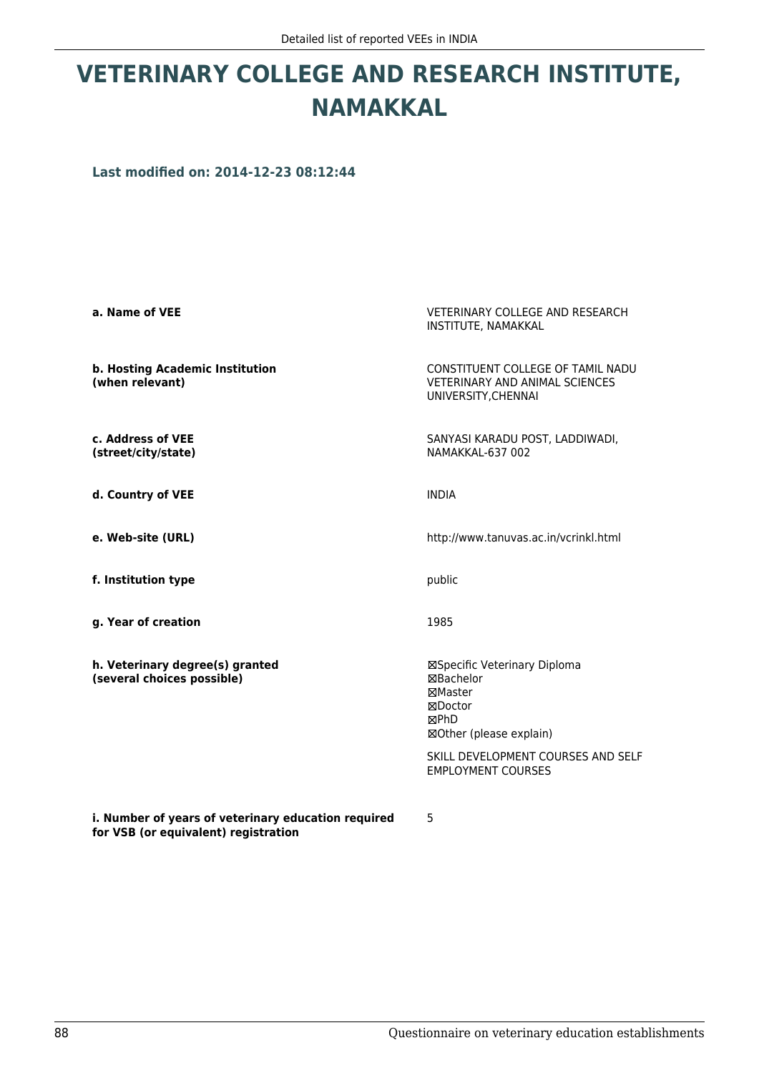# **VETERINARY COLLEGE AND RESEARCH INSTITUTE, NAMAKKAL**

**Last modified on: 2014-12-23 08:12:44**

| a. Name of VEE                                                                              | <b>VETERINARY COLLEGE AND RESEARCH</b><br>INSTITUTE, NAMAKKAL                                                                                                                |
|---------------------------------------------------------------------------------------------|------------------------------------------------------------------------------------------------------------------------------------------------------------------------------|
| b. Hosting Academic Institution<br>(when relevant)                                          | CONSTITUENT COLLEGE OF TAMIL NADU<br><b>VETERINARY AND ANIMAL SCIENCES</b><br>UNIVERSITY, CHENNAI                                                                            |
| c. Address of VEE<br>(street/city/state)                                                    | SANYASI KARADU POST, LADDIWADI,<br>NAMAKKAL-637 002                                                                                                                          |
| d. Country of VEE                                                                           | <b>INDIA</b>                                                                                                                                                                 |
| e. Web-site (URL)                                                                           | http://www.tanuvas.ac.in/vcrinkl.html                                                                                                                                        |
| f. Institution type                                                                         | public                                                                                                                                                                       |
| g. Year of creation                                                                         | 1985                                                                                                                                                                         |
| h. Veterinary degree(s) granted<br>(several choices possible)                               | ⊠Specific Veterinary Diploma<br>⊠Bachelor<br>⊠Master<br>⊠Doctor<br><b>MPhD</b><br>⊠Other (please explain)<br>SKILL DEVELOPMENT COURSES AND SELF<br><b>EMPLOYMENT COURSES</b> |
| i. Number of years of veterinary education required<br>for VSB (or equivalent) registration | 5                                                                                                                                                                            |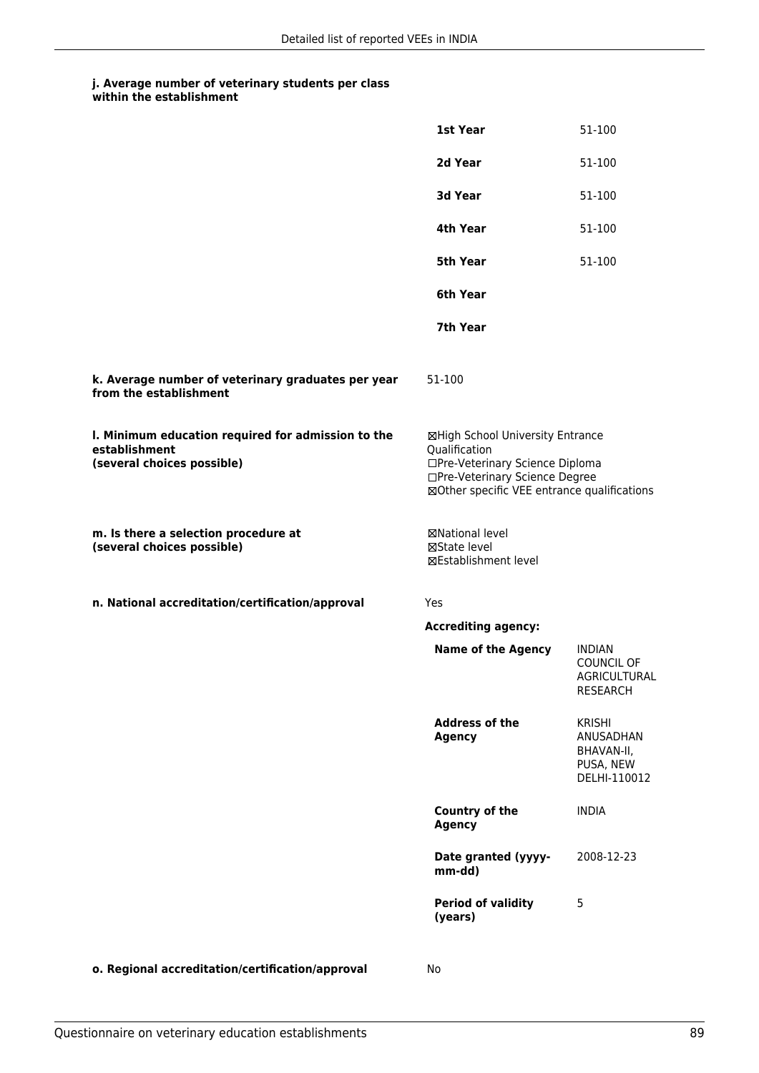|                                                                                                   | 1st Year                                                                                                                                                              | 51-100                                                                |
|---------------------------------------------------------------------------------------------------|-----------------------------------------------------------------------------------------------------------------------------------------------------------------------|-----------------------------------------------------------------------|
|                                                                                                   | 2d Year                                                                                                                                                               | 51-100                                                                |
|                                                                                                   | 3d Year                                                                                                                                                               | 51-100                                                                |
|                                                                                                   | 4th Year                                                                                                                                                              | 51-100                                                                |
|                                                                                                   | 5th Year                                                                                                                                                              | 51-100                                                                |
|                                                                                                   | 6th Year                                                                                                                                                              |                                                                       |
|                                                                                                   | 7th Year                                                                                                                                                              |                                                                       |
| k. Average number of veterinary graduates per year<br>from the establishment                      | 51-100                                                                                                                                                                |                                                                       |
| I. Minimum education required for admission to the<br>establishment<br>(several choices possible) | ⊠High School University Entrance<br>Qualification<br>□Pre-Veterinary Science Diploma<br>□Pre-Veterinary Science Degree<br>⊠Other specific VEE entrance qualifications |                                                                       |
| m. Is there a selection procedure at<br>(several choices possible)                                | ⊠National level<br>⊠State level<br>⊠Establishment level                                                                                                               |                                                                       |
| n. National accreditation/certification/approval                                                  | Yes                                                                                                                                                                   |                                                                       |
|                                                                                                   | <b>Accrediting agency:</b>                                                                                                                                            |                                                                       |
|                                                                                                   | <b>Name of the Agency</b>                                                                                                                                             | <b>INDIAN</b><br>COUNCIL OF<br>AGRICULTURAL<br><b>RESEARCH</b>        |
|                                                                                                   | <b>Address of the</b><br><b>Agency</b>                                                                                                                                | <b>KRISHI</b><br>ANUSADHAN<br>BHAVAN-II,<br>PUSA, NEW<br>DELHI-110012 |
|                                                                                                   | Country of the<br><b>Agency</b>                                                                                                                                       | <b>INDIA</b>                                                          |
|                                                                                                   | Date granted (yyyy-<br>mm-dd)                                                                                                                                         | 2008-12-23                                                            |
|                                                                                                   | <b>Period of validity</b><br>(years)                                                                                                                                  | 5                                                                     |
|                                                                                                   |                                                                                                                                                                       |                                                                       |

**o. Regional accreditation/certification/approval** No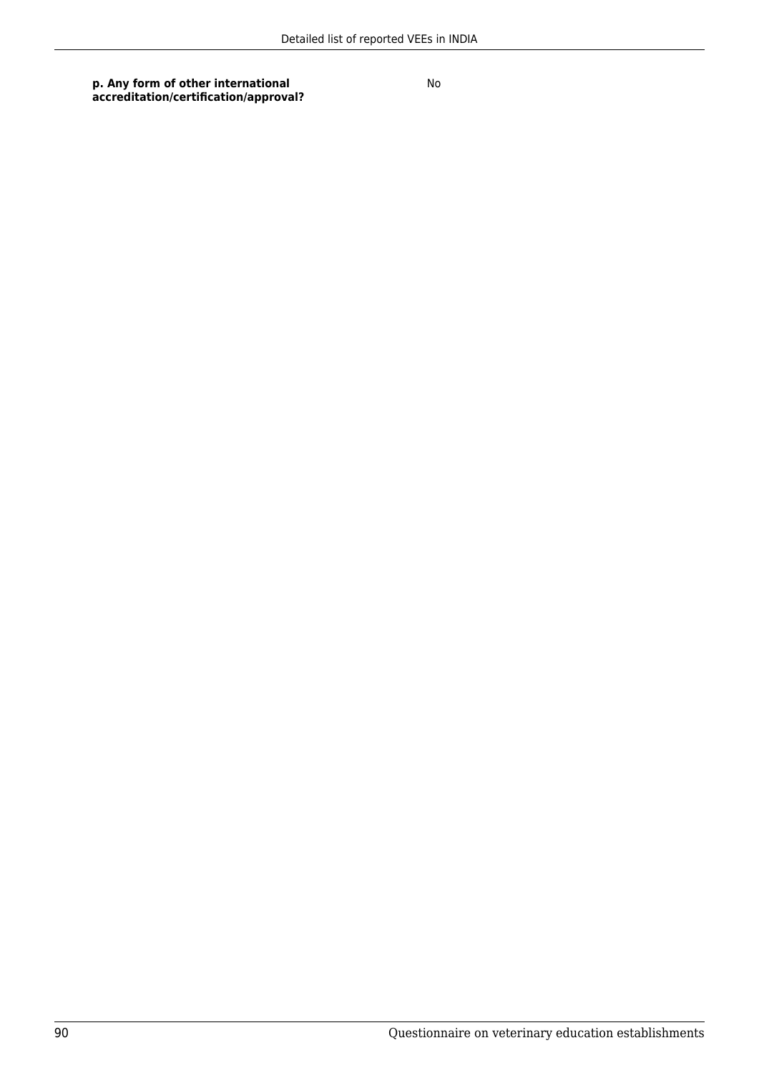**p. Any form of other international accreditation/certification/approval?**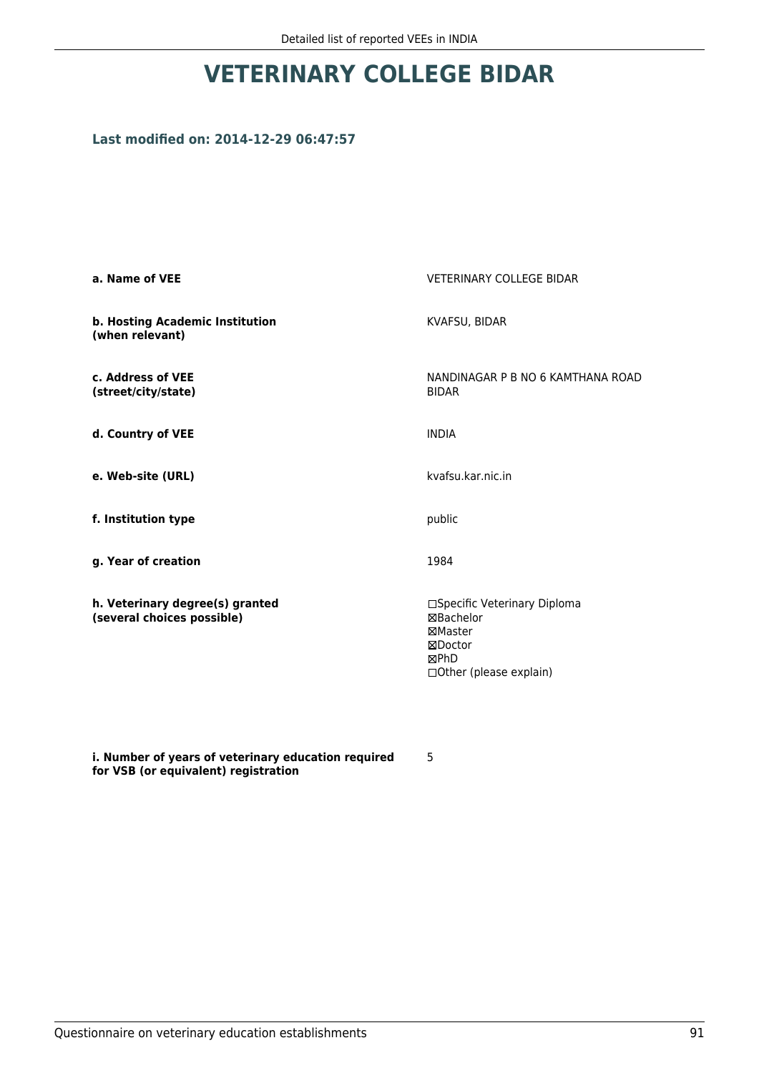# **VETERINARY COLLEGE BIDAR**

## **Last modified on: 2014-12-29 06:47:57**

| a. Name of VEE                                                | <b>VETERINARY COLLEGE BIDAR</b>                                                                    |
|---------------------------------------------------------------|----------------------------------------------------------------------------------------------------|
| b. Hosting Academic Institution<br>(when relevant)            | KVAFSU, BIDAR                                                                                      |
| c. Address of VEE<br>(street/city/state)                      | NANDINAGAR P B NO 6 KAMTHANA ROAD<br><b>BIDAR</b>                                                  |
| d. Country of VEE                                             | <b>INDIA</b>                                                                                       |
| e. Web-site (URL)                                             | kvafsu kar.nic.in                                                                                  |
| f. Institution type                                           | public                                                                                             |
| g. Year of creation                                           | 1984                                                                                               |
| h. Veterinary degree(s) granted<br>(several choices possible) | □Specific Veterinary Diploma<br>⊠Bachelor<br>⊠Master<br>⊠Doctor<br>⊠PhD<br>□Other (please explain) |

**i. Number of years of veterinary education required for VSB (or equivalent) registration**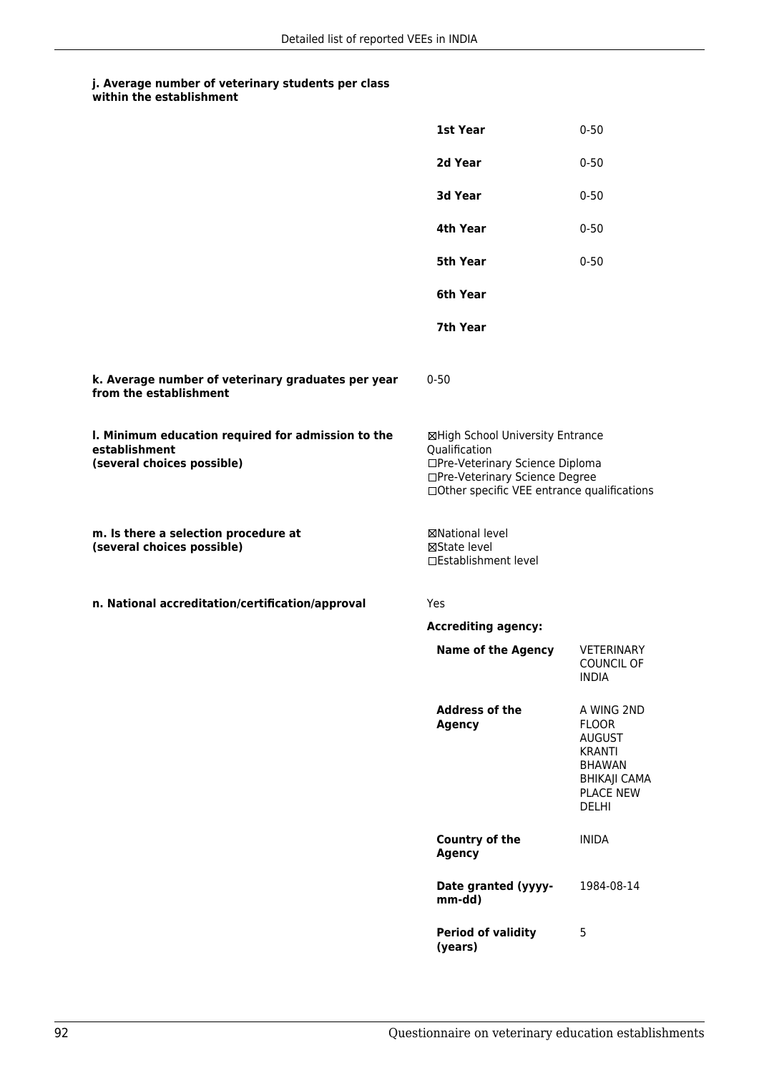|                                                                                                   | 1st Year                                                                                                                                                              | $0 - 50$                                                                                                                                 |
|---------------------------------------------------------------------------------------------------|-----------------------------------------------------------------------------------------------------------------------------------------------------------------------|------------------------------------------------------------------------------------------------------------------------------------------|
|                                                                                                   | 2d Year                                                                                                                                                               | $0 - 50$                                                                                                                                 |
|                                                                                                   | 3d Year                                                                                                                                                               | $0 - 50$                                                                                                                                 |
|                                                                                                   | 4th Year                                                                                                                                                              | $0 - 50$                                                                                                                                 |
|                                                                                                   | 5th Year                                                                                                                                                              | $0 - 50$                                                                                                                                 |
|                                                                                                   | 6th Year                                                                                                                                                              |                                                                                                                                          |
|                                                                                                   | 7th Year                                                                                                                                                              |                                                                                                                                          |
| k. Average number of veterinary graduates per year<br>from the establishment                      | $0 - 50$                                                                                                                                                              |                                                                                                                                          |
| I. Minimum education required for admission to the<br>establishment<br>(several choices possible) | ⊠High School University Entrance<br>Qualification<br>□Pre-Veterinary Science Diploma<br>□Pre-Veterinary Science Degree<br>□Other specific VEE entrance qualifications |                                                                                                                                          |
| m. Is there a selection procedure at<br>(several choices possible)                                | ⊠National level<br>⊠State level<br>□Establishment level                                                                                                               |                                                                                                                                          |
| n. National accreditation/certification/approval                                                  | Yes                                                                                                                                                                   |                                                                                                                                          |
|                                                                                                   | <b>Accrediting agency:</b>                                                                                                                                            |                                                                                                                                          |
|                                                                                                   | <b>Name of the Agency</b>                                                                                                                                             | VETERINARY<br><b>COUNCIL OF</b><br>INDIA                                                                                                 |
|                                                                                                   | <b>Address of the</b><br><b>Agency</b>                                                                                                                                | A WING 2ND<br><b>FLOOR</b><br><b>AUGUST</b><br><b>KRANTI</b><br><b>BHAWAN</b><br><b>BHIKAJI CAMA</b><br><b>PLACE NEW</b><br><b>DELHI</b> |
|                                                                                                   | Country of the<br><b>Agency</b>                                                                                                                                       | <b>INIDA</b>                                                                                                                             |
|                                                                                                   | Date granted (yyyy-<br>mm-dd)                                                                                                                                         | 1984-08-14                                                                                                                               |
|                                                                                                   | <b>Period of validity</b><br>(years)                                                                                                                                  | 5                                                                                                                                        |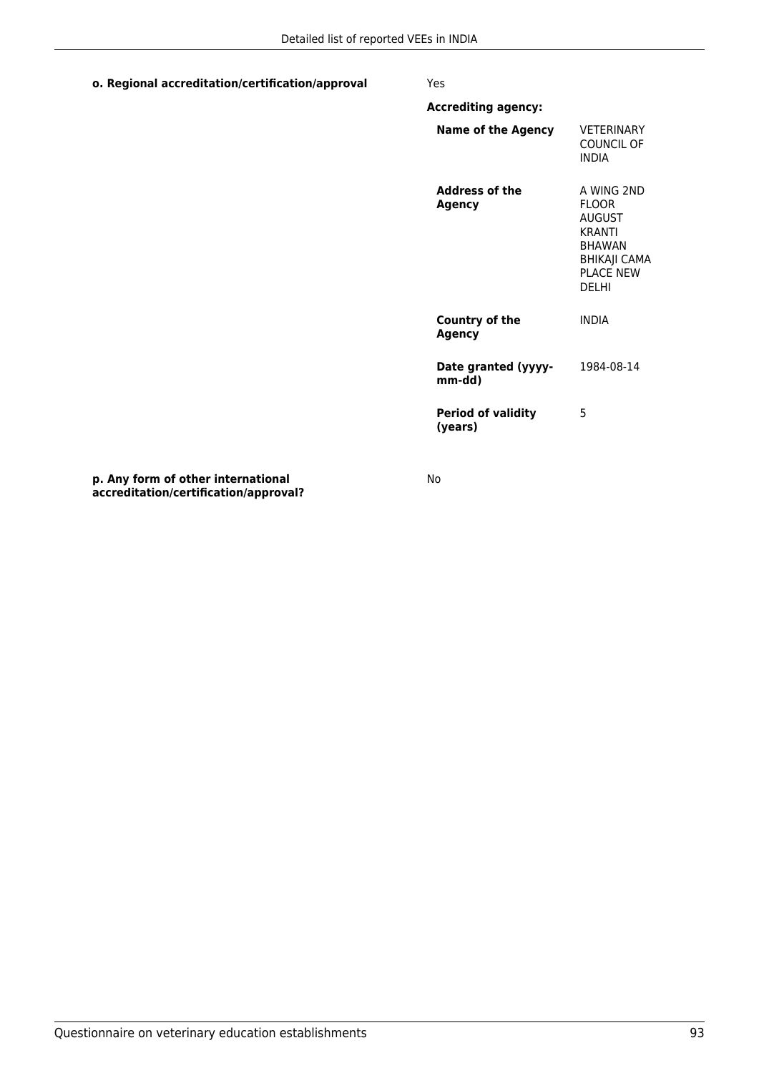### **o. Regional accreditation/certification/approval** Yes

**Accrediting agency:**

| Name of the Agency                     | <b>VFTFRINARY</b><br>COUNCIL OF<br><b>INDIA</b>                                                                              |
|----------------------------------------|------------------------------------------------------------------------------------------------------------------------------|
| <b>Address of the</b><br><b>Agency</b> | A WING 2ND<br><b>FLOOR</b><br><b>AUGUST</b><br><b>KRANTI</b><br><b>BHAWAN</b><br>BHIKAJI CAMA<br><b>PI ACF NFW</b><br>DFI HI |
| Country of the<br>Agency               | <b>INDIA</b>                                                                                                                 |
| Date granted (yyyy-<br>mm-dd)          | 1984-08-14                                                                                                                   |
| <b>Period of validity</b><br>(vears)   | 5                                                                                                                            |

**p. Any form of other international accreditation/certification/approval?**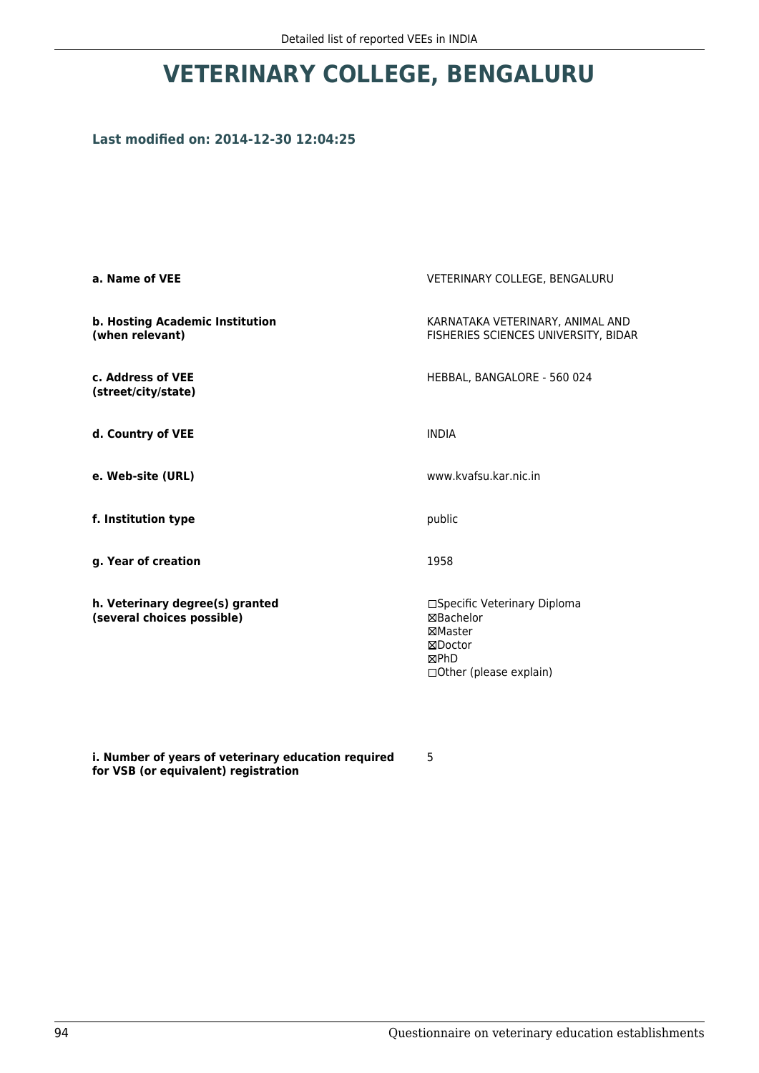# **VETERINARY COLLEGE, BENGALURU**

### **Last modified on: 2014-12-30 12:04:25**

| VETERINARY COLLEGE, BENGALURU                                                                            |
|----------------------------------------------------------------------------------------------------------|
| KARNATAKA VETERINARY, ANIMAL AND<br>FISHERIES SCIENCES UNIVERSITY, BIDAR                                 |
| HEBBAL, BANGALORE - 560 024                                                                              |
| <b>INDIA</b>                                                                                             |
| www.kvafsu.kar.nic.in                                                                                    |
| public                                                                                                   |
| 1958                                                                                                     |
| □Specific Veterinary Diploma<br>⊠Bachelor<br>⊠Master<br>⊠Doctor<br>⊠PhD<br>$\Box$ Other (please explain) |
|                                                                                                          |

**i. Number of years of veterinary education required for VSB (or equivalent) registration**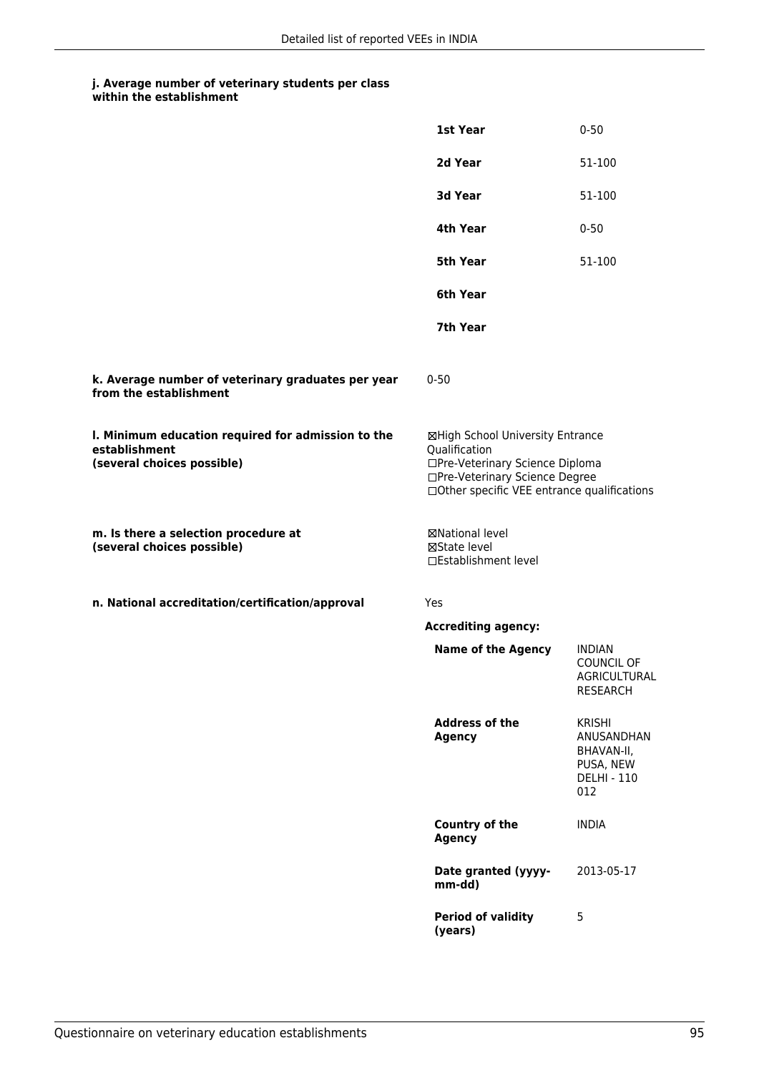|                                                                                                   | <b>1st Year</b>                                                                                                                                                       | $0 - 50$                                                                            |
|---------------------------------------------------------------------------------------------------|-----------------------------------------------------------------------------------------------------------------------------------------------------------------------|-------------------------------------------------------------------------------------|
|                                                                                                   | 2d Year                                                                                                                                                               | 51-100                                                                              |
|                                                                                                   | 3d Year                                                                                                                                                               | 51-100                                                                              |
|                                                                                                   | 4th Year                                                                                                                                                              | $0 - 50$                                                                            |
|                                                                                                   | <b>5th Year</b>                                                                                                                                                       | 51-100                                                                              |
|                                                                                                   | 6th Year                                                                                                                                                              |                                                                                     |
|                                                                                                   | 7th Year                                                                                                                                                              |                                                                                     |
| k. Average number of veterinary graduates per year<br>from the establishment                      | $0 - 50$                                                                                                                                                              |                                                                                     |
| I. Minimum education required for admission to the<br>establishment<br>(several choices possible) | ⊠High School University Entrance<br>Qualification<br>□Pre-Veterinary Science Diploma<br>□Pre-Veterinary Science Degree<br>□Other specific VEE entrance qualifications |                                                                                     |
| m. Is there a selection procedure at<br>(several choices possible)                                | ⊠National level<br>⊠State level<br>□Establishment level                                                                                                               |                                                                                     |
| n. National accreditation/certification/approval                                                  | Yes                                                                                                                                                                   |                                                                                     |
|                                                                                                   | <b>Accrediting agency:</b>                                                                                                                                            |                                                                                     |
|                                                                                                   | <b>Name of the Agency</b>                                                                                                                                             | <b>INDIAN</b><br>COUNCIL OF<br>AGRICULTURAL<br><b>RESEARCH</b>                      |
|                                                                                                   | <b>Address of the</b><br><b>Agency</b>                                                                                                                                | <b>KRISHI</b><br>ANUSANDHAN<br>BHAVAN-II,<br>PUSA, NEW<br><b>DELHI - 110</b><br>012 |
|                                                                                                   | <b>Country of the</b><br><b>Agency</b>                                                                                                                                | <b>INDIA</b>                                                                        |
|                                                                                                   | Date granted (yyyy-<br>mm-dd)                                                                                                                                         | 2013-05-17                                                                          |
|                                                                                                   | <b>Period of validity</b><br>(years)                                                                                                                                  | 5                                                                                   |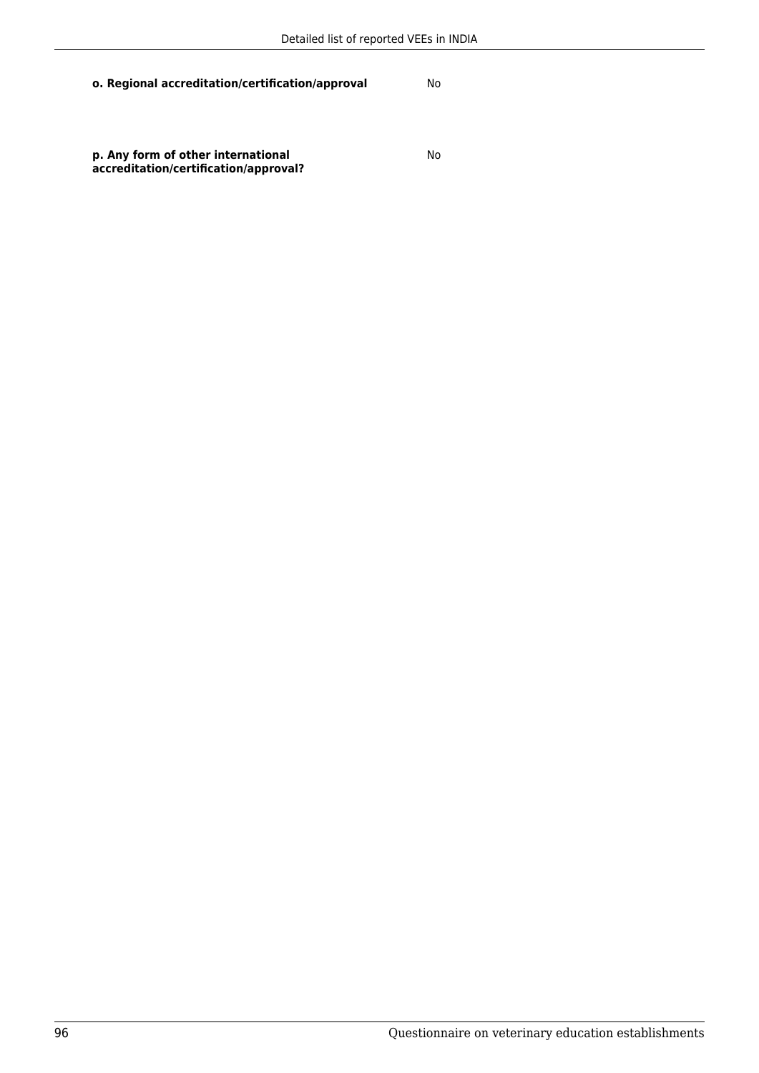**o. Regional accreditation/certification/approval** No

**p. Any form of other international accreditation/certification/approval?**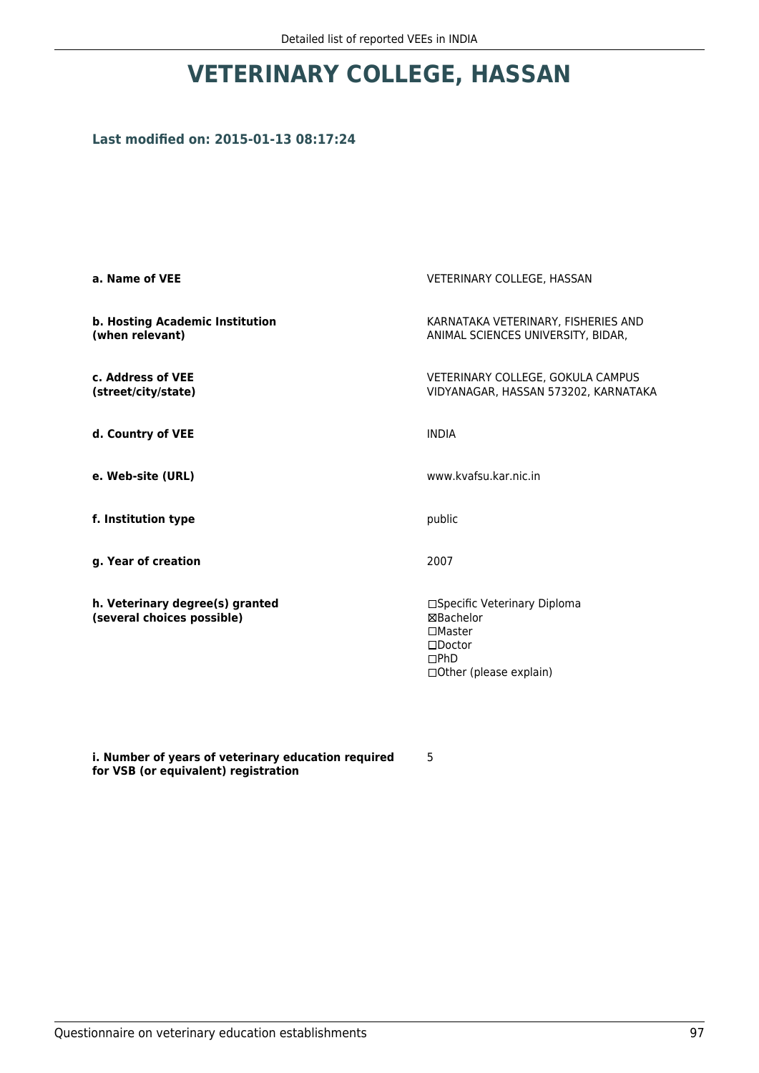# **VETERINARY COLLEGE, HASSAN**

## **Last modified on: 2015-01-13 08:17:24**

| VETERINARY COLLEGE, HASSAN                                                                                                   |
|------------------------------------------------------------------------------------------------------------------------------|
| KARNATAKA VETERINARY, FISHERIES AND<br>ANIMAL SCIENCES UNIVERSITY, BIDAR,                                                    |
| VETERINARY COLLEGE, GOKULA CAMPUS<br>VIDYANAGAR, HASSAN 573202, KARNATAKA                                                    |
| <b>INDIA</b>                                                                                                                 |
| www.kvafsu.kar.nic.in                                                                                                        |
| public                                                                                                                       |
| 2007                                                                                                                         |
| □Specific Veterinary Diploma<br><b>⊠Bachelor</b><br>$\square$ Master<br>$\square$ Doctor<br>DPhD<br>□ Other (please explain) |
|                                                                                                                              |

**i. Number of years of veterinary education required for VSB (or equivalent) registration**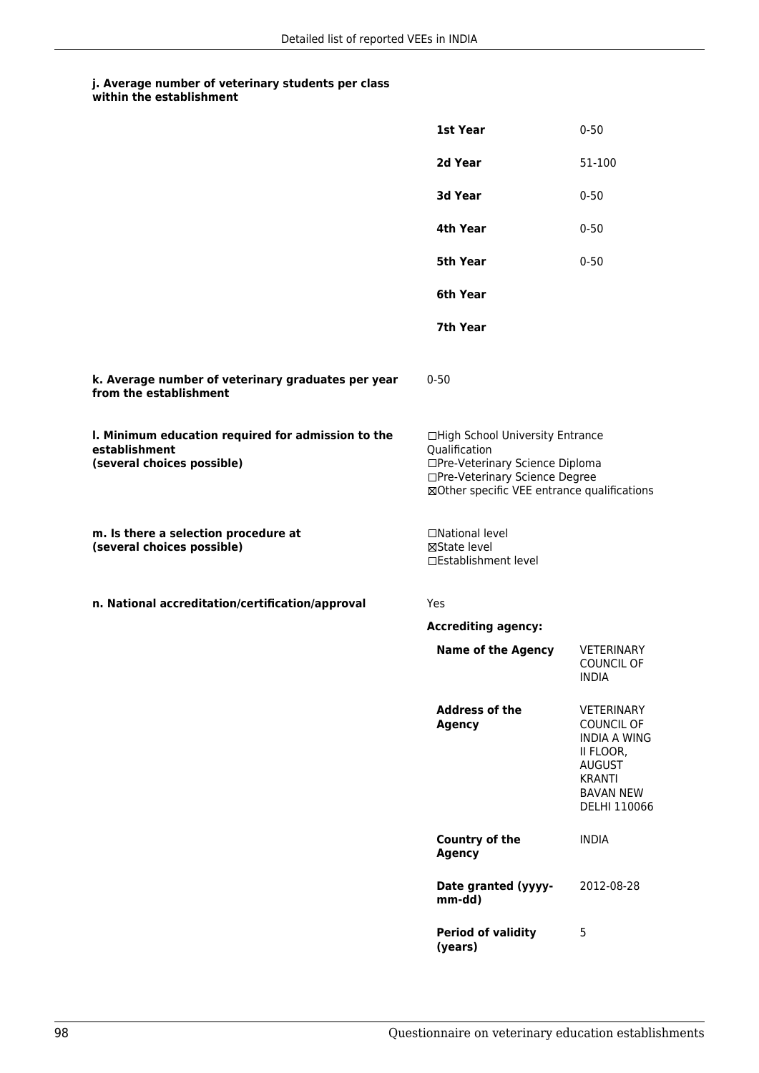|                                                                                                   | 1st Year                                                                                                                                                              | $0 - 50$                                                                                                                                  |
|---------------------------------------------------------------------------------------------------|-----------------------------------------------------------------------------------------------------------------------------------------------------------------------|-------------------------------------------------------------------------------------------------------------------------------------------|
|                                                                                                   | 2d Year                                                                                                                                                               | 51-100                                                                                                                                    |
|                                                                                                   | 3d Year                                                                                                                                                               | $0 - 50$                                                                                                                                  |
|                                                                                                   | 4th Year                                                                                                                                                              | $0 - 50$                                                                                                                                  |
|                                                                                                   | 5th Year                                                                                                                                                              | $0 - 50$                                                                                                                                  |
|                                                                                                   | 6th Year                                                                                                                                                              |                                                                                                                                           |
|                                                                                                   | 7th Year                                                                                                                                                              |                                                                                                                                           |
| k. Average number of veterinary graduates per year<br>from the establishment                      | $0 - 50$                                                                                                                                                              |                                                                                                                                           |
| I. Minimum education required for admission to the<br>establishment<br>(several choices possible) | □High School University Entrance<br>Qualification<br>□Pre-Veterinary Science Diploma<br>□Pre-Veterinary Science Degree<br>⊠Other specific VEE entrance qualifications |                                                                                                                                           |
| m. Is there a selection procedure at<br>(several choices possible)                                | □National level<br>⊠State level<br>□Establishment level                                                                                                               |                                                                                                                                           |
| n. National accreditation/certification/approval                                                  | Yes                                                                                                                                                                   |                                                                                                                                           |
|                                                                                                   | <b>Accrediting agency:</b>                                                                                                                                            |                                                                                                                                           |
|                                                                                                   | <b>Name of the Agency</b>                                                                                                                                             | VETERINARY<br><b>COUNCIL OF</b><br><b>INDIA</b>                                                                                           |
|                                                                                                   | <b>Address of the</b><br><b>Agency</b>                                                                                                                                | VETERINARY<br><b>COUNCIL OF</b><br><b>INDIA A WING</b><br>II FLOOR,<br><b>AUGUST</b><br><b>KRANTI</b><br><b>BAVAN NEW</b><br>DELHI 110066 |
|                                                                                                   | Country of the<br><b>Agency</b>                                                                                                                                       | <b>INDIA</b>                                                                                                                              |
|                                                                                                   | Date granted (yyyy-<br>mm-dd)                                                                                                                                         | 2012-08-28                                                                                                                                |
|                                                                                                   | <b>Period of validity</b><br>(years)                                                                                                                                  | 5                                                                                                                                         |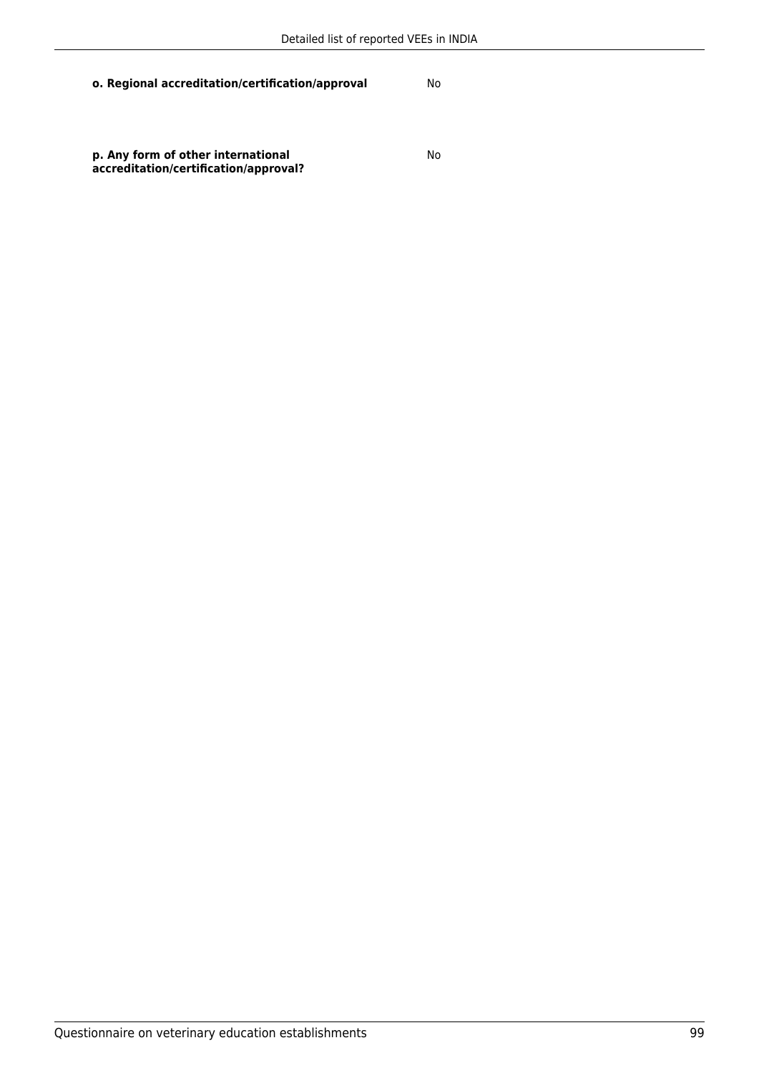**o. Regional accreditation/certification/approval** No

**p. Any form of other international accreditation/certification/approval?**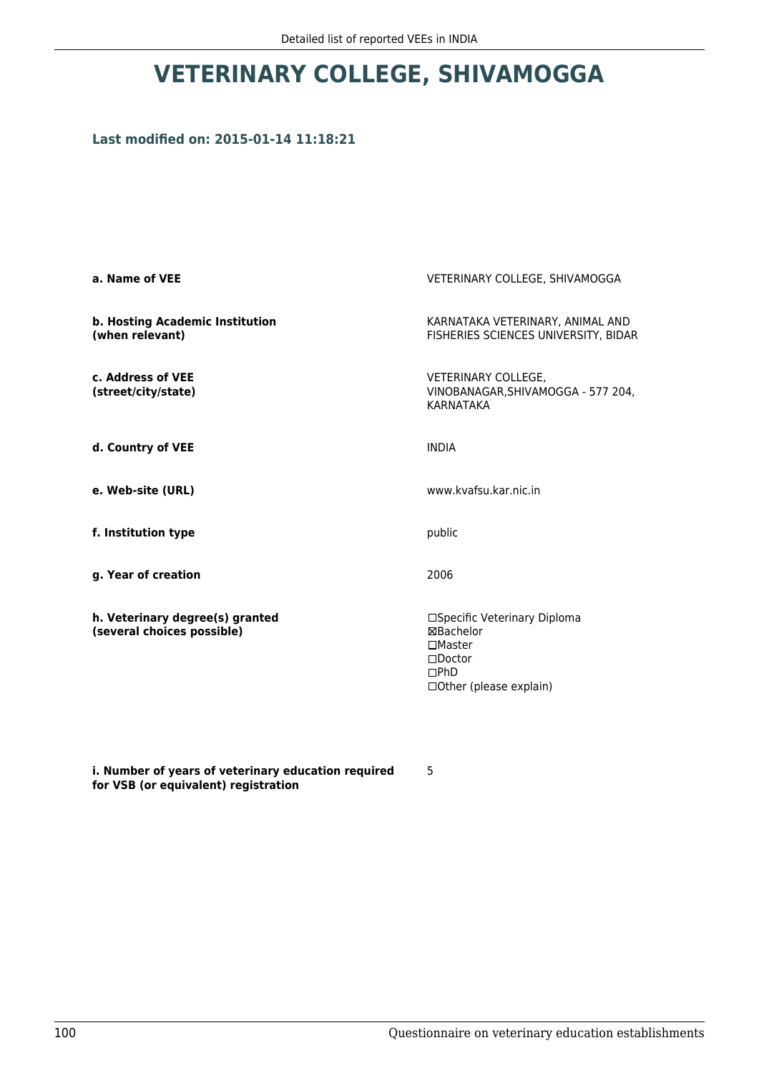# **VETERINARY COLLEGE, SHIVAMOGGA**

## **Last modified on: 2015-01-14 11:18:21**

| a. Name of VEE                                                | VETERINARY COLLEGE, SHIVAMOGGA                                                                                             |
|---------------------------------------------------------------|----------------------------------------------------------------------------------------------------------------------------|
| <b>b. Hosting Academic Institution</b><br>(when relevant)     | KARNATAKA VETERINARY, ANIMAL AND<br>FISHERIES SCIENCES UNIVERSITY, BIDAR                                                   |
| c. Address of VEE<br>(street/city/state)                      | VETERINARY COLLEGE,<br>VINOBANAGAR, SHIVAMOGGA - 577 204,<br><b>KARNATAKA</b>                                              |
| d. Country of VEE                                             | <b>INDIA</b>                                                                                                               |
| e. Web-site (URL)                                             | www.kvafsu.kar.nic.in                                                                                                      |
| f. Institution type                                           | public                                                                                                                     |
| g. Year of creation                                           | 2006                                                                                                                       |
| h. Veterinary degree(s) granted<br>(several choices possible) | □Specific Veterinary Diploma<br>⊠Bachelor<br>$\square$ Master<br>$\square$ Doctor<br>DPhD<br>$\Box$ Other (please explain) |

**i. Number of years of veterinary education required for VSB (or equivalent) registration**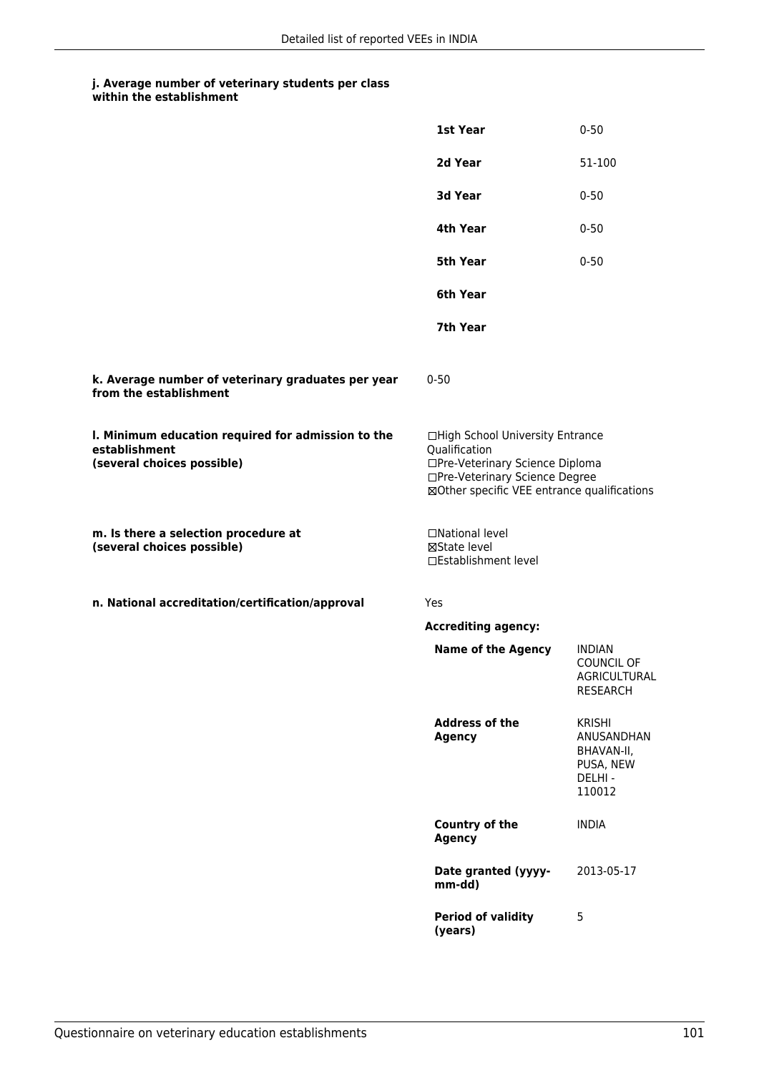|                                                                                                   | 1st Year                                                                                                                                                              | $0 - 50$                                                                   |
|---------------------------------------------------------------------------------------------------|-----------------------------------------------------------------------------------------------------------------------------------------------------------------------|----------------------------------------------------------------------------|
|                                                                                                   | 2d Year                                                                                                                                                               | 51-100                                                                     |
|                                                                                                   | 3d Year                                                                                                                                                               | $0 - 50$                                                                   |
|                                                                                                   | 4th Year                                                                                                                                                              | $0 - 50$                                                                   |
|                                                                                                   | 5th Year                                                                                                                                                              | $0 - 50$                                                                   |
|                                                                                                   | 6th Year                                                                                                                                                              |                                                                            |
|                                                                                                   | 7th Year                                                                                                                                                              |                                                                            |
| k. Average number of veterinary graduates per year<br>from the establishment                      | $0 - 50$                                                                                                                                                              |                                                                            |
| I. Minimum education required for admission to the<br>establishment<br>(several choices possible) | □High School University Entrance<br>Qualification<br>□Pre-Veterinary Science Diploma<br>□Pre-Veterinary Science Degree<br>⊠Other specific VEE entrance qualifications |                                                                            |
| m. Is there a selection procedure at<br>(several choices possible)                                | □National level<br>⊠State level<br>□Establishment level                                                                                                               |                                                                            |
| n. National accreditation/certification/approval                                                  | Yes                                                                                                                                                                   |                                                                            |
|                                                                                                   | <b>Accrediting agency:</b>                                                                                                                                            |                                                                            |
|                                                                                                   | <b>Name of the Agency</b>                                                                                                                                             | <b>INDIAN</b><br>COUNCIL OF<br>AGRICULTURAL<br><b>RESEARCH</b>             |
|                                                                                                   | <b>Address of the</b><br><b>Agency</b>                                                                                                                                | <b>KRISHI</b><br>ANUSANDHAN<br>BHAVAN-II,<br>PUSA, NEW<br>DELHI-<br>110012 |
|                                                                                                   | Country of the<br><b>Agency</b>                                                                                                                                       | <b>INDIA</b>                                                               |
|                                                                                                   | Date granted (yyyy-<br>mm-dd)                                                                                                                                         | 2013-05-17                                                                 |
|                                                                                                   | <b>Period of validity</b><br>(years)                                                                                                                                  | 5                                                                          |